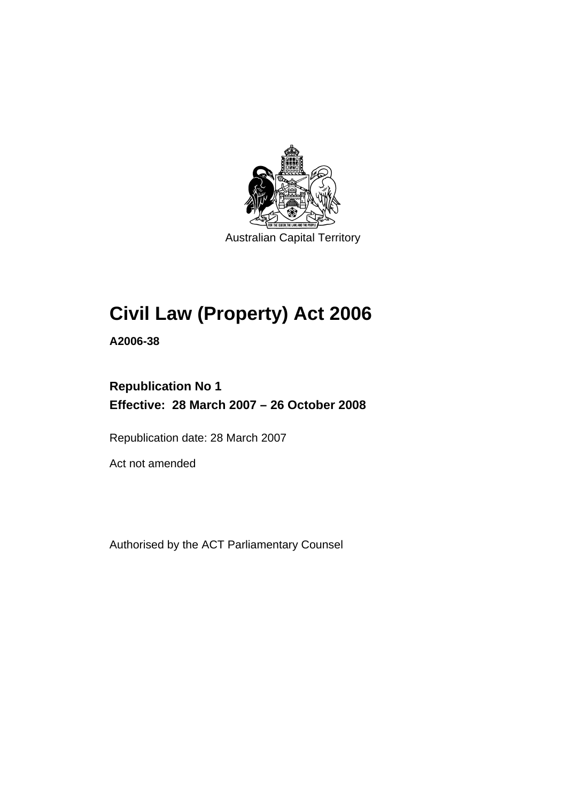

Australian Capital Territory

# **[Civil Law \(Property\) Act 2006](#page-10-0)**

**A2006-38** 

# **Republication No 1 Effective: 28 March 2007 – 26 October 2008**

Republication date: 28 March 2007

Act not amended

Authorised by the ACT Parliamentary Counsel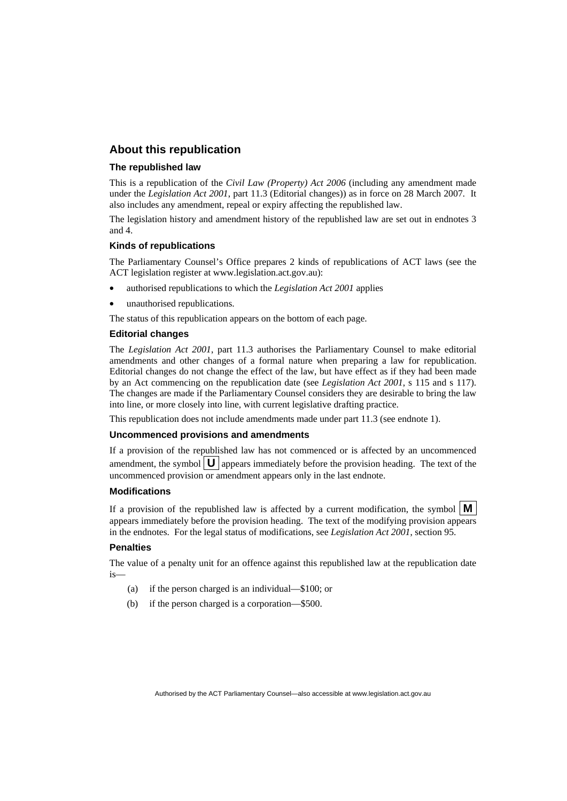#### **About this republication**

#### **The republished law**

This is a republication of the *Civil Law (Property) Act 2006* (including any amendment made under the *Legislation Act 2001*, part 11.3 (Editorial changes)) as in force on 28 March 2007*.* It also includes any amendment, repeal or expiry affecting the republished law.

The legislation history and amendment history of the republished law are set out in endnotes 3 and 4.

#### **Kinds of republications**

The Parliamentary Counsel's Office prepares 2 kinds of republications of ACT laws (see the ACT legislation register at www.legislation.act.gov.au):

- authorised republications to which the *Legislation Act 2001* applies
- unauthorised republications.

The status of this republication appears on the bottom of each page.

#### **Editorial changes**

The *Legislation Act 2001*, part 11.3 authorises the Parliamentary Counsel to make editorial amendments and other changes of a formal nature when preparing a law for republication. Editorial changes do not change the effect of the law, but have effect as if they had been made by an Act commencing on the republication date (see *Legislation Act 2001*, s 115 and s 117). The changes are made if the Parliamentary Counsel considers they are desirable to bring the law into line, or more closely into line, with current legislative drafting practice.

This republication does not include amendments made under part 11.3 (see endnote 1).

#### **Uncommenced provisions and amendments**

If a provision of the republished law has not commenced or is affected by an uncommenced amendment, the symbol  $\mathbf{U}$  appears immediately before the provision heading. The text of the uncommenced provision or amendment appears only in the last endnote.

#### **Modifications**

If a provision of the republished law is affected by a current modification, the symbol  $\mathbf{M}$ appears immediately before the provision heading. The text of the modifying provision appears in the endnotes. For the legal status of modifications, see *Legislation Act 2001*, section 95.

#### **Penalties**

The value of a penalty unit for an offence against this republished law at the republication date is—

- (a) if the person charged is an individual—\$100; or
- (b) if the person charged is a corporation—\$500.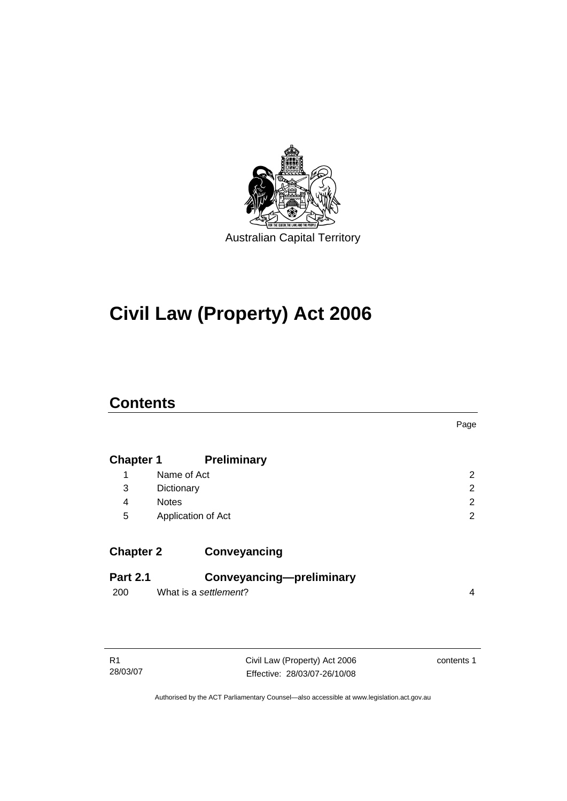

# **[Civil Law \(Property\) Act 2006](#page-10-0)**

# **Contents**

|                        |                                                   | Page           |
|------------------------|---------------------------------------------------|----------------|
| <b>Chapter 1</b>       | <b>Preliminary</b>                                |                |
| 1                      | Name of Act                                       | 2              |
| 3                      | Dictionary                                        | 2              |
| 4                      | <b>Notes</b>                                      | $\overline{2}$ |
| 5                      | Application of Act                                | 2              |
| <b>Chapter 2</b>       | Conveyancing                                      |                |
| <b>Part 2.1</b><br>200 | Conveyancing-preliminary<br>What is a settlement? | 4              |

| R1       |  |
|----------|--|
| 28/03/07 |  |

Civil Law (Property) Act 2006 Effective: 28/03/07-26/10/08 contents 1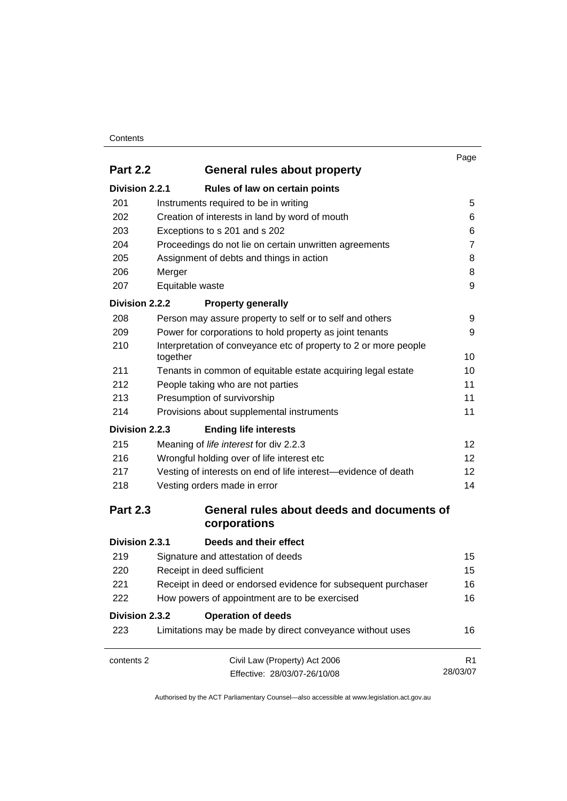#### **Contents**

|                 |                                                                              | Page              |
|-----------------|------------------------------------------------------------------------------|-------------------|
| <b>Part 2.2</b> | General rules about property                                                 |                   |
| Division 2.2.1  | Rules of law on certain points                                               |                   |
| 201             | Instruments required to be in writing                                        | 5                 |
| 202             | Creation of interests in land by word of mouth                               | 6                 |
| 203             | Exceptions to s 201 and s 202                                                | 6                 |
| 204             | Proceedings do not lie on certain unwritten agreements                       | 7                 |
| 205             | Assignment of debts and things in action                                     | 8                 |
| 206             | Merger                                                                       | 8                 |
| 207             | Equitable waste                                                              | 9                 |
| Division 2.2.2  | <b>Property generally</b>                                                    |                   |
| 208             | Person may assure property to self or to self and others                     | 9                 |
| 209             | Power for corporations to hold property as joint tenants                     | 9                 |
| 210             | Interpretation of conveyance etc of property to 2 or more people<br>together | 10                |
| 211             | Tenants in common of equitable estate acquiring legal estate                 | 10                |
| 212             | People taking who are not parties                                            | 11                |
| 213             | Presumption of survivorship                                                  | 11                |
| 214             | Provisions about supplemental instruments                                    | 11                |
| Division 2.2.3  | <b>Ending life interests</b>                                                 |                   |
| 215             | Meaning of life interest for div 2.2.3                                       | 12                |
| 216             | Wrongful holding over of life interest etc                                   | $12 \overline{ }$ |
| 217             | Vesting of interests on end of life interest—evidence of death               | 12 <sup>2</sup>   |
| 218             | Vesting orders made in error                                                 | 14                |
| <b>Part 2.3</b> | General rules about deeds and documents of<br>corporations                   |                   |
| Division 2.3.1  | Deeds and their effect                                                       |                   |
| 219             | Signature and attestation of deeds                                           | 15                |
| 220             | Receipt in deed sufficient                                                   | 15                |
| 221             | Receipt in deed or endorsed evidence for subsequent purchaser                | 16                |
| 222             | How powers of appointment are to be exercised                                | 16                |
| Division 2.3.2  | <b>Operation of deeds</b>                                                    |                   |
| 223             | Limitations may be made by direct conveyance without uses                    | 16                |
| contents 2      | Civil Law (Property) Act 2006                                                | R <sub>1</sub>    |
|                 | Effective: 28/03/07-26/10/08                                                 | 28/03/07          |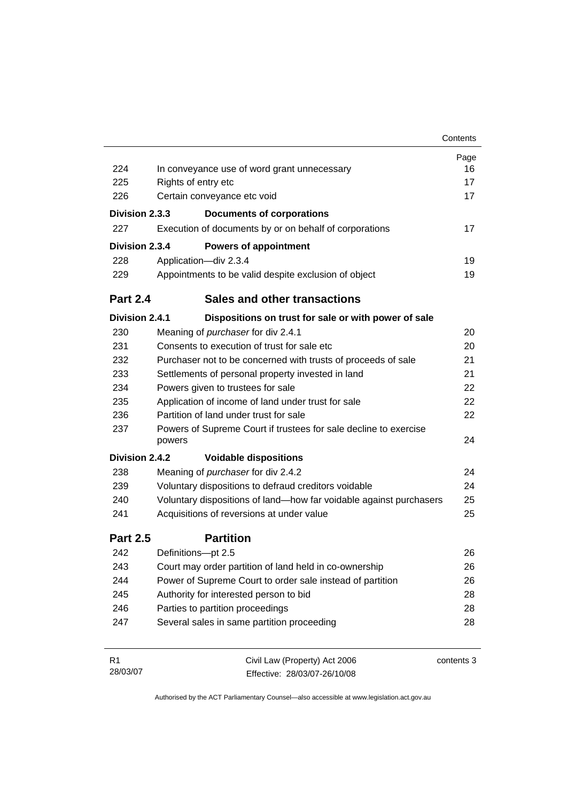|                 |                                                                            | Contents   |
|-----------------|----------------------------------------------------------------------------|------------|
|                 |                                                                            | Page       |
| 224             | In conveyance use of word grant unnecessary                                | 16         |
| 225             | Rights of entry etc                                                        | 17         |
| 226             | Certain conveyance etc void                                                | 17         |
| Division 2.3.3  | <b>Documents of corporations</b>                                           |            |
| 227             | Execution of documents by or on behalf of corporations                     | 17         |
| Division 2.3.4  | <b>Powers of appointment</b>                                               |            |
| 228             | Application-div 2.3.4                                                      | 19         |
| 229             | Appointments to be valid despite exclusion of object                       | 19         |
| <b>Part 2.4</b> | <b>Sales and other transactions</b>                                        |            |
| Division 2.4.1  | Dispositions on trust for sale or with power of sale                       |            |
| 230             | Meaning of <i>purchaser</i> for div 2.4.1                                  | 20         |
| 231             | Consents to execution of trust for sale etc                                | 20         |
| 232             | Purchaser not to be concerned with trusts of proceeds of sale              | 21         |
| 233             | Settlements of personal property invested in land                          | 21         |
| 234             | Powers given to trustees for sale                                          | 22         |
| 235             | Application of income of land under trust for sale                         | 22         |
| 236             | Partition of land under trust for sale                                     | 22         |
| 237             | Powers of Supreme Court if trustees for sale decline to exercise<br>powers | 24         |
| Division 2.4.2  | <b>Voidable dispositions</b>                                               |            |
| 238             | Meaning of purchaser for div 2.4.2                                         | 24         |
| 239             | Voluntary dispositions to defraud creditors voidable                       | 24         |
| 240             | Voluntary dispositions of land-how far voidable against purchasers         | 25         |
| 241             | Acquisitions of reversions at under value                                  | 25         |
| <b>Part 2.5</b> | <b>Partition</b>                                                           |            |
| 242             | Definitions-pt 2.5                                                         | 26         |
| 243             | Court may order partition of land held in co-ownership                     | 26         |
| 244             | Power of Supreme Court to order sale instead of partition                  | 26         |
| 245             | Authority for interested person to bid                                     | 28         |
| 246             | Parties to partition proceedings                                           | 28         |
| 247             | Several sales in same partition proceeding                                 | 28         |
| R <sub>1</sub>  | Civil Law (Property) Act 2006                                              | contents 3 |

Effective: 28/03/07-26/10/08

28/03/07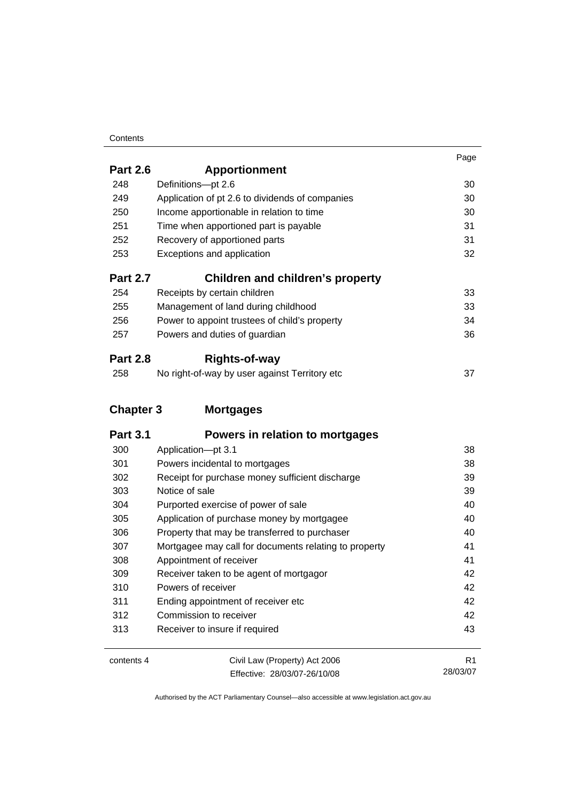#### **Contents**

|                  |                                                 | Page |
|------------------|-------------------------------------------------|------|
| <b>Part 2.6</b>  | <b>Apportionment</b>                            |      |
| 248              | Definitions-pt 2.6                              | 30   |
| 249              | Application of pt 2.6 to dividends of companies | 30   |
| 250              | Income apportionable in relation to time        | 30   |
| 251              | Time when apportioned part is payable           | 31   |
| 252              | Recovery of apportioned parts                   | 31   |
| 253              | Exceptions and application                      | 32   |
| <b>Part 2.7</b>  | Children and children's property                |      |
| 254              | Receipts by certain children                    | 33   |
| 255              | Management of land during childhood             | 33   |
| 256              | Power to appoint trustees of child's property   | 34   |
| 257              | Powers and duties of guardian                   | 36   |
| <b>Part 2.8</b>  | Rights-of-way                                   |      |
| 258              | No right-of-way by user against Territory etc   | 37   |
| <b>Chapter 3</b> | <b>Mortgages</b>                                |      |
| <b>Part 3.1</b>  | Powers in relation to mortgages                 |      |
| 300              | Application-pt 3.1                              | 38   |
| 301              | Powers incidental to mortgages                  | 38   |
| 302              | Receipt for purchase money sufficient discharge | 39   |
| 303              | Notice of sale                                  | 39   |

| ◡◡◡ | nouve or said                                         |    |
|-----|-------------------------------------------------------|----|
| 304 | Purported exercise of power of sale                   | 40 |
| 305 | Application of purchase money by mortgagee            | 40 |
| 306 | Property that may be transferred to purchaser         | 40 |
| 307 | Mortgagee may call for documents relating to property | 41 |
| 308 | Appointment of receiver                               | 41 |
| 309 | Receiver taken to be agent of mortgagor               | 42 |
| 310 | Powers of receiver                                    | 42 |
| 311 | Ending appointment of receiver etc.                   | 42 |
| 312 | Commission to receiver                                | 42 |
| 313 | Receiver to insure if required                        | 43 |
|     |                                                       |    |

| contents 4 | Civil Law (Property) Act 2006 |          |
|------------|-------------------------------|----------|
|            | Effective: 28/03/07-26/10/08  | 28/03/07 |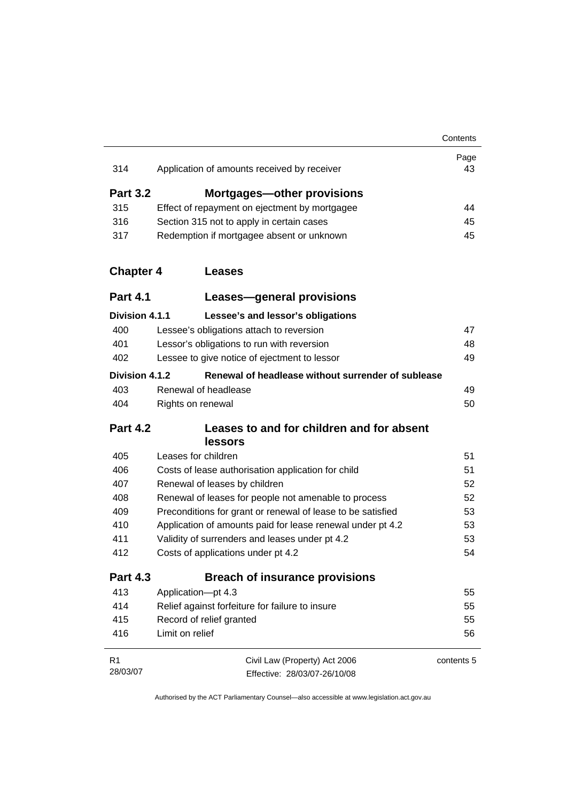|                  |                                                             | Contents   |
|------------------|-------------------------------------------------------------|------------|
| 314              | Application of amounts received by receiver                 | Page<br>43 |
|                  |                                                             |            |
| <b>Part 3.2</b>  | <b>Mortgages-other provisions</b>                           |            |
| 315              | Effect of repayment on ejectment by mortgagee               | 44         |
| 316              | Section 315 not to apply in certain cases                   | 45         |
| 317              | Redemption if mortgagee absent or unknown                   | 45         |
| <b>Chapter 4</b> | Leases                                                      |            |
| <b>Part 4.1</b>  | <b>Leases-general provisions</b>                            |            |
| Division 4.1.1   | Lessee's and lessor's obligations                           |            |
| 400              | Lessee's obligations attach to reversion                    | 47         |
| 401              | Lessor's obligations to run with reversion                  | 48         |
| 402              | Lessee to give notice of ejectment to lessor                | 49         |
| Division 4.1.2   | Renewal of headlease without surrender of sublease          |            |
| 403              | Renewal of headlease                                        | 49         |
| 404              | Rights on renewal                                           | 50         |
| <b>Part 4.2</b>  | Leases to and for children and for absent<br>lessors        |            |
| 405              | Leases for children                                         | 51         |
| 406              | Costs of lease authorisation application for child          | 51         |
| 407              | Renewal of leases by children                               | 52         |
| 408              | Renewal of leases for people not amenable to process        | 52         |
| 409              | Preconditions for grant or renewal of lease to be satisfied | 53         |
| 410              | Application of amounts paid for lease renewal under pt 4.2  | 53         |
| 411              | Validity of surrenders and leases under pt 4.2              | 53         |
| 412              | Costs of applications under pt 4.2                          | 54         |
| <b>Part 4.3</b>  | <b>Breach of insurance provisions</b>                       |            |
| 413              | Application-pt 4.3                                          | 55         |
| 414              | Relief against forfeiture for failure to insure             | 55         |
| 415              | Record of relief granted                                    | 55         |
| 416              | Limit on relief                                             | 56         |
| R <sub>1</sub>   | Civil Law (Property) Act 2006                               | contents 5 |
| 28/03/07         | Effective: 28/03/07-26/10/08                                |            |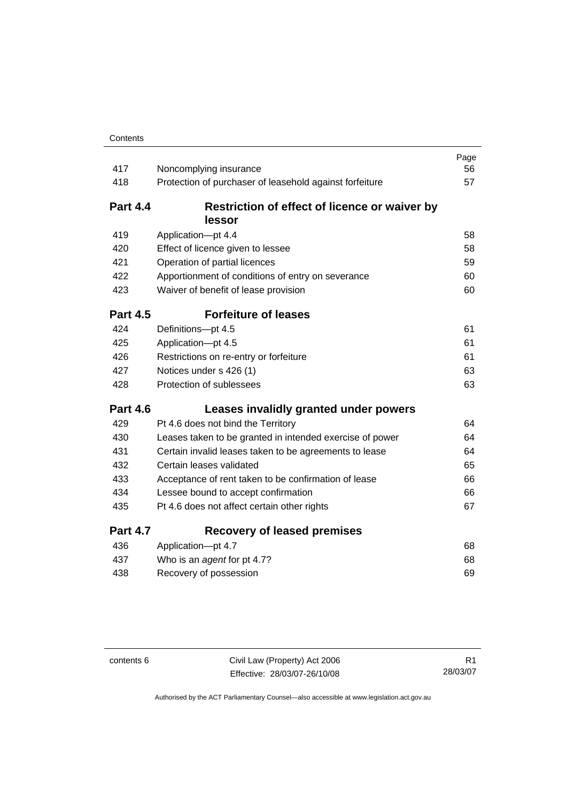| 417             | Noncomplying insurance                                   | Page<br>56 |
|-----------------|----------------------------------------------------------|------------|
| 418             | Protection of purchaser of leasehold against forfeiture  | 57         |
|                 |                                                          |            |
| <b>Part 4.4</b> | Restriction of effect of licence or waiver by            |            |
|                 | lessor                                                   |            |
| 419             | Application-pt 4.4                                       | 58         |
| 420             | Effect of licence given to lessee                        | 58         |
| 421             | Operation of partial licences                            | 59         |
| 422             | Apportionment of conditions of entry on severance        | 60         |
| 423             | Waiver of benefit of lease provision                     | 60         |
| <b>Part 4.5</b> | <b>Forfeiture of leases</b>                              |            |
| 424             | Definitions-pt 4.5                                       | 61         |
| 425             | Application-pt 4.5                                       | 61         |
| 426             | Restrictions on re-entry or forfeiture                   | 61         |
| 427             | Notices under s 426 (1)                                  | 63         |
| 428             | Protection of sublessees                                 | 63         |
| <b>Part 4.6</b> | Leases invalidly granted under powers                    |            |
| 429             | Pt 4.6 does not bind the Territory                       | 64         |
| 430             | Leases taken to be granted in intended exercise of power | 64         |
| 431             | Certain invalid leases taken to be agreements to lease   | 64         |
| 432             | Certain leases validated                                 | 65         |
| 433             | Acceptance of rent taken to be confirmation of lease     | 66         |
| 434             | Lessee bound to accept confirmation                      | 66         |
| 435             | Pt 4.6 does not affect certain other rights              | 67         |
| <b>Part 4.7</b> | <b>Recovery of leased premises</b>                       |            |
| 436             | Application-pt 4.7                                       | 68         |
| 437             | Who is an agent for pt 4.7?                              | 68         |
| 438             | Recovery of possession                                   | 69         |

contents 6 Civil Law (Property) Act 2006 Effective: 28/03/07-26/10/08

R1 28/03/07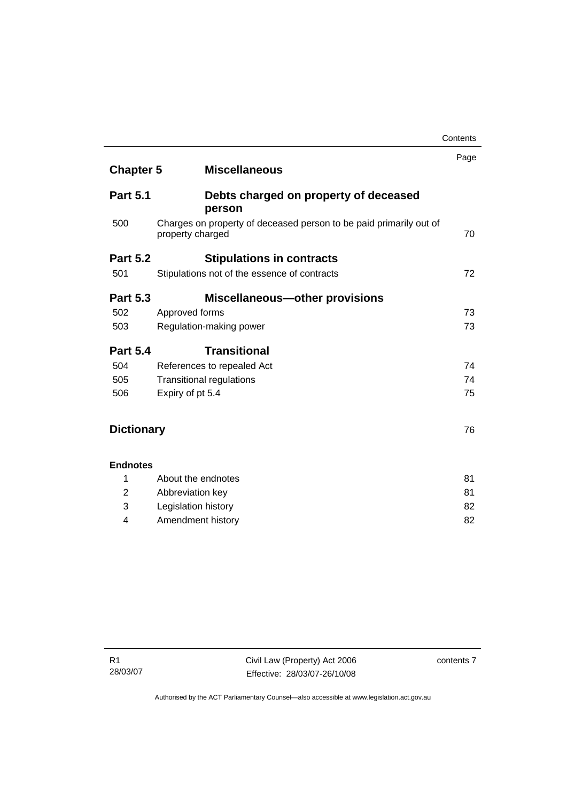|                   |                                                                                        | Page |
|-------------------|----------------------------------------------------------------------------------------|------|
| <b>Chapter 5</b>  | <b>Miscellaneous</b>                                                                   |      |
| <b>Part 5.1</b>   | Debts charged on property of deceased<br>person                                        |      |
| 500               | Charges on property of deceased person to be paid primarily out of<br>property charged | 70   |
| <b>Part 5.2</b>   | <b>Stipulations in contracts</b>                                                       |      |
| 501               | Stipulations not of the essence of contracts                                           | 72   |
| <b>Part 5.3</b>   | <b>Miscellaneous-other provisions</b>                                                  |      |
| 502               | Approved forms                                                                         | 73   |
| 503               | Regulation-making power                                                                | 73   |
| <b>Part 5.4</b>   | <b>Transitional</b>                                                                    |      |
| 504               | References to repealed Act                                                             | 74   |
| 505               | <b>Transitional regulations</b>                                                        | 74   |
| 506               | Expiry of pt 5.4                                                                       | 75   |
| <b>Dictionary</b> |                                                                                        | 76   |
| <b>Endnotes</b>   |                                                                                        |      |
| 1                 | About the endnotes                                                                     | 81   |
| 2                 | Abbreviation key                                                                       | 81   |
| 3                 | Legislation history                                                                    | 82   |

4 Amendment history [82](#page-91-0)

**Contents**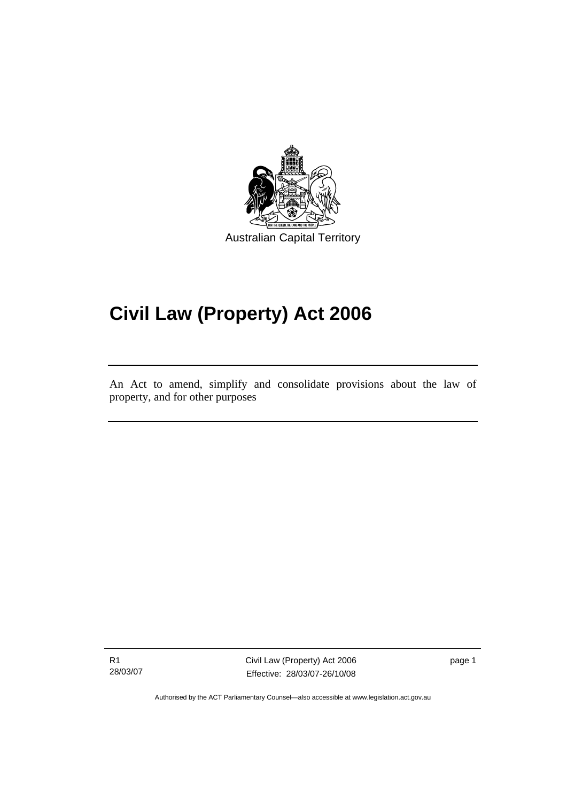<span id="page-10-0"></span>

# **Civil Law (Property) Act 2006**

An Act to amend, simplify and consolidate provisions about the law of property, and for other purposes

R1 28/03/07

Ī

Civil Law (Property) Act 2006 Effective: 28/03/07-26/10/08

page 1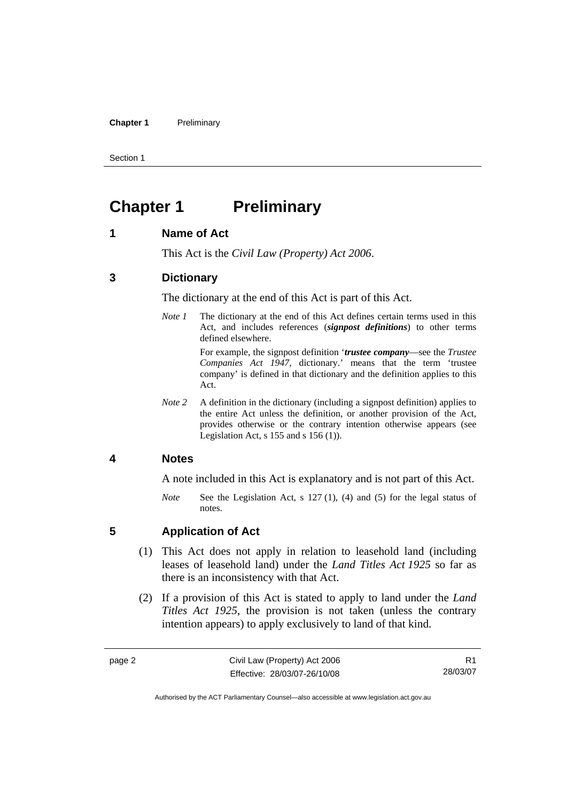#### <span id="page-11-0"></span>**Chapter 1** Preliminary

Section 1

# **Chapter 1** Preliminary

#### **1 Name of Act**

This Act is the *Civil Law (Property) Act 2006*.

#### **3 Dictionary**

The dictionary at the end of this Act is part of this Act.

*Note 1* The dictionary at the end of this Act defines certain terms used in this Act, and includes references (*signpost definitions*) to other terms defined elsewhere.

> For example, the signpost definition '*trustee company*—see the *Trustee Companies Act 1947*, dictionary.' means that the term 'trustee company' is defined in that dictionary and the definition applies to this Act.

*Note* 2 A definition in the dictionary (including a signpost definition) applies to the entire Act unless the definition, or another provision of the Act, provides otherwise or the contrary intention otherwise appears (see Legislation Act,  $s$  155 and  $s$  156 (1)).

#### **4 Notes**

A note included in this Act is explanatory and is not part of this Act.

*Note* See the Legislation Act, s 127 (1), (4) and (5) for the legal status of notes.

#### **5 Application of Act**

- (1) This Act does not apply in relation to leasehold land (including leases of leasehold land) under the *Land Titles Act 1925* so far as there is an inconsistency with that Act.
- (2) If a provision of this Act is stated to apply to land under the *Land Titles Act 1925*, the provision is not taken (unless the contrary intention appears) to apply exclusively to land of that kind.

R1 28/03/07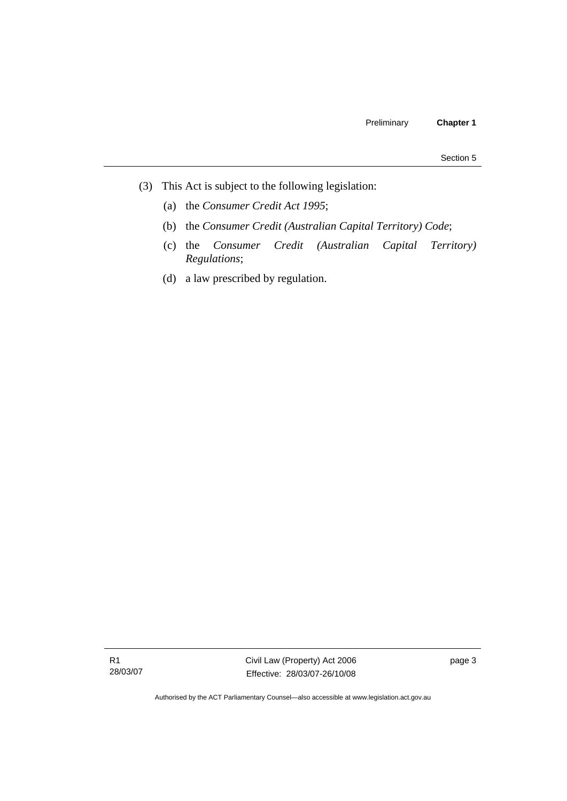- (3) This Act is subject to the following legislation:
	- (a) the *Consumer Credit Act 1995*;
	- (b) the *Consumer Credit (Australian Capital Territory) Code*;
	- (c) the *Consumer Credit (Australian Capital Territory) Regulations*;
	- (d) a law prescribed by regulation.

R1 28/03/07 Civil Law (Property) Act 2006 Effective: 28/03/07-26/10/08

page 3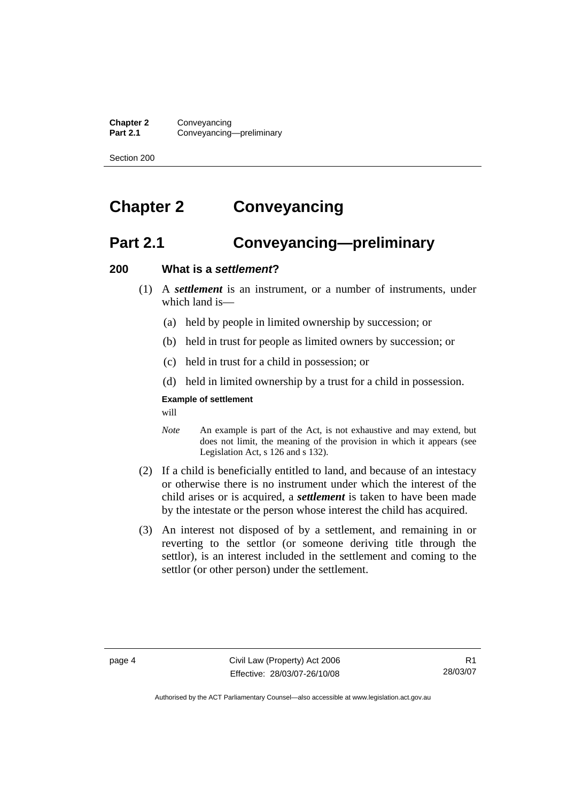<span id="page-13-0"></span>**Chapter 2** Conveyancing<br>**Part 2.1** Conveyancing **Part 2.1** Conveyancing—preliminary

Section 200

# **Chapter 2 Conveyancing**

# **Part 2.1 Conveyancing—preliminary**

#### **200 What is a** *settlement***?**

- (1) A *settlement* is an instrument, or a number of instruments, under which land is—
	- (a) held by people in limited ownership by succession; or
	- (b) held in trust for people as limited owners by succession; or
	- (c) held in trust for a child in possession; or
	- (d) held in limited ownership by a trust for a child in possession.

## **Example of settlement**

will

- *Note* An example is part of the Act, is not exhaustive and may extend, but does not limit, the meaning of the provision in which it appears (see Legislation Act, s 126 and s 132).
- (2) If a child is beneficially entitled to land, and because of an intestacy or otherwise there is no instrument under which the interest of the child arises or is acquired, a *settlement* is taken to have been made by the intestate or the person whose interest the child has acquired.
- (3) An interest not disposed of by a settlement, and remaining in or reverting to the settlor (or someone deriving title through the settlor), is an interest included in the settlement and coming to the settlor (or other person) under the settlement.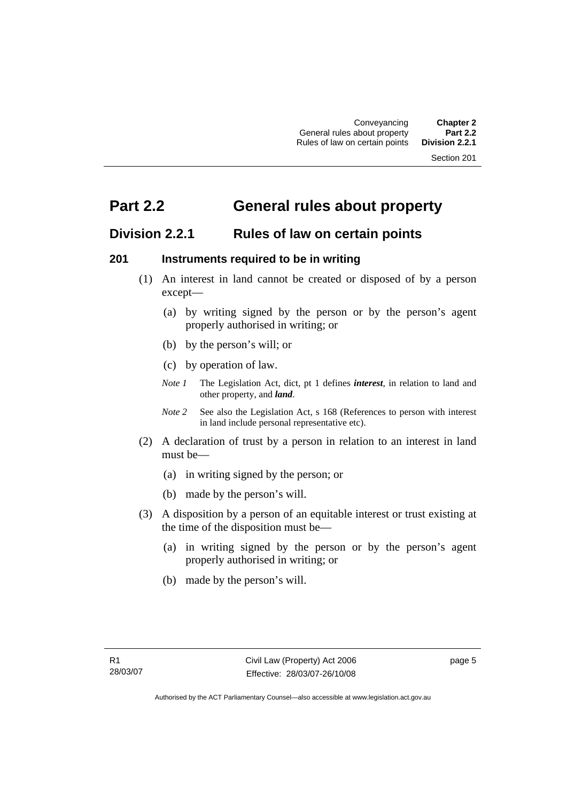Section 201

# <span id="page-14-0"></span>**Part 2.2 General rules about property**

## **Division 2.2.1 Rules of law on certain points**

#### **201 Instruments required to be in writing**

- (1) An interest in land cannot be created or disposed of by a person except—
	- (a) by writing signed by the person or by the person's agent properly authorised in writing; or
	- (b) by the person's will; or
	- (c) by operation of law.
	- *Note 1* The Legislation Act, dict, pt 1 defines *interest*, in relation to land and other property, and *land*.
	- *Note 2* See also the Legislation Act, s 168 (References to person with interest in land include personal representative etc).
- (2) A declaration of trust by a person in relation to an interest in land must be—
	- (a) in writing signed by the person; or
	- (b) made by the person's will.
- (3) A disposition by a person of an equitable interest or trust existing at the time of the disposition must be—
	- (a) in writing signed by the person or by the person's agent properly authorised in writing; or
	- (b) made by the person's will.

page 5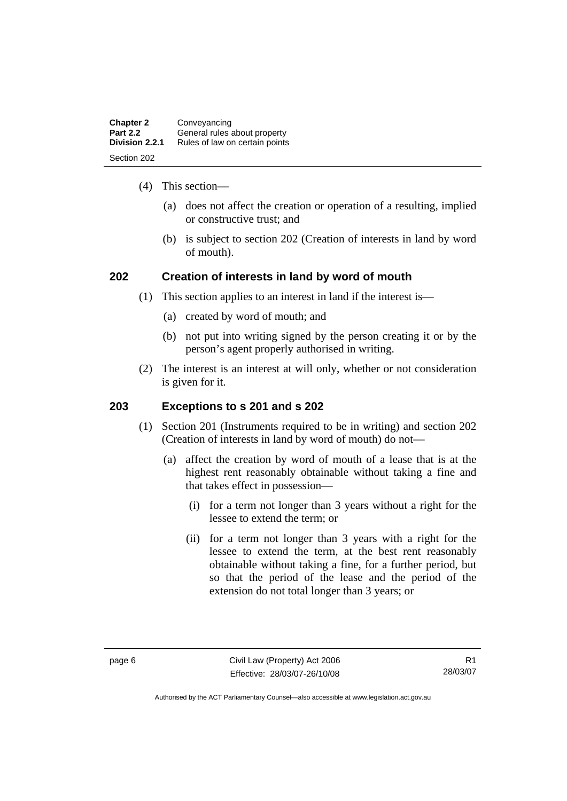<span id="page-15-0"></span>

| <b>Chapter 2</b> | Conveyancing                   |
|------------------|--------------------------------|
| <b>Part 2.2</b>  | General rules about property   |
| Division 2.2.1   | Rules of law on certain points |
| Section 202      |                                |

- (4) This section—
	- (a) does not affect the creation or operation of a resulting, implied or constructive trust; and
	- (b) is subject to section 202 (Creation of interests in land by word of mouth).

## **202 Creation of interests in land by word of mouth**

- (1) This section applies to an interest in land if the interest is—
	- (a) created by word of mouth; and
	- (b) not put into writing signed by the person creating it or by the person's agent properly authorised in writing.
- (2) The interest is an interest at will only, whether or not consideration is given for it.

## **203 Exceptions to s 201 and s 202**

- (1) Section 201 (Instruments required to be in writing) and section 202 (Creation of interests in land by word of mouth) do not—
	- (a) affect the creation by word of mouth of a lease that is at the highest rent reasonably obtainable without taking a fine and that takes effect in possession—
		- (i) for a term not longer than 3 years without a right for the lessee to extend the term; or
		- (ii) for a term not longer than 3 years with a right for the lessee to extend the term, at the best rent reasonably obtainable without taking a fine, for a further period, but so that the period of the lease and the period of the extension do not total longer than 3 years; or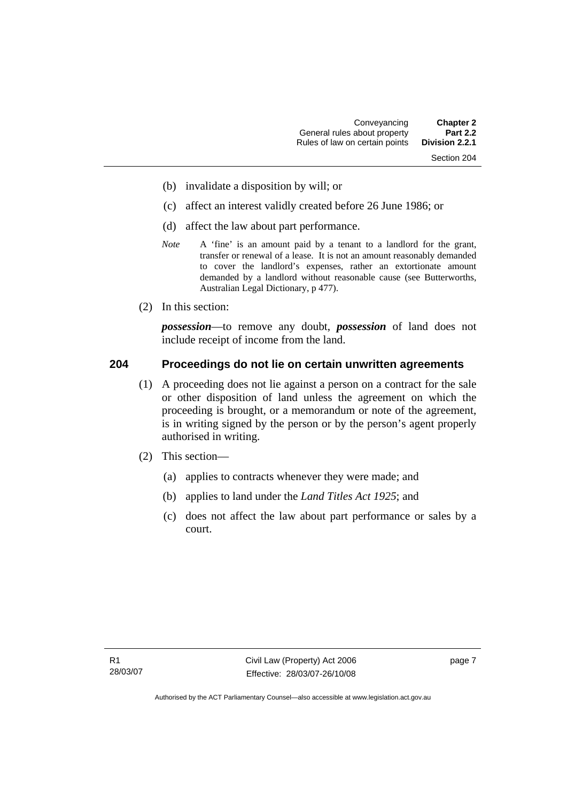- <span id="page-16-0"></span>(b) invalidate a disposition by will; or
- (c) affect an interest validly created before 26 June 1986; or
- (d) affect the law about part performance.
- *Note* A 'fine' is an amount paid by a tenant to a landlord for the grant, transfer or renewal of a lease. It is not an amount reasonably demanded to cover the landlord's expenses, rather an extortionate amount demanded by a landlord without reasonable cause (see Butterworths, Australian Legal Dictionary, p 477).
- (2) In this section:

*possession*—to remove any doubt, *possession* of land does not include receipt of income from the land.

#### **204 Proceedings do not lie on certain unwritten agreements**

- (1) A proceeding does not lie against a person on a contract for the sale or other disposition of land unless the agreement on which the proceeding is brought, or a memorandum or note of the agreement, is in writing signed by the person or by the person's agent properly authorised in writing.
- (2) This section—
	- (a) applies to contracts whenever they were made; and
	- (b) applies to land under the *Land Titles Act 1925*; and
	- (c) does not affect the law about part performance or sales by a court.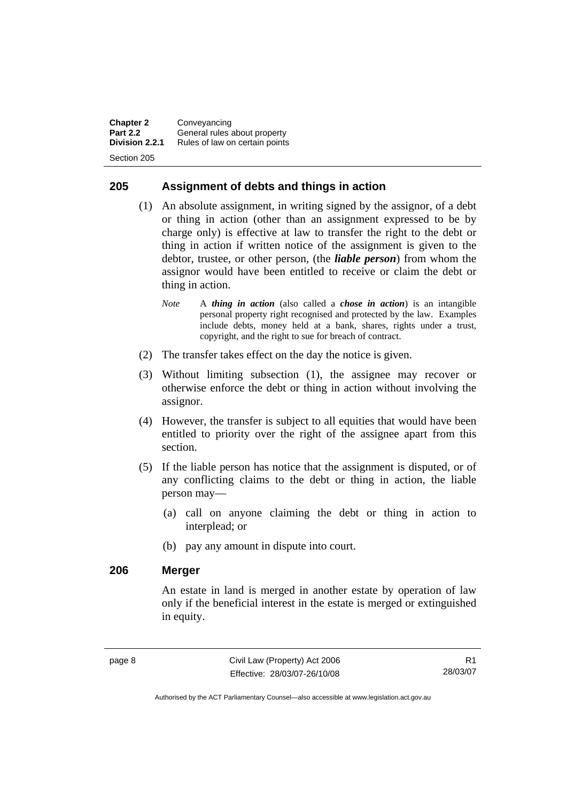<span id="page-17-0"></span>**Chapter 2 Conveyancing**<br>**Part 2.2 General rules Part 2.2** General rules about property<br>**Division 2.2.1** Rules of law on certain points **Division 2.2.1** Rules of law on certain points Section 205

#### **205 Assignment of debts and things in action**

- (1) An absolute assignment, in writing signed by the assignor, of a debt or thing in action (other than an assignment expressed to be by charge only) is effective at law to transfer the right to the debt or thing in action if written notice of the assignment is given to the debtor, trustee, or other person, (the *liable person*) from whom the assignor would have been entitled to receive or claim the debt or thing in action.
	- *Note* A *thing in action* (also called a *chose in action*) is an intangible personal property right recognised and protected by the law. Examples include debts, money held at a bank, shares, rights under a trust, copyright, and the right to sue for breach of contract.
- (2) The transfer takes effect on the day the notice is given.
- (3) Without limiting subsection (1), the assignee may recover or otherwise enforce the debt or thing in action without involving the assignor.
- (4) However, the transfer is subject to all equities that would have been entitled to priority over the right of the assignee apart from this section.
- (5) If the liable person has notice that the assignment is disputed, or of any conflicting claims to the debt or thing in action, the liable person may—
	- (a) call on anyone claiming the debt or thing in action to interplead; or
	- (b) pay any amount in dispute into court.

#### **206 Merger**

An estate in land is merged in another estate by operation of law only if the beneficial interest in the estate is merged or extinguished in equity.

R1 28/03/07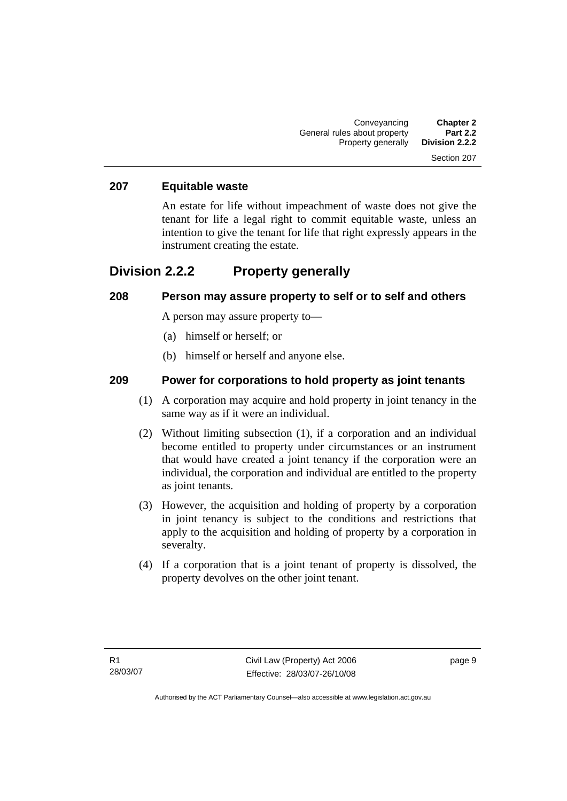#### <span id="page-18-0"></span>**207 Equitable waste**

An estate for life without impeachment of waste does not give the tenant for life a legal right to commit equitable waste, unless an intention to give the tenant for life that right expressly appears in the instrument creating the estate.

## **Division 2.2.2 Property generally**

#### **208 Person may assure property to self or to self and others**

A person may assure property to—

- (a) himself or herself; or
- (b) himself or herself and anyone else.

#### **209 Power for corporations to hold property as joint tenants**

- (1) A corporation may acquire and hold property in joint tenancy in the same way as if it were an individual.
- (2) Without limiting subsection (1), if a corporation and an individual become entitled to property under circumstances or an instrument that would have created a joint tenancy if the corporation were an individual, the corporation and individual are entitled to the property as joint tenants.
- (3) However, the acquisition and holding of property by a corporation in joint tenancy is subject to the conditions and restrictions that apply to the acquisition and holding of property by a corporation in severalty.
- (4) If a corporation that is a joint tenant of property is dissolved, the property devolves on the other joint tenant.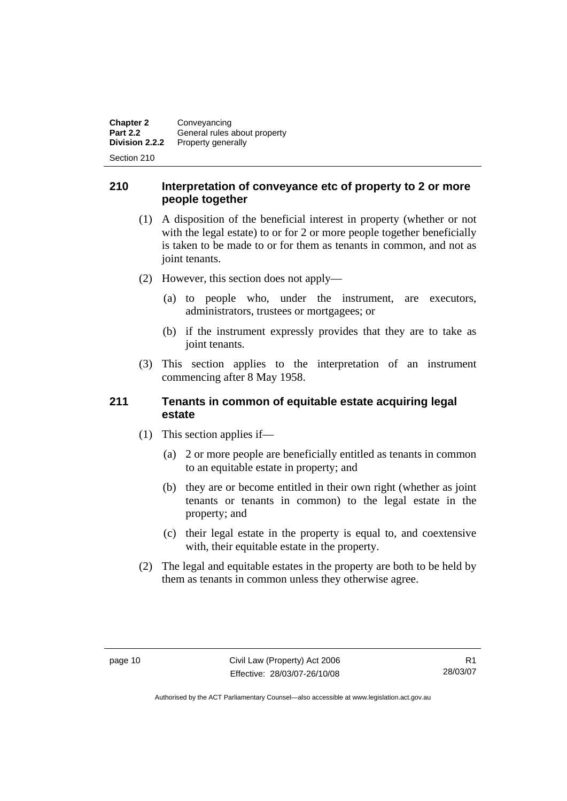<span id="page-19-0"></span>**Chapter 2** Conveyancing<br>**Part 2.2** General rules **Part 2.2** General rules about property<br>**Division 2.2.2** Property generally **Property generally** 

Section 210

#### **210 Interpretation of conveyance etc of property to 2 or more people together**

- (1) A disposition of the beneficial interest in property (whether or not with the legal estate) to or for 2 or more people together beneficially is taken to be made to or for them as tenants in common, and not as joint tenants.
- (2) However, this section does not apply—
	- (a) to people who, under the instrument, are executors, administrators, trustees or mortgagees; or
	- (b) if the instrument expressly provides that they are to take as joint tenants.
- (3) This section applies to the interpretation of an instrument commencing after 8 May 1958.

## **211 Tenants in common of equitable estate acquiring legal estate**

- (1) This section applies if—
	- (a) 2 or more people are beneficially entitled as tenants in common to an equitable estate in property; and
	- (b) they are or become entitled in their own right (whether as joint tenants or tenants in common) to the legal estate in the property; and
	- (c) their legal estate in the property is equal to, and coextensive with, their equitable estate in the property.
- (2) The legal and equitable estates in the property are both to be held by them as tenants in common unless they otherwise agree.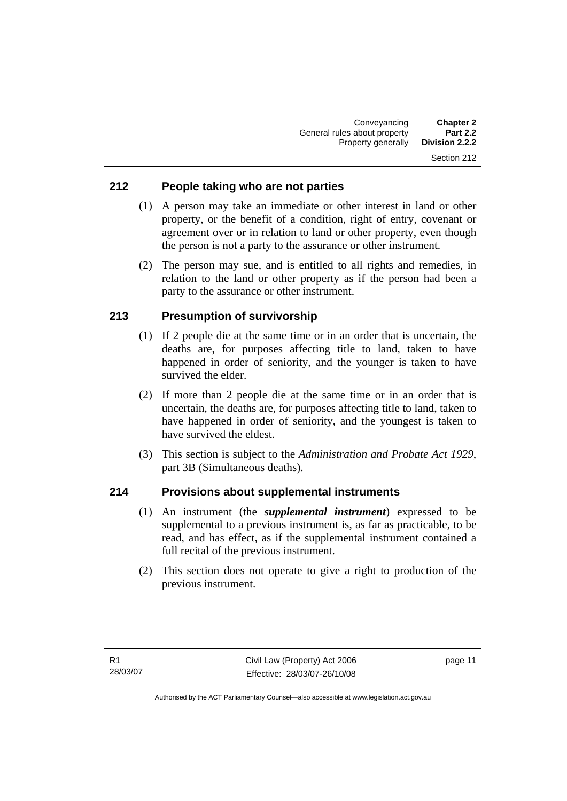#### <span id="page-20-0"></span>**212 People taking who are not parties**

- (1) A person may take an immediate or other interest in land or other property, or the benefit of a condition, right of entry, covenant or agreement over or in relation to land or other property, even though the person is not a party to the assurance or other instrument.
- (2) The person may sue, and is entitled to all rights and remedies, in relation to the land or other property as if the person had been a party to the assurance or other instrument.

#### **213 Presumption of survivorship**

- (1) If 2 people die at the same time or in an order that is uncertain, the deaths are, for purposes affecting title to land, taken to have happened in order of seniority, and the younger is taken to have survived the elder.
- (2) If more than 2 people die at the same time or in an order that is uncertain, the deaths are, for purposes affecting title to land, taken to have happened in order of seniority, and the youngest is taken to have survived the eldest.
- (3) This section is subject to the *Administration and Probate Act 1929*, part 3B (Simultaneous deaths).

#### **214 Provisions about supplemental instruments**

- (1) An instrument (the *supplemental instrument*) expressed to be supplemental to a previous instrument is, as far as practicable, to be read, and has effect, as if the supplemental instrument contained a full recital of the previous instrument.
- (2) This section does not operate to give a right to production of the previous instrument.

page 11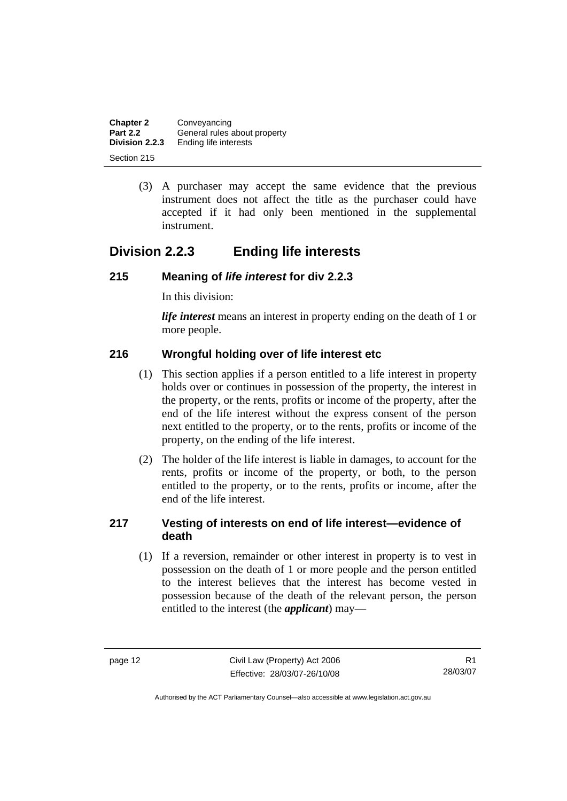<span id="page-21-0"></span>

| <b>Chapter 2</b> | Conveyancing                 |
|------------------|------------------------------|
| <b>Part 2.2</b>  | General rules about property |
| Division 2.2.3   | Ending life interests        |
| Section 215      |                              |

 (3) A purchaser may accept the same evidence that the previous instrument does not affect the title as the purchaser could have accepted if it had only been mentioned in the supplemental instrument.

# **Division 2.2.3 Ending life interests**

## **215 Meaning of** *life interest* **for div 2.2.3**

In this division:

*life interest* means an interest in property ending on the death of 1 or more people.

## **216 Wrongful holding over of life interest etc**

- (1) This section applies if a person entitled to a life interest in property holds over or continues in possession of the property, the interest in the property, or the rents, profits or income of the property, after the end of the life interest without the express consent of the person next entitled to the property, or to the rents, profits or income of the property, on the ending of the life interest.
- (2) The holder of the life interest is liable in damages, to account for the rents, profits or income of the property, or both, to the person entitled to the property, or to the rents, profits or income, after the end of the life interest.

## **217 Vesting of interests on end of life interest—evidence of death**

 (1) If a reversion, remainder or other interest in property is to vest in possession on the death of 1 or more people and the person entitled to the interest believes that the interest has become vested in possession because of the death of the relevant person, the person entitled to the interest (the *applicant*) may—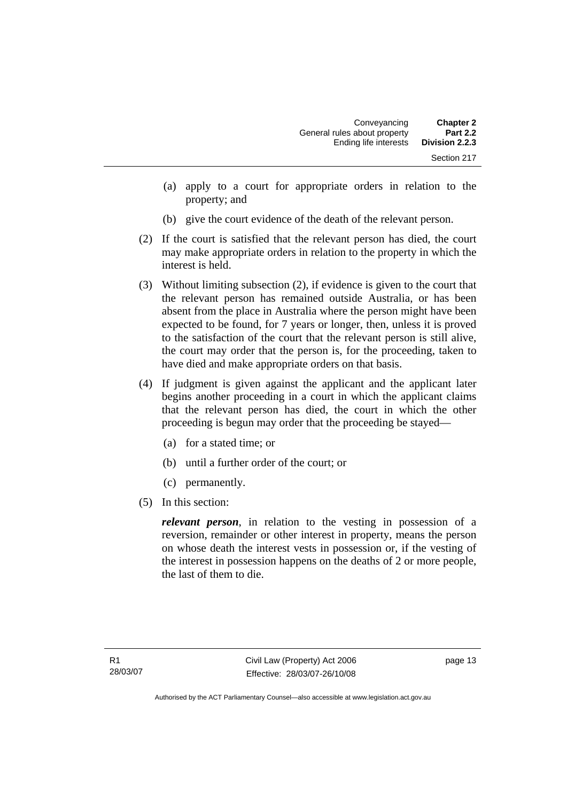- (a) apply to a court for appropriate orders in relation to the property; and
- (b) give the court evidence of the death of the relevant person.
- (2) If the court is satisfied that the relevant person has died, the court may make appropriate orders in relation to the property in which the interest is held.
- (3) Without limiting subsection (2), if evidence is given to the court that the relevant person has remained outside Australia, or has been absent from the place in Australia where the person might have been expected to be found, for 7 years or longer, then, unless it is proved to the satisfaction of the court that the relevant person is still alive, the court may order that the person is, for the proceeding, taken to have died and make appropriate orders on that basis.
- (4) If judgment is given against the applicant and the applicant later begins another proceeding in a court in which the applicant claims that the relevant person has died, the court in which the other proceeding is begun may order that the proceeding be stayed—
	- (a) for a stated time; or
	- (b) until a further order of the court; or
	- (c) permanently.
- (5) In this section:

*relevant person*, in relation to the vesting in possession of a reversion, remainder or other interest in property, means the person on whose death the interest vests in possession or, if the vesting of the interest in possession happens on the deaths of 2 or more people, the last of them to die.

page 13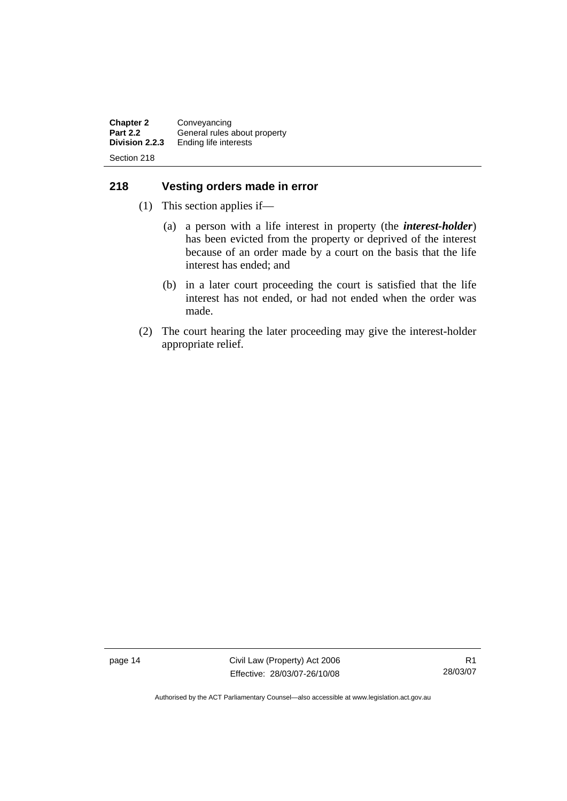<span id="page-23-0"></span>**Chapter 2 Conveyancing**<br>**Part 2.2 General rules Part 2.2** General rules about property<br>**Division 2.2.3** Ending life interests **Ending life interests** Section 218

## **218 Vesting orders made in error**

- (1) This section applies if—
	- (a) a person with a life interest in property (the *interest-holder*) has been evicted from the property or deprived of the interest because of an order made by a court on the basis that the life interest has ended; and
	- (b) in a later court proceeding the court is satisfied that the life interest has not ended, or had not ended when the order was made.
- (2) The court hearing the later proceeding may give the interest-holder appropriate relief.

page 14 Civil Law (Property) Act 2006 Effective: 28/03/07-26/10/08

R1 28/03/07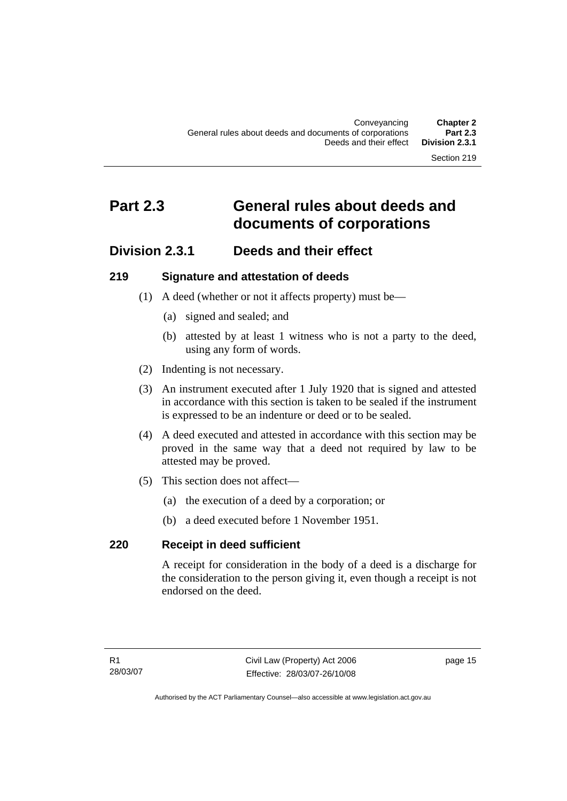# <span id="page-24-0"></span>**Part 2.3 General rules about deeds and documents of corporations**

## **Division 2.3.1 Deeds and their effect**

#### **219 Signature and attestation of deeds**

- (1) A deed (whether or not it affects property) must be—
	- (a) signed and sealed; and
	- (b) attested by at least 1 witness who is not a party to the deed, using any form of words.
- (2) Indenting is not necessary.
- (3) An instrument executed after 1 July 1920 that is signed and attested in accordance with this section is taken to be sealed if the instrument is expressed to be an indenture or deed or to be sealed.
- (4) A deed executed and attested in accordance with this section may be proved in the same way that a deed not required by law to be attested may be proved.
- (5) This section does not affect—
	- (a) the execution of a deed by a corporation; or
	- (b) a deed executed before 1 November 1951.

## **220 Receipt in deed sufficient**

A receipt for consideration in the body of a deed is a discharge for the consideration to the person giving it, even though a receipt is not endorsed on the deed.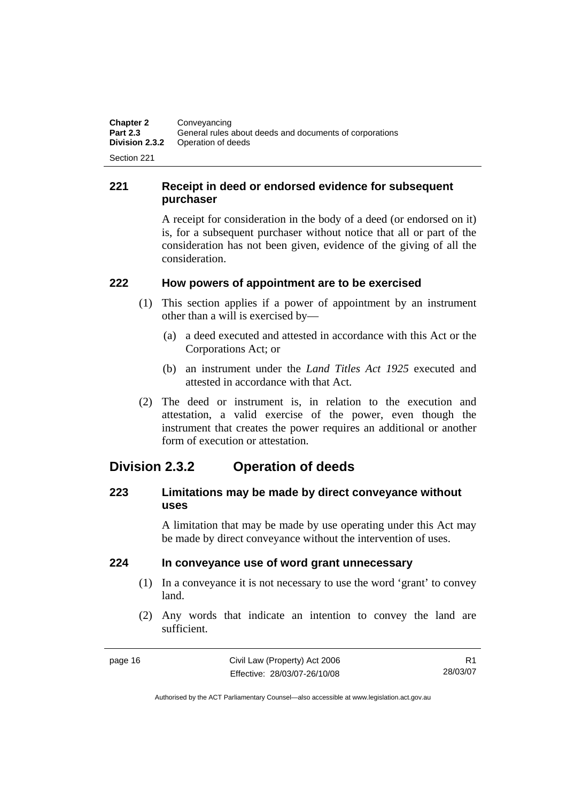<span id="page-25-0"></span>**Chapter 2 Conveyancing**<br>**Part 2.3 General rules Part 2.3** General rules about deeds and documents of corporations<br>**Division 2.3.2** Operation of deeds **Operation of deeds** Section 221

**221 Receipt in deed or endorsed evidence for subsequent purchaser** 

> A receipt for consideration in the body of a deed (or endorsed on it) is, for a subsequent purchaser without notice that all or part of the consideration has not been given, evidence of the giving of all the consideration.

#### **222 How powers of appointment are to be exercised**

- (1) This section applies if a power of appointment by an instrument other than a will is exercised by—
	- (a) a deed executed and attested in accordance with this Act or the Corporations Act; or
	- (b) an instrument under the *Land Titles Act 1925* executed and attested in accordance with that Act.
- (2) The deed or instrument is, in relation to the execution and attestation, a valid exercise of the power, even though the instrument that creates the power requires an additional or another form of execution or attestation.

## **Division 2.3.2 Operation of deeds**

## **223 Limitations may be made by direct conveyance without uses**

A limitation that may be made by use operating under this Act may be made by direct conveyance without the intervention of uses.

## **224 In conveyance use of word grant unnecessary**

- (1) In a conveyance it is not necessary to use the word 'grant' to convey land.
- (2) Any words that indicate an intention to convey the land are sufficient.

R1 28/03/07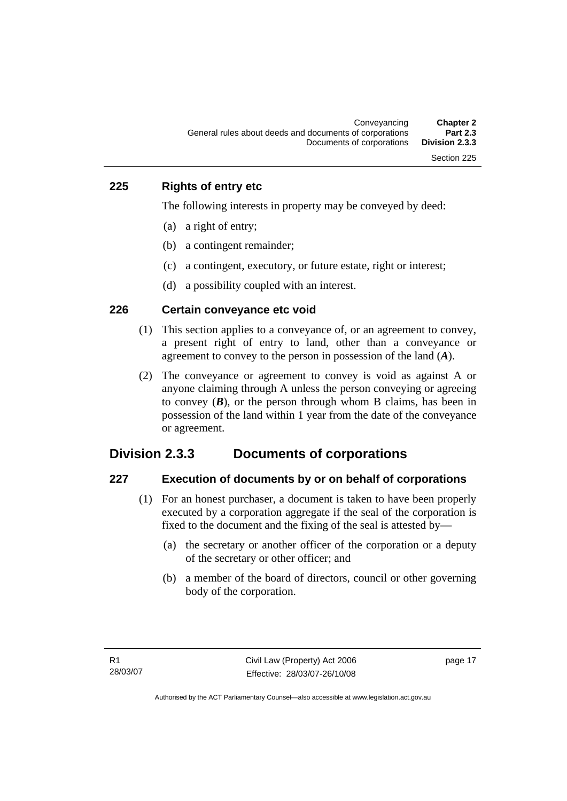#### <span id="page-26-0"></span>**225 Rights of entry etc**

The following interests in property may be conveyed by deed:

- (a) a right of entry;
- (b) a contingent remainder;
- (c) a contingent, executory, or future estate, right or interest;
- (d) a possibility coupled with an interest.

#### **226 Certain conveyance etc void**

- (1) This section applies to a conveyance of, or an agreement to convey, a present right of entry to land, other than a conveyance or agreement to convey to the person in possession of the land (*A*).
- (2) The conveyance or agreement to convey is void as against A or anyone claiming through A unless the person conveying or agreeing to convey  $(B)$ , or the person through whom B claims, has been in possession of the land within 1 year from the date of the conveyance or agreement.

## **Division 2.3.3 Documents of corporations**

#### **227 Execution of documents by or on behalf of corporations**

- (1) For an honest purchaser, a document is taken to have been properly executed by a corporation aggregate if the seal of the corporation is fixed to the document and the fixing of the seal is attested by—
	- (a) the secretary or another officer of the corporation or a deputy of the secretary or other officer; and
	- (b) a member of the board of directors, council or other governing body of the corporation.

page 17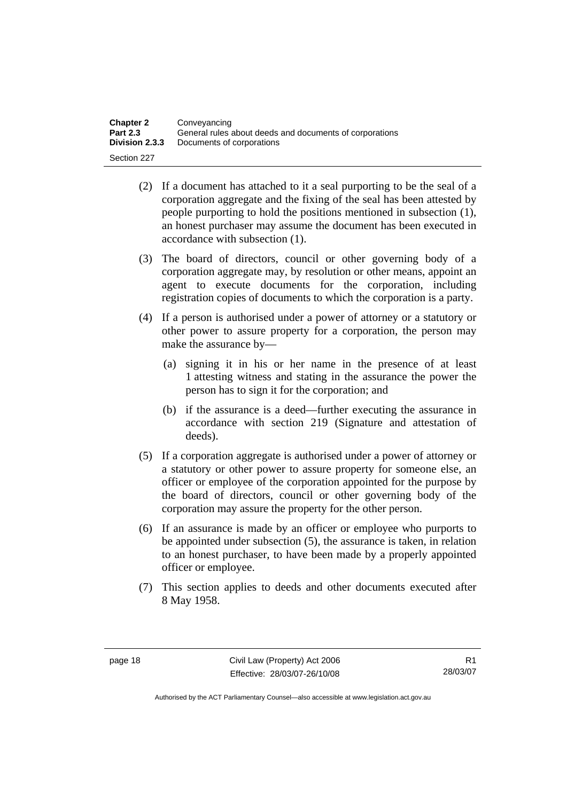| <b>Chapter 2</b> | Conveyancing                                            |
|------------------|---------------------------------------------------------|
| <b>Part 2.3</b>  | General rules about deeds and documents of corporations |
| Division 2.3.3   | Documents of corporations                               |
| Section 227      |                                                         |

- (2) If a document has attached to it a seal purporting to be the seal of a corporation aggregate and the fixing of the seal has been attested by people purporting to hold the positions mentioned in subsection (1), an honest purchaser may assume the document has been executed in accordance with subsection (1).
- (3) The board of directors, council or other governing body of a corporation aggregate may, by resolution or other means, appoint an agent to execute documents for the corporation, including registration copies of documents to which the corporation is a party.
- (4) If a person is authorised under a power of attorney or a statutory or other power to assure property for a corporation, the person may make the assurance by—
	- (a) signing it in his or her name in the presence of at least 1 attesting witness and stating in the assurance the power the person has to sign it for the corporation; and
	- (b) if the assurance is a deed—further executing the assurance in accordance with section 219 (Signature and attestation of deeds).
- (5) If a corporation aggregate is authorised under a power of attorney or a statutory or other power to assure property for someone else, an officer or employee of the corporation appointed for the purpose by the board of directors, council or other governing body of the corporation may assure the property for the other person.
- (6) If an assurance is made by an officer or employee who purports to be appointed under subsection (5), the assurance is taken, in relation to an honest purchaser, to have been made by a properly appointed officer or employee.
- (7) This section applies to deeds and other documents executed after 8 May 1958.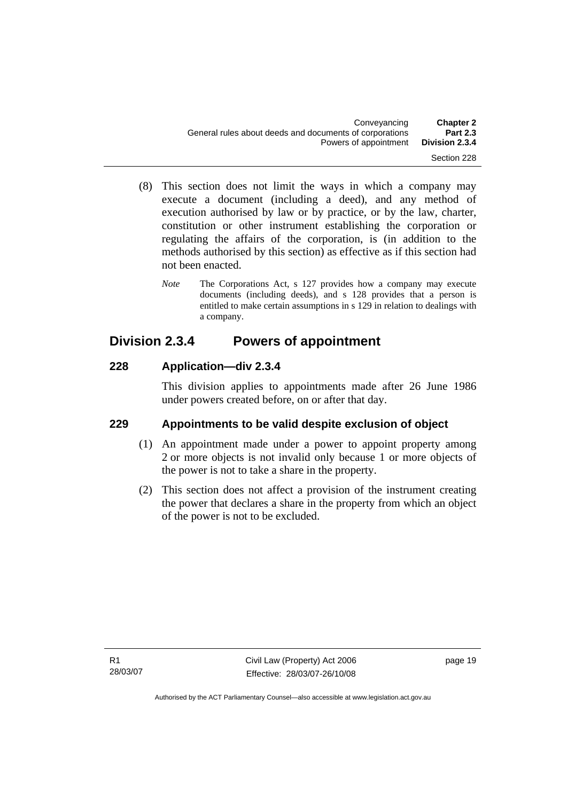- <span id="page-28-0"></span> (8) This section does not limit the ways in which a company may execute a document (including a deed), and any method of execution authorised by law or by practice, or by the law, charter, constitution or other instrument establishing the corporation or regulating the affairs of the corporation, is (in addition to the methods authorised by this section) as effective as if this section had not been enacted.
	- *Note* The Corporations Act, s 127 provides how a company may execute documents (including deeds), and s 128 provides that a person is entitled to make certain assumptions in s 129 in relation to dealings with a company.

# **Division 2.3.4 Powers of appointment**

## **228 Application—div 2.3.4**

This division applies to appointments made after 26 June 1986 under powers created before, on or after that day.

## **229 Appointments to be valid despite exclusion of object**

- (1) An appointment made under a power to appoint property among 2 or more objects is not invalid only because 1 or more objects of the power is not to take a share in the property.
- (2) This section does not affect a provision of the instrument creating the power that declares a share in the property from which an object of the power is not to be excluded.

page 19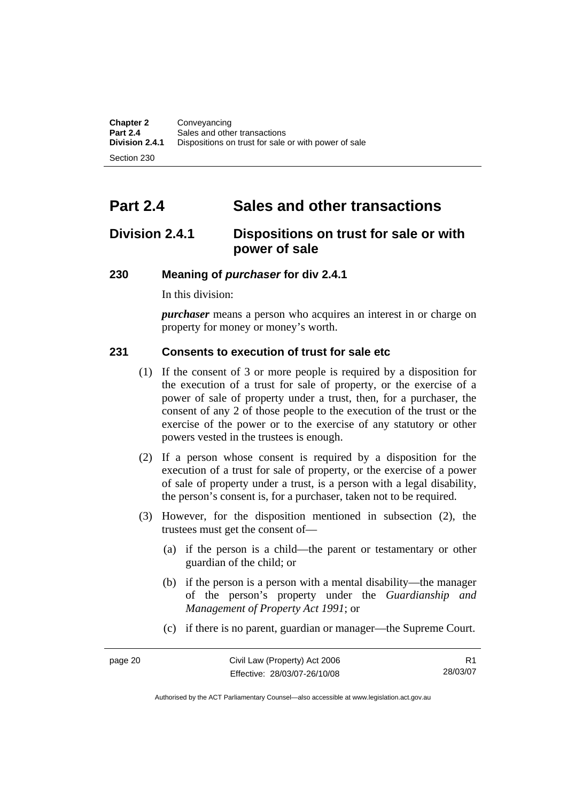<span id="page-29-0"></span>Section 230

# **Part 2.4 Sales and other transactions**

# **Division 2.4.1 Dispositions on trust for sale or with power of sale**

#### **230 Meaning of** *purchaser* **for div 2.4.1**

In this division:

*purchaser* means a person who acquires an interest in or charge on property for money or money's worth.

## **231 Consents to execution of trust for sale etc**

- (1) If the consent of 3 or more people is required by a disposition for the execution of a trust for sale of property, or the exercise of a power of sale of property under a trust, then, for a purchaser, the consent of any 2 of those people to the execution of the trust or the exercise of the power or to the exercise of any statutory or other powers vested in the trustees is enough.
- (2) If a person whose consent is required by a disposition for the execution of a trust for sale of property, or the exercise of a power of sale of property under a trust, is a person with a legal disability, the person's consent is, for a purchaser, taken not to be required.
- (3) However, for the disposition mentioned in subsection (2), the trustees must get the consent of—
	- (a) if the person is a child—the parent or testamentary or other guardian of the child; or
	- (b) if the person is a person with a mental disability—the manager of the person's property under the *Guardianship and Management of Property Act 1991*; or
	- (c) if there is no parent, guardian or manager—the Supreme Court.

R1 28/03/07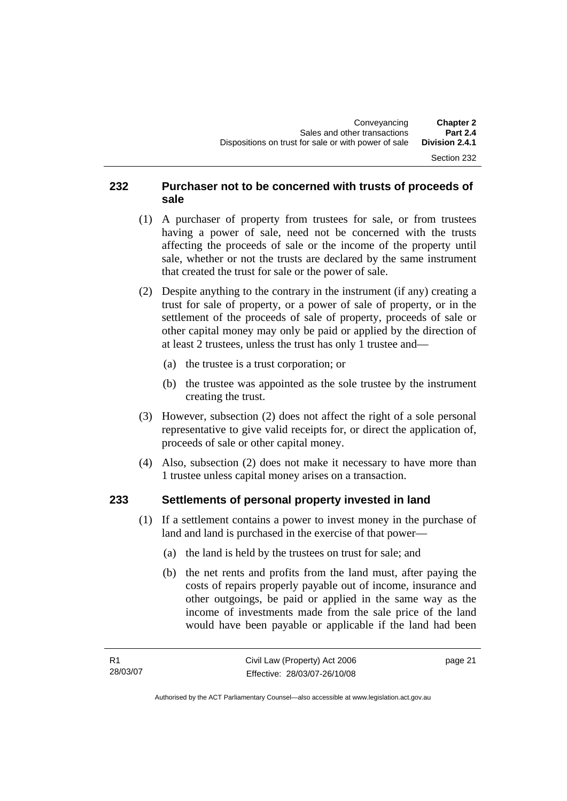#### Section 232

#### <span id="page-30-0"></span>**232 Purchaser not to be concerned with trusts of proceeds of sale**

- (1) A purchaser of property from trustees for sale, or from trustees having a power of sale, need not be concerned with the trusts affecting the proceeds of sale or the income of the property until sale, whether or not the trusts are declared by the same instrument that created the trust for sale or the power of sale.
- (2) Despite anything to the contrary in the instrument (if any) creating a trust for sale of property, or a power of sale of property, or in the settlement of the proceeds of sale of property, proceeds of sale or other capital money may only be paid or applied by the direction of at least 2 trustees, unless the trust has only 1 trustee and—
	- (a) the trustee is a trust corporation; or
	- (b) the trustee was appointed as the sole trustee by the instrument creating the trust.
- (3) However, subsection (2) does not affect the right of a sole personal representative to give valid receipts for, or direct the application of, proceeds of sale or other capital money.
- (4) Also, subsection (2) does not make it necessary to have more than 1 trustee unless capital money arises on a transaction.

#### **233 Settlements of personal property invested in land**

- (1) If a settlement contains a power to invest money in the purchase of land and land is purchased in the exercise of that power—
	- (a) the land is held by the trustees on trust for sale; and
	- (b) the net rents and profits from the land must, after paying the costs of repairs properly payable out of income, insurance and other outgoings, be paid or applied in the same way as the income of investments made from the sale price of the land would have been payable or applicable if the land had been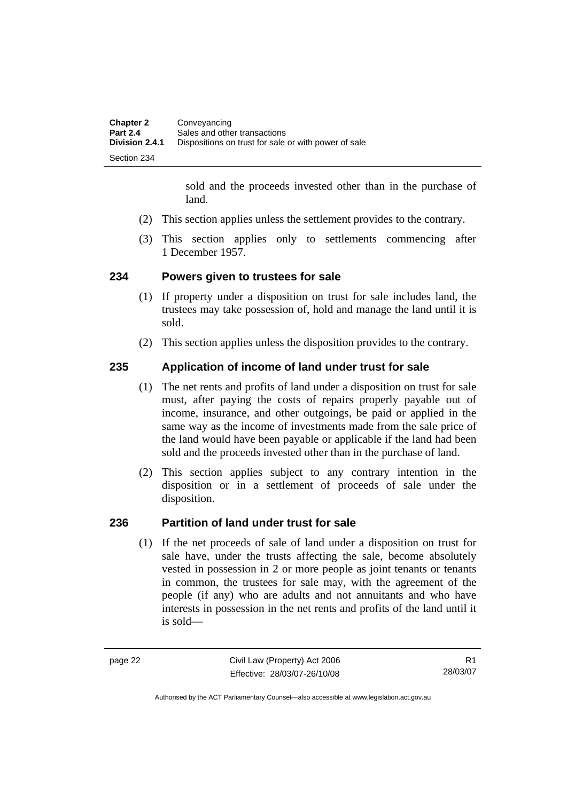<span id="page-31-0"></span>

| <b>Chapter 2</b> | Conveyancing                                         |
|------------------|------------------------------------------------------|
| <b>Part 2.4</b>  | Sales and other transactions                         |
| Division 2.4.1   | Dispositions on trust for sale or with power of sale |
| Section 234      |                                                      |

sold and the proceeds invested other than in the purchase of land.

- (2) This section applies unless the settlement provides to the contrary.
- (3) This section applies only to settlements commencing after 1 December 1957.

#### **234 Powers given to trustees for sale**

- (1) If property under a disposition on trust for sale includes land, the trustees may take possession of, hold and manage the land until it is sold.
- (2) This section applies unless the disposition provides to the contrary.

#### **235 Application of income of land under trust for sale**

- (1) The net rents and profits of land under a disposition on trust for sale must, after paying the costs of repairs properly payable out of income, insurance, and other outgoings, be paid or applied in the same way as the income of investments made from the sale price of the land would have been payable or applicable if the land had been sold and the proceeds invested other than in the purchase of land.
- (2) This section applies subject to any contrary intention in the disposition or in a settlement of proceeds of sale under the disposition.

#### **236 Partition of land under trust for sale**

 (1) If the net proceeds of sale of land under a disposition on trust for sale have, under the trusts affecting the sale, become absolutely vested in possession in 2 or more people as joint tenants or tenants in common, the trustees for sale may, with the agreement of the people (if any) who are adults and not annuitants and who have interests in possession in the net rents and profits of the land until it is sold—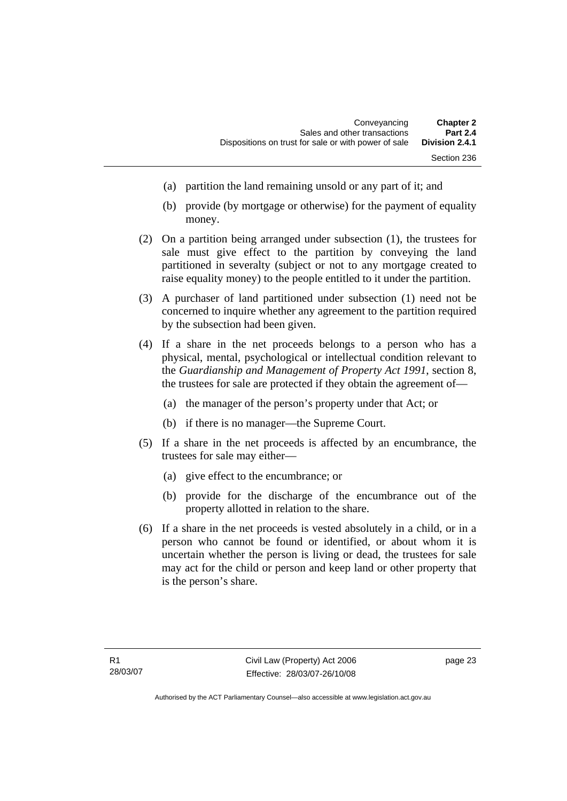- (a) partition the land remaining unsold or any part of it; and
- (b) provide (by mortgage or otherwise) for the payment of equality money.
- (2) On a partition being arranged under subsection (1), the trustees for sale must give effect to the partition by conveying the land partitioned in severalty (subject or not to any mortgage created to raise equality money) to the people entitled to it under the partition.
- (3) A purchaser of land partitioned under subsection (1) need not be concerned to inquire whether any agreement to the partition required by the subsection had been given.
- (4) If a share in the net proceeds belongs to a person who has a physical, mental, psychological or intellectual condition relevant to the *Guardianship and Management of Property Act 1991*, section 8, the trustees for sale are protected if they obtain the agreement of—
	- (a) the manager of the person's property under that Act; or
	- (b) if there is no manager—the Supreme Court.
- (5) If a share in the net proceeds is affected by an encumbrance, the trustees for sale may either—
	- (a) give effect to the encumbrance; or
	- (b) provide for the discharge of the encumbrance out of the property allotted in relation to the share.
- (6) If a share in the net proceeds is vested absolutely in a child, or in a person who cannot be found or identified, or about whom it is uncertain whether the person is living or dead, the trustees for sale may act for the child or person and keep land or other property that is the person's share.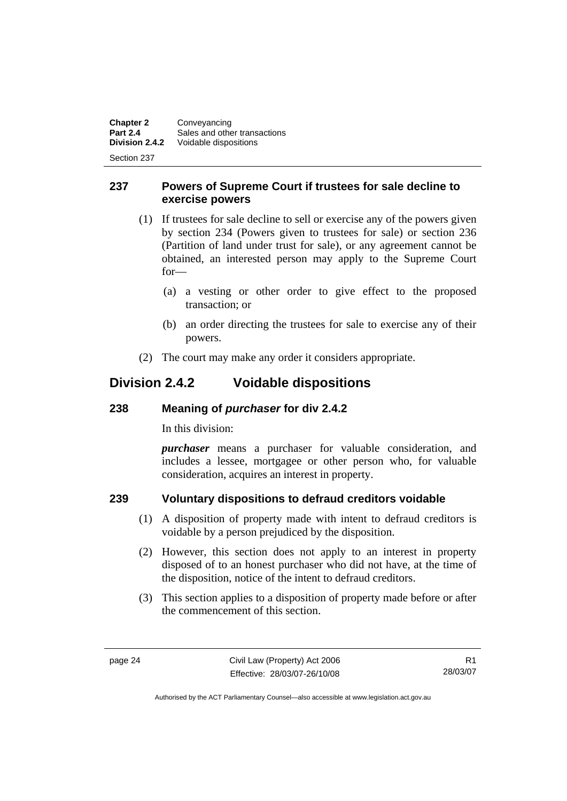<span id="page-33-0"></span>**Chapter 2** Conveyancing<br>**Part 2.4** Sales and other **Part 2.4** Sales and other transactions<br>**Division 2.4.2** Voidable dispositions **Division 2.4.2** Voidable dispositions

Section 237

#### **237 Powers of Supreme Court if trustees for sale decline to exercise powers**

- (1) If trustees for sale decline to sell or exercise any of the powers given by section 234 (Powers given to trustees for sale) or section 236 (Partition of land under trust for sale), or any agreement cannot be obtained, an interested person may apply to the Supreme Court for—
	- (a) a vesting or other order to give effect to the proposed transaction; or
	- (b) an order directing the trustees for sale to exercise any of their powers.
- (2) The court may make any order it considers appropriate.

# **Division 2.4.2 Voidable dispositions**

## **238 Meaning of** *purchaser* **for div 2.4.2**

In this division:

*purchaser* means a purchaser for valuable consideration, and includes a lessee, mortgagee or other person who, for valuable consideration, acquires an interest in property.

## **239 Voluntary dispositions to defraud creditors voidable**

- (1) A disposition of property made with intent to defraud creditors is voidable by a person prejudiced by the disposition.
- (2) However, this section does not apply to an interest in property disposed of to an honest purchaser who did not have, at the time of the disposition, notice of the intent to defraud creditors.
- (3) This section applies to a disposition of property made before or after the commencement of this section.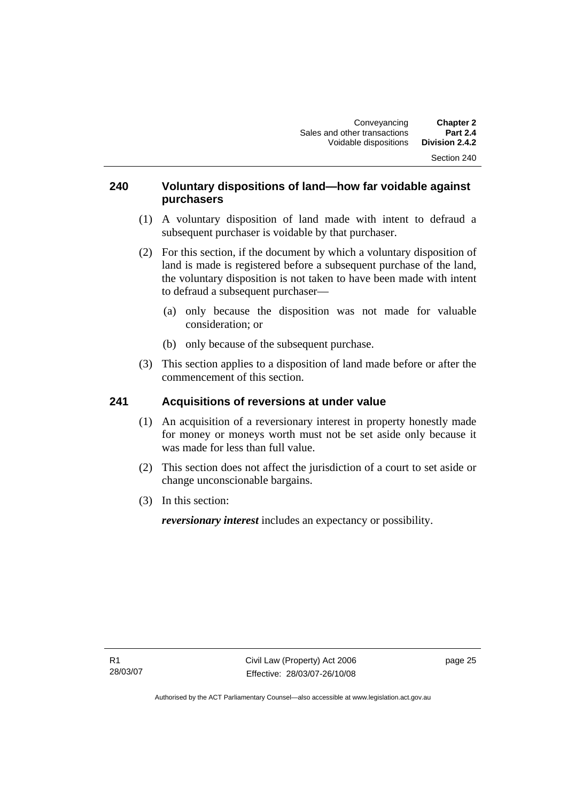#### <span id="page-34-0"></span>**240 Voluntary dispositions of land—how far voidable against purchasers**

- (1) A voluntary disposition of land made with intent to defraud a subsequent purchaser is voidable by that purchaser.
- (2) For this section, if the document by which a voluntary disposition of land is made is registered before a subsequent purchase of the land, the voluntary disposition is not taken to have been made with intent to defraud a subsequent purchaser—
	- (a) only because the disposition was not made for valuable consideration; or
	- (b) only because of the subsequent purchase.
- (3) This section applies to a disposition of land made before or after the commencement of this section.

## **241 Acquisitions of reversions at under value**

- (1) An acquisition of a reversionary interest in property honestly made for money or moneys worth must not be set aside only because it was made for less than full value.
- (2) This section does not affect the jurisdiction of a court to set aside or change unconscionable bargains.
- (3) In this section:

*reversionary interest* includes an expectancy or possibility.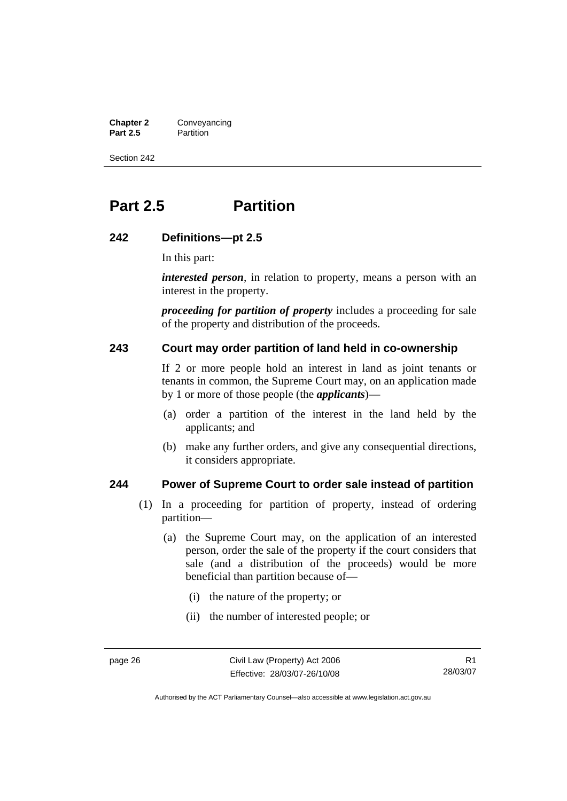<span id="page-35-0"></span>**Chapter 2** Conveyancing<br>**Part 2.5** Partition **Partition** 

Section 242

# **Part 2.5 Partition**

#### **242 Definitions—pt 2.5**

In this part:

*interested person*, in relation to property, means a person with an interest in the property.

*proceeding for partition of property* includes a proceeding for sale of the property and distribution of the proceeds.

#### **243 Court may order partition of land held in co-ownership**

If 2 or more people hold an interest in land as joint tenants or tenants in common, the Supreme Court may, on an application made by 1 or more of those people (the *applicants*)—

- (a) order a partition of the interest in the land held by the applicants; and
- (b) make any further orders, and give any consequential directions, it considers appropriate.

#### **244 Power of Supreme Court to order sale instead of partition**

- (1) In a proceeding for partition of property, instead of ordering partition—
	- (a) the Supreme Court may, on the application of an interested person, order the sale of the property if the court considers that sale (and a distribution of the proceeds) would be more beneficial than partition because of—
		- (i) the nature of the property; or
		- (ii) the number of interested people; or

R1 28/03/07

Authorised by the ACT Parliamentary Counsel—also accessible at www.legislation.act.gov.au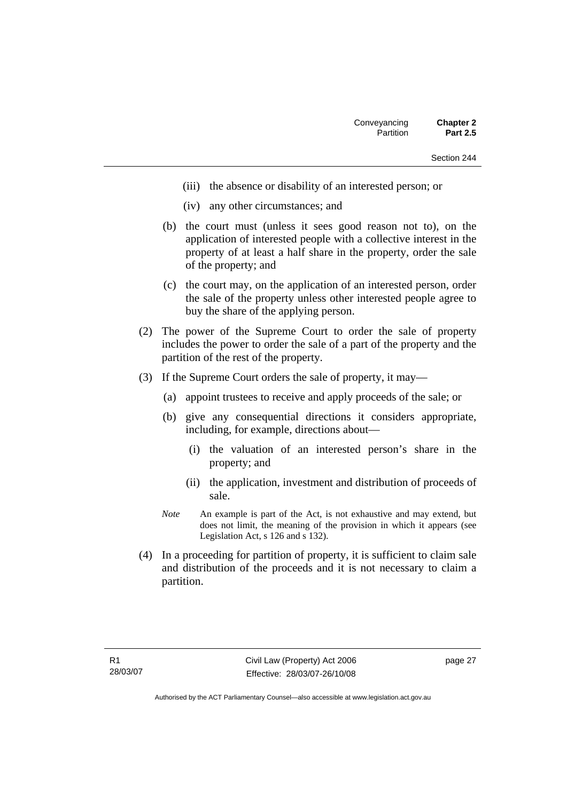- (iii) the absence or disability of an interested person; or
- (iv) any other circumstances; and
- (b) the court must (unless it sees good reason not to), on the application of interested people with a collective interest in the property of at least a half share in the property, order the sale of the property; and
- (c) the court may, on the application of an interested person, order the sale of the property unless other interested people agree to buy the share of the applying person.
- (2) The power of the Supreme Court to order the sale of property includes the power to order the sale of a part of the property and the partition of the rest of the property.
- (3) If the Supreme Court orders the sale of property, it may—
	- (a) appoint trustees to receive and apply proceeds of the sale; or
	- (b) give any consequential directions it considers appropriate, including, for example, directions about—
		- (i) the valuation of an interested person's share in the property; and
		- (ii) the application, investment and distribution of proceeds of sale.
	- *Note* An example is part of the Act, is not exhaustive and may extend, but does not limit, the meaning of the provision in which it appears (see Legislation Act, s 126 and s 132).
- (4) In a proceeding for partition of property, it is sufficient to claim sale and distribution of the proceeds and it is not necessary to claim a partition.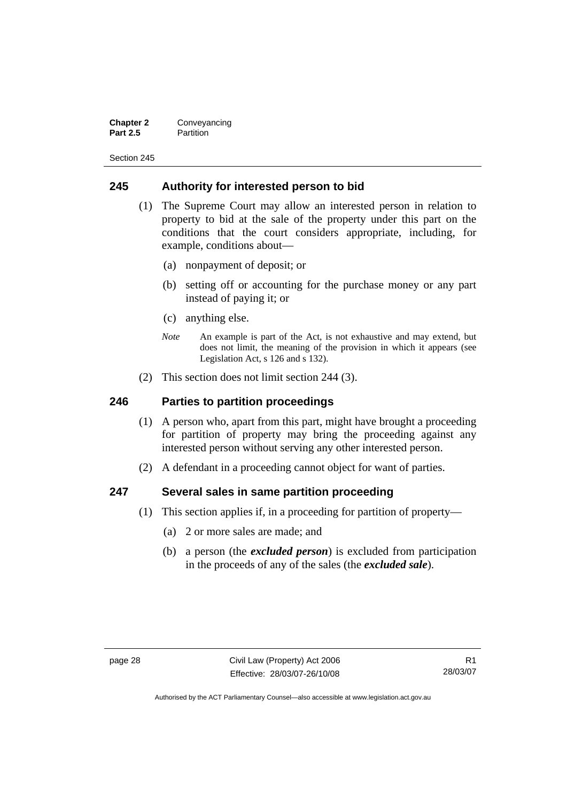| <b>Chapter 2</b> | Conveyancing |
|------------------|--------------|
| <b>Part 2.5</b>  | Partition    |

### **245 Authority for interested person to bid**

- (1) The Supreme Court may allow an interested person in relation to property to bid at the sale of the property under this part on the conditions that the court considers appropriate, including, for example, conditions about—
	- (a) nonpayment of deposit; or
	- (b) setting off or accounting for the purchase money or any part instead of paying it; or
	- (c) anything else.
	- *Note* An example is part of the Act, is not exhaustive and may extend, but does not limit, the meaning of the provision in which it appears (see Legislation Act, s 126 and s 132).
- (2) This section does not limit section 244 (3).

#### **246 Parties to partition proceedings**

- (1) A person who, apart from this part, might have brought a proceeding for partition of property may bring the proceeding against any interested person without serving any other interested person.
- (2) A defendant in a proceeding cannot object for want of parties.

#### **247 Several sales in same partition proceeding**

- (1) This section applies if, in a proceeding for partition of property—
	- (a) 2 or more sales are made; and
	- (b) a person (the *excluded person*) is excluded from participation in the proceeds of any of the sales (the *excluded sale*).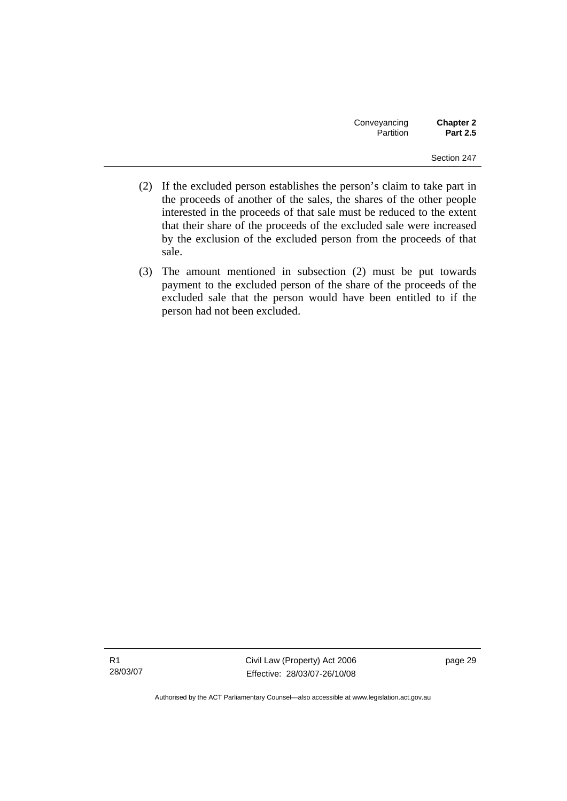- (2) If the excluded person establishes the person's claim to take part in the proceeds of another of the sales, the shares of the other people interested in the proceeds of that sale must be reduced to the extent that their share of the proceeds of the excluded sale were increased by the exclusion of the excluded person from the proceeds of that sale.
- (3) The amount mentioned in subsection (2) must be put towards payment to the excluded person of the share of the proceeds of the excluded sale that the person would have been entitled to if the person had not been excluded.

R1 28/03/07 Civil Law (Property) Act 2006 Effective: 28/03/07-26/10/08 page 29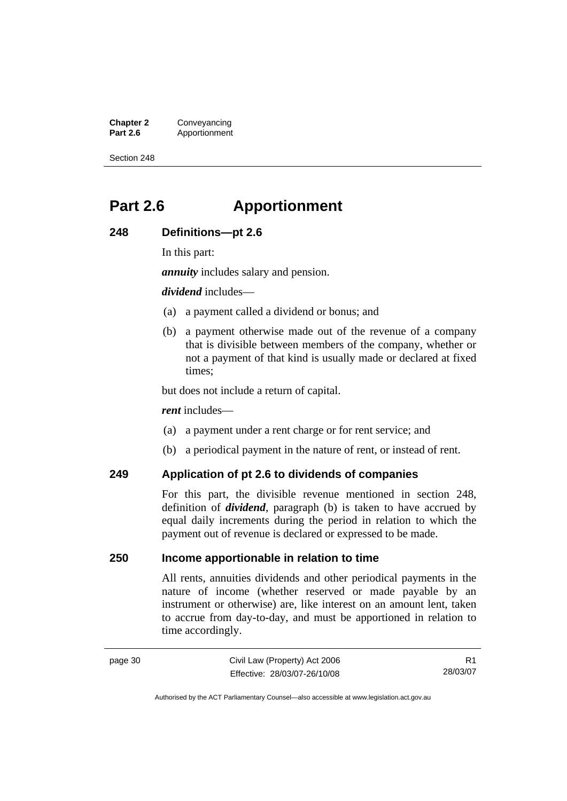**Chapter 2** Conveyancing<br>**Part 2.6** Apportionment **Part 2.6** Apportionment

Section 248

## **Part 2.6 Apportionment**

### **248 Definitions—pt 2.6**

In this part:

*annuity* includes salary and pension.

*dividend* includes—

- (a) a payment called a dividend or bonus; and
- (b) a payment otherwise made out of the revenue of a company that is divisible between members of the company, whether or not a payment of that kind is usually made or declared at fixed times;

but does not include a return of capital.

*rent* includes—

- (a) a payment under a rent charge or for rent service; and
- (b) a periodical payment in the nature of rent, or instead of rent.

## **249 Application of pt 2.6 to dividends of companies**

For this part, the divisible revenue mentioned in section 248, definition of *dividend*, paragraph (b) is taken to have accrued by equal daily increments during the period in relation to which the payment out of revenue is declared or expressed to be made.

## **250 Income apportionable in relation to time**

All rents, annuities dividends and other periodical payments in the nature of income (whether reserved or made payable by an instrument or otherwise) are, like interest on an amount lent, taken to accrue from day-to-day, and must be apportioned in relation to time accordingly.

R1 28/03/07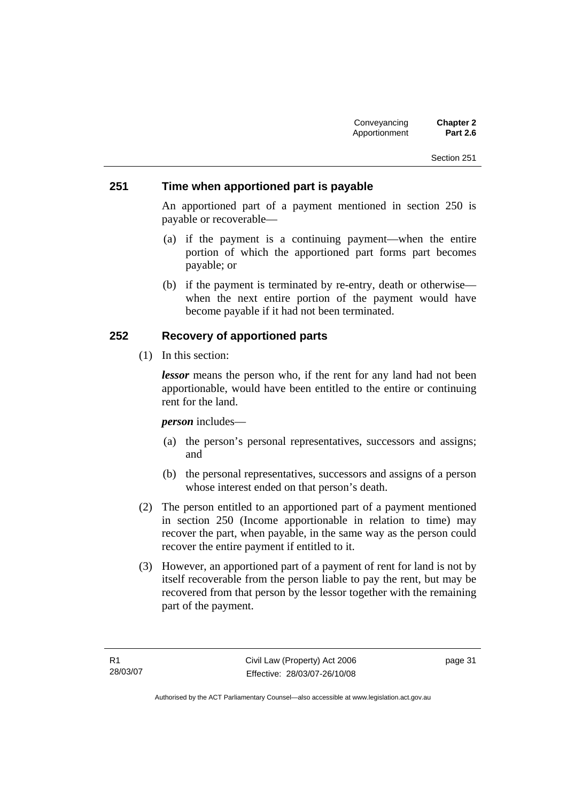### **251 Time when apportioned part is payable**

An apportioned part of a payment mentioned in section 250 is payable or recoverable—

- (a) if the payment is a continuing payment—when the entire portion of which the apportioned part forms part becomes payable; or
- (b) if the payment is terminated by re-entry, death or otherwise when the next entire portion of the payment would have become payable if it had not been terminated.

### **252 Recovery of apportioned parts**

(1) In this section:

*lessor* means the person who, if the rent for any land had not been apportionable, would have been entitled to the entire or continuing rent for the land.

*person* includes—

- (a) the person's personal representatives, successors and assigns; and
- (b) the personal representatives, successors and assigns of a person whose interest ended on that person's death.
- (2) The person entitled to an apportioned part of a payment mentioned in section 250 (Income apportionable in relation to time) may recover the part, when payable, in the same way as the person could recover the entire payment if entitled to it.
- (3) However, an apportioned part of a payment of rent for land is not by itself recoverable from the person liable to pay the rent, but may be recovered from that person by the lessor together with the remaining part of the payment.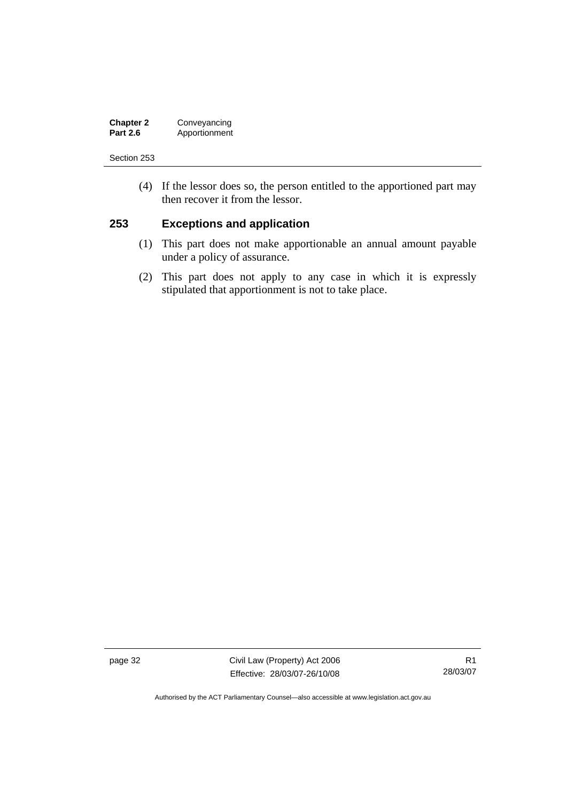| <b>Chapter 2</b> | Conveyancing  |
|------------------|---------------|
| <b>Part 2.6</b>  | Apportionment |

 (4) If the lessor does so, the person entitled to the apportioned part may then recover it from the lessor.

### **253 Exceptions and application**

- (1) This part does not make apportionable an annual amount payable under a policy of assurance.
- (2) This part does not apply to any case in which it is expressly stipulated that apportionment is not to take place.

page 32 Civil Law (Property) Act 2006 Effective: 28/03/07-26/10/08

R1 28/03/07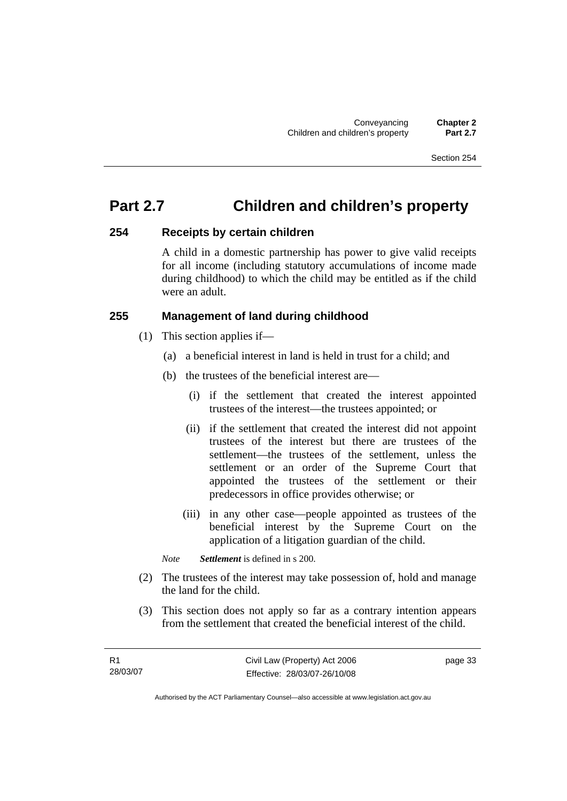## **Part 2.7 Children and children's property**

### **254 Receipts by certain children**

A child in a domestic partnership has power to give valid receipts for all income (including statutory accumulations of income made during childhood) to which the child may be entitled as if the child were an adult.

### **255 Management of land during childhood**

- (1) This section applies if—
	- (a) a beneficial interest in land is held in trust for a child; and
	- (b) the trustees of the beneficial interest are—
		- (i) if the settlement that created the interest appointed trustees of the interest—the trustees appointed; or
		- (ii) if the settlement that created the interest did not appoint trustees of the interest but there are trustees of the settlement—the trustees of the settlement, unless the settlement or an order of the Supreme Court that appointed the trustees of the settlement or their predecessors in office provides otherwise; or
		- (iii) in any other case—people appointed as trustees of the beneficial interest by the Supreme Court on the application of a litigation guardian of the child.

*Note Settlement* is defined in s 200.

- (2) The trustees of the interest may take possession of, hold and manage the land for the child.
- (3) This section does not apply so far as a contrary intention appears from the settlement that created the beneficial interest of the child.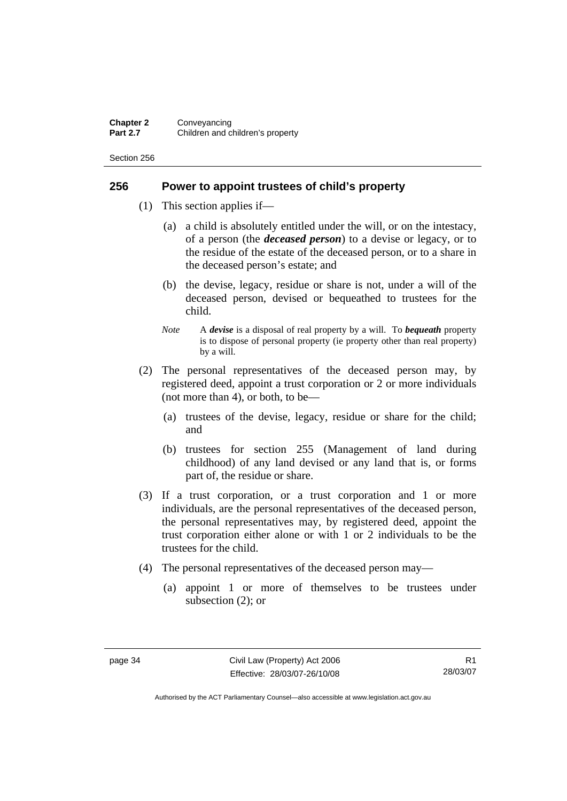### **256 Power to appoint trustees of child's property**

- (1) This section applies if—
	- (a) a child is absolutely entitled under the will, or on the intestacy, of a person (the *deceased person*) to a devise or legacy, or to the residue of the estate of the deceased person, or to a share in the deceased person's estate; and
	- (b) the devise, legacy, residue or share is not, under a will of the deceased person, devised or bequeathed to trustees for the child.
	- *Note* A *devise* is a disposal of real property by a will. To *bequeath* property is to dispose of personal property (ie property other than real property) by a will.
- (2) The personal representatives of the deceased person may, by registered deed, appoint a trust corporation or 2 or more individuals (not more than 4), or both, to be—
	- (a) trustees of the devise, legacy, residue or share for the child; and
	- (b) trustees for section 255 (Management of land during childhood) of any land devised or any land that is, or forms part of, the residue or share.
- (3) If a trust corporation, or a trust corporation and 1 or more individuals, are the personal representatives of the deceased person, the personal representatives may, by registered deed, appoint the trust corporation either alone or with 1 or 2 individuals to be the trustees for the child.
- (4) The personal representatives of the deceased person may—
	- (a) appoint 1 or more of themselves to be trustees under subsection (2); or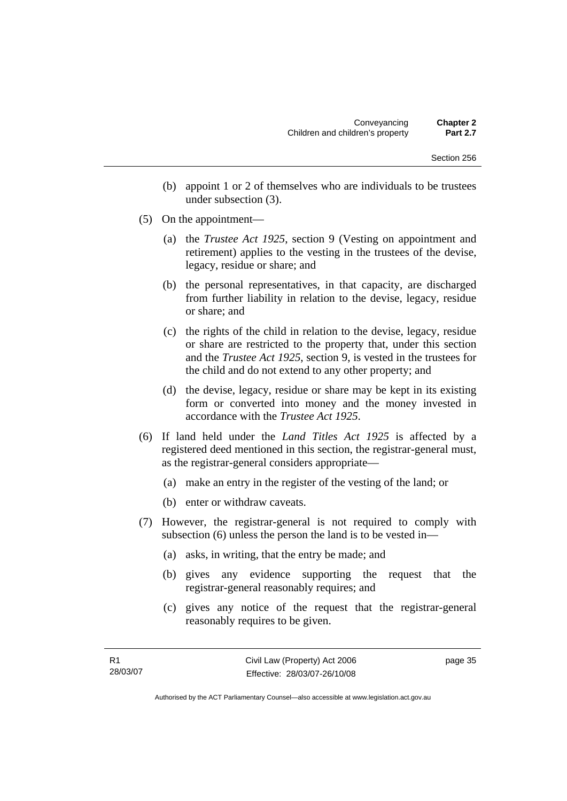- (b) appoint 1 or 2 of themselves who are individuals to be trustees under subsection (3).
- (5) On the appointment—
	- (a) the *Trustee Act 1925*, section 9 (Vesting on appointment and retirement) applies to the vesting in the trustees of the devise, legacy, residue or share; and
	- (b) the personal representatives, in that capacity, are discharged from further liability in relation to the devise, legacy, residue or share; and
	- (c) the rights of the child in relation to the devise, legacy, residue or share are restricted to the property that, under this section and the *Trustee Act 1925*, section 9, is vested in the trustees for the child and do not extend to any other property; and
	- (d) the devise, legacy, residue or share may be kept in its existing form or converted into money and the money invested in accordance with the *Trustee Act 1925*.
- (6) If land held under the *Land Titles Act 1925* is affected by a registered deed mentioned in this section, the registrar-general must, as the registrar-general considers appropriate—
	- (a) make an entry in the register of the vesting of the land; or
	- (b) enter or withdraw caveats.
- (7) However, the registrar-general is not required to comply with subsection (6) unless the person the land is to be vested in—
	- (a) asks, in writing, that the entry be made; and
	- (b) gives any evidence supporting the request that the registrar-general reasonably requires; and
	- (c) gives any notice of the request that the registrar-general reasonably requires to be given.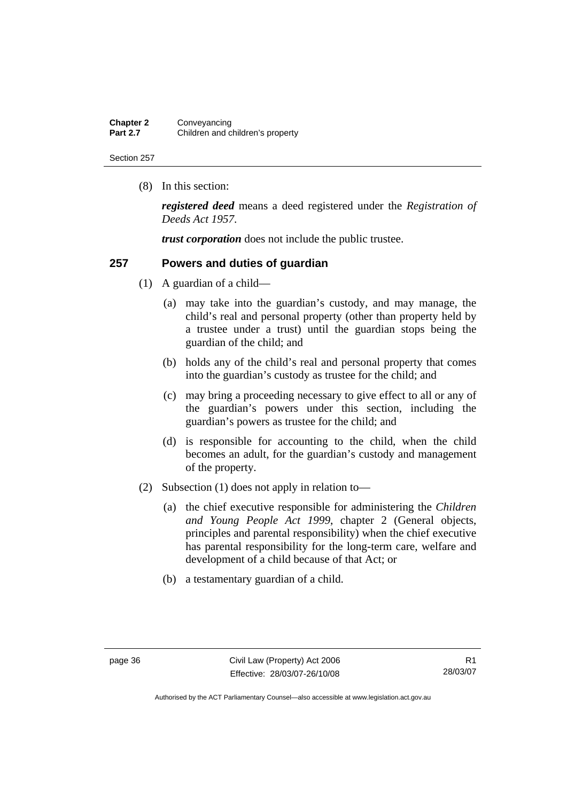| <b>Chapter 2</b> | Conveyancing                     |
|------------------|----------------------------------|
| <b>Part 2.7</b>  | Children and children's property |

(8) In this section:

*registered deed* means a deed registered under the *Registration of Deeds Act 1957*.

*trust corporation* does not include the public trustee.

### **257 Powers and duties of guardian**

- (1) A guardian of a child—
	- (a) may take into the guardian's custody, and may manage, the child's real and personal property (other than property held by a trustee under a trust) until the guardian stops being the guardian of the child; and
	- (b) holds any of the child's real and personal property that comes into the guardian's custody as trustee for the child; and
	- (c) may bring a proceeding necessary to give effect to all or any of the guardian's powers under this section, including the guardian's powers as trustee for the child; and
	- (d) is responsible for accounting to the child, when the child becomes an adult, for the guardian's custody and management of the property.
- (2) Subsection (1) does not apply in relation to—
	- (a) the chief executive responsible for administering the *Children and Young People Act 1999*, chapter 2 (General objects, principles and parental responsibility) when the chief executive has parental responsibility for the long-term care, welfare and development of a child because of that Act; or
	- (b) a testamentary guardian of a child.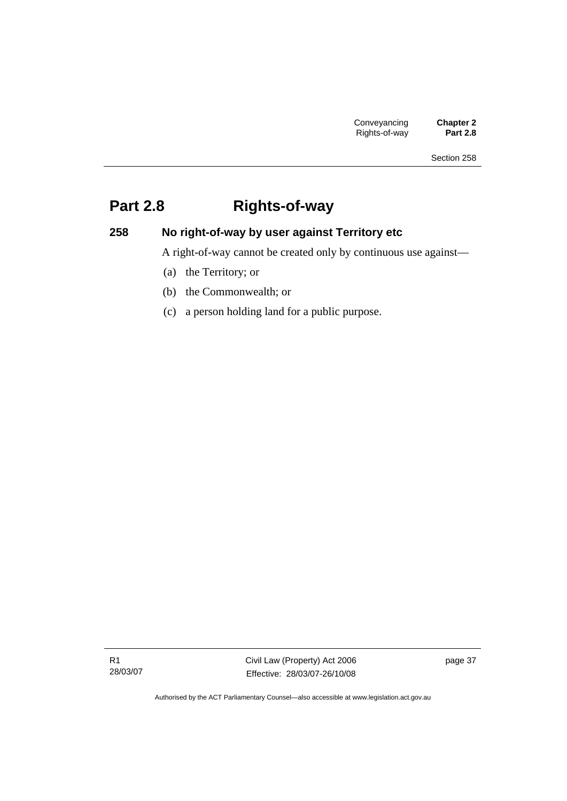# **Part 2.8 Rights-of-way**

## **258 No right-of-way by user against Territory etc**

A right-of-way cannot be created only by continuous use against—

- (a) the Territory; or
- (b) the Commonwealth; or
- (c) a person holding land for a public purpose.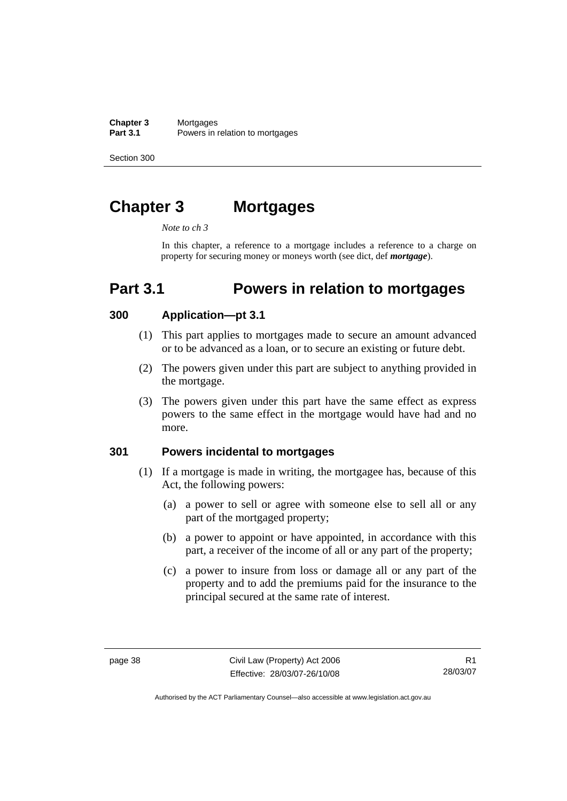**Chapter 3** Mortgages<br>**Part 3.1** Powers in Powers in relation to mortgages

Section 300

# **Chapter 3 Mortgages**

*Note to ch 3* 

In this chapter, a reference to a mortgage includes a reference to a charge on property for securing money or moneys worth (see dict, def *mortgage*).

## **Part 3.1 Powers in relation to mortgages**

### **300 Application—pt 3.1**

- (1) This part applies to mortgages made to secure an amount advanced or to be advanced as a loan, or to secure an existing or future debt.
- (2) The powers given under this part are subject to anything provided in the mortgage.
- (3) The powers given under this part have the same effect as express powers to the same effect in the mortgage would have had and no more.

#### **301 Powers incidental to mortgages**

- (1) If a mortgage is made in writing, the mortgagee has, because of this Act, the following powers:
	- (a) a power to sell or agree with someone else to sell all or any part of the mortgaged property;
	- (b) a power to appoint or have appointed, in accordance with this part, a receiver of the income of all or any part of the property;
	- (c) a power to insure from loss or damage all or any part of the property and to add the premiums paid for the insurance to the principal secured at the same rate of interest.

R1 28/03/07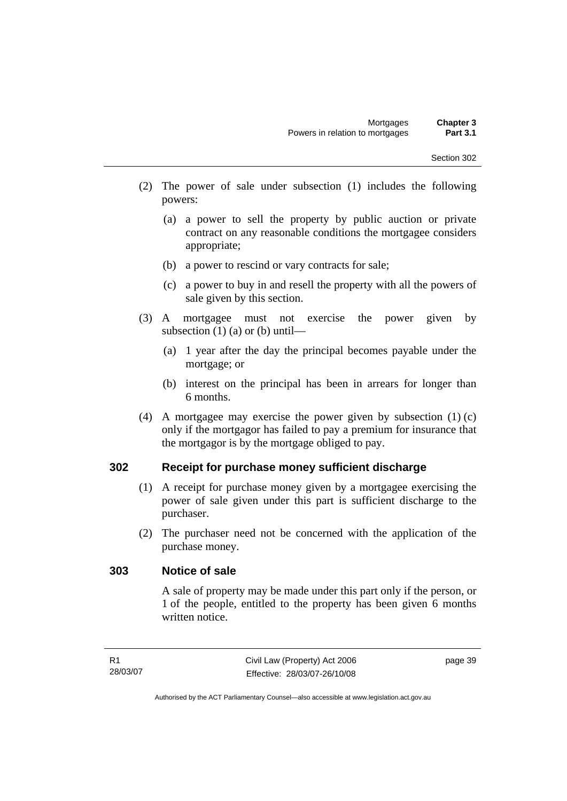- (2) The power of sale under subsection (1) includes the following powers:
	- (a) a power to sell the property by public auction or private contract on any reasonable conditions the mortgagee considers appropriate;
	- (b) a power to rescind or vary contracts for sale;
	- (c) a power to buy in and resell the property with all the powers of sale given by this section.
- (3) A mortgagee must not exercise the power given by subsection (1) (a) or (b) until—
	- (a) 1 year after the day the principal becomes payable under the mortgage; or
	- (b) interest on the principal has been in arrears for longer than 6 months.
- (4) A mortgagee may exercise the power given by subsection (1) (c) only if the mortgagor has failed to pay a premium for insurance that the mortgagor is by the mortgage obliged to pay.

### **302 Receipt for purchase money sufficient discharge**

- (1) A receipt for purchase money given by a mortgagee exercising the power of sale given under this part is sufficient discharge to the purchaser.
- (2) The purchaser need not be concerned with the application of the purchase money.

### **303 Notice of sale**

A sale of property may be made under this part only if the person, or 1 of the people, entitled to the property has been given 6 months written notice.

page 39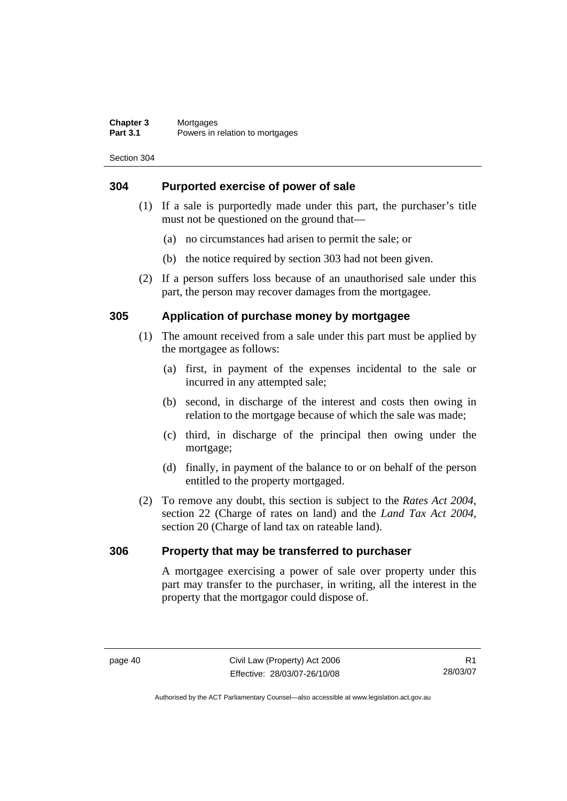### **304 Purported exercise of power of sale**

- (1) If a sale is purportedly made under this part, the purchaser's title must not be questioned on the ground that—
	- (a) no circumstances had arisen to permit the sale; or
	- (b) the notice required by section 303 had not been given.
- (2) If a person suffers loss because of an unauthorised sale under this part, the person may recover damages from the mortgagee.

### **305 Application of purchase money by mortgagee**

- (1) The amount received from a sale under this part must be applied by the mortgagee as follows:
	- (a) first, in payment of the expenses incidental to the sale or incurred in any attempted sale;
	- (b) second, in discharge of the interest and costs then owing in relation to the mortgage because of which the sale was made;
	- (c) third, in discharge of the principal then owing under the mortgage;
	- (d) finally, in payment of the balance to or on behalf of the person entitled to the property mortgaged.
- (2) To remove any doubt, this section is subject to the *Rates Act 2004*, section 22 (Charge of rates on land) and the *Land Tax Act 2004*, section 20 (Charge of land tax on rateable land).

### **306 Property that may be transferred to purchaser**

A mortgagee exercising a power of sale over property under this part may transfer to the purchaser, in writing, all the interest in the property that the mortgagor could dispose of.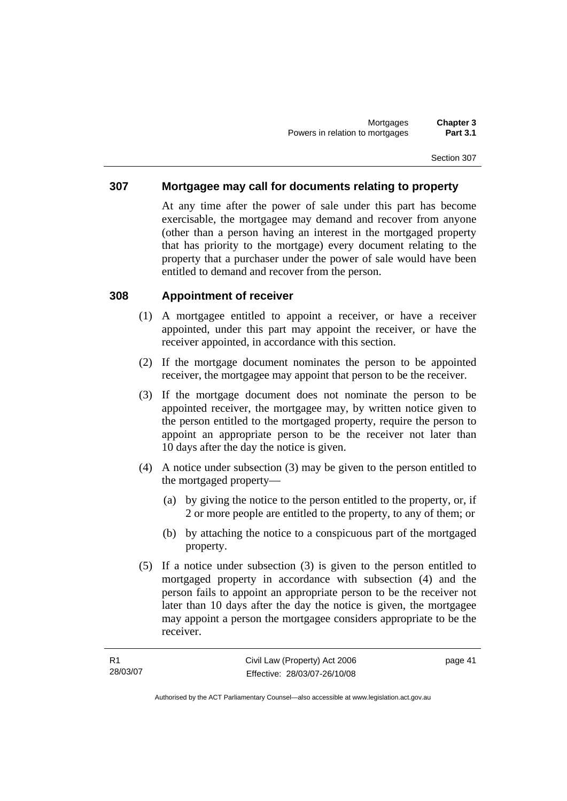### **307 Mortgagee may call for documents relating to property**

At any time after the power of sale under this part has become exercisable, the mortgagee may demand and recover from anyone (other than a person having an interest in the mortgaged property that has priority to the mortgage) every document relating to the property that a purchaser under the power of sale would have been entitled to demand and recover from the person.

### **308 Appointment of receiver**

- (1) A mortgagee entitled to appoint a receiver, or have a receiver appointed, under this part may appoint the receiver, or have the receiver appointed, in accordance with this section.
- (2) If the mortgage document nominates the person to be appointed receiver, the mortgagee may appoint that person to be the receiver.
- (3) If the mortgage document does not nominate the person to be appointed receiver, the mortgagee may, by written notice given to the person entitled to the mortgaged property, require the person to appoint an appropriate person to be the receiver not later than 10 days after the day the notice is given.
- (4) A notice under subsection (3) may be given to the person entitled to the mortgaged property—
	- (a) by giving the notice to the person entitled to the property, or, if 2 or more people are entitled to the property, to any of them; or
	- (b) by attaching the notice to a conspicuous part of the mortgaged property.
- (5) If a notice under subsection (3) is given to the person entitled to mortgaged property in accordance with subsection (4) and the person fails to appoint an appropriate person to be the receiver not later than 10 days after the day the notice is given, the mortgagee may appoint a person the mortgagee considers appropriate to be the receiver.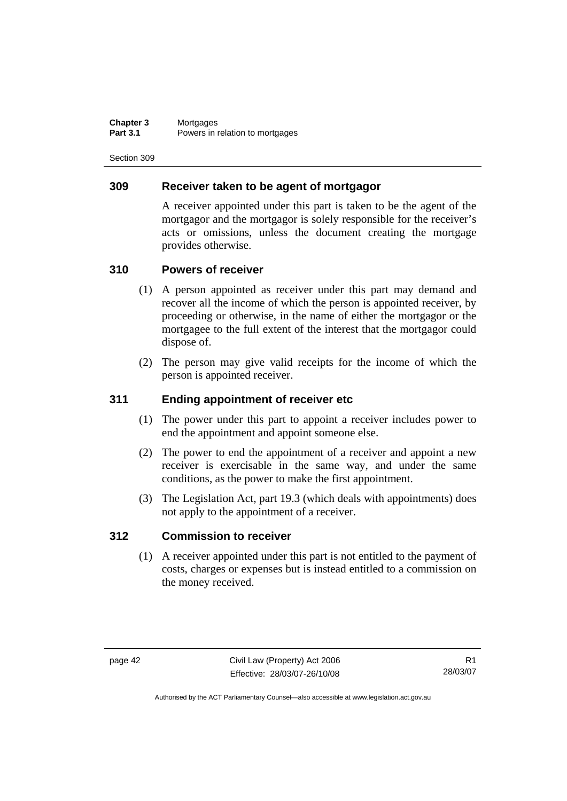**Chapter 3** Mortgages<br>**Part 3.1** Powers in Powers in relation to mortgages

Section 309

### **309 Receiver taken to be agent of mortgagor**

A receiver appointed under this part is taken to be the agent of the mortgagor and the mortgagor is solely responsible for the receiver's acts or omissions, unless the document creating the mortgage provides otherwise.

### **310 Powers of receiver**

- (1) A person appointed as receiver under this part may demand and recover all the income of which the person is appointed receiver, by proceeding or otherwise, in the name of either the mortgagor or the mortgagee to the full extent of the interest that the mortgagor could dispose of.
- (2) The person may give valid receipts for the income of which the person is appointed receiver.

### **311 Ending appointment of receiver etc**

- (1) The power under this part to appoint a receiver includes power to end the appointment and appoint someone else.
- (2) The power to end the appointment of a receiver and appoint a new receiver is exercisable in the same way, and under the same conditions, as the power to make the first appointment.
- (3) The Legislation Act, part 19.3 (which deals with appointments) does not apply to the appointment of a receiver.

### **312 Commission to receiver**

 (1) A receiver appointed under this part is not entitled to the payment of costs, charges or expenses but is instead entitled to a commission on the money received.

R1 28/03/07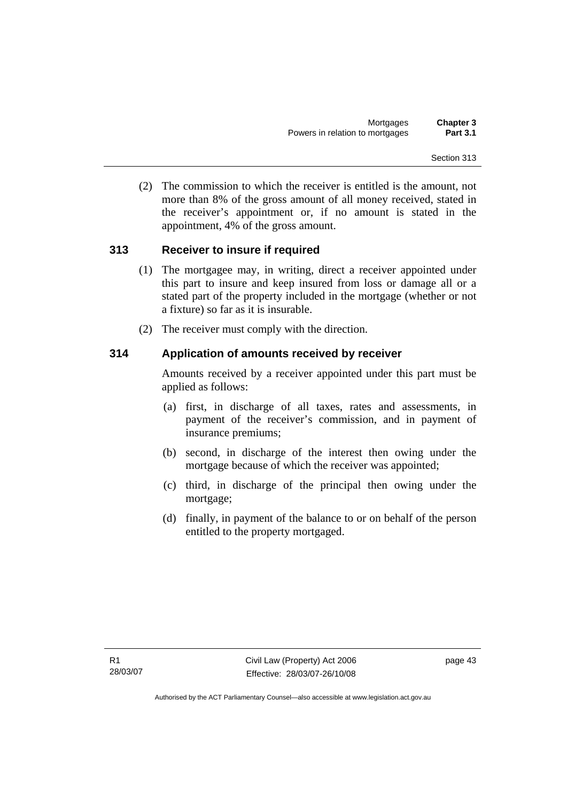(2) The commission to which the receiver is entitled is the amount, not more than 8% of the gross amount of all money received, stated in the receiver's appointment or, if no amount is stated in the appointment, 4% of the gross amount.

## **313 Receiver to insure if required**

- (1) The mortgagee may, in writing, direct a receiver appointed under this part to insure and keep insured from loss or damage all or a stated part of the property included in the mortgage (whether or not a fixture) so far as it is insurable.
- (2) The receiver must comply with the direction.

## **314 Application of amounts received by receiver**

Amounts received by a receiver appointed under this part must be applied as follows:

- (a) first, in discharge of all taxes, rates and assessments, in payment of the receiver's commission, and in payment of insurance premiums;
- (b) second, in discharge of the interest then owing under the mortgage because of which the receiver was appointed;
- (c) third, in discharge of the principal then owing under the mortgage;
- (d) finally, in payment of the balance to or on behalf of the person entitled to the property mortgaged.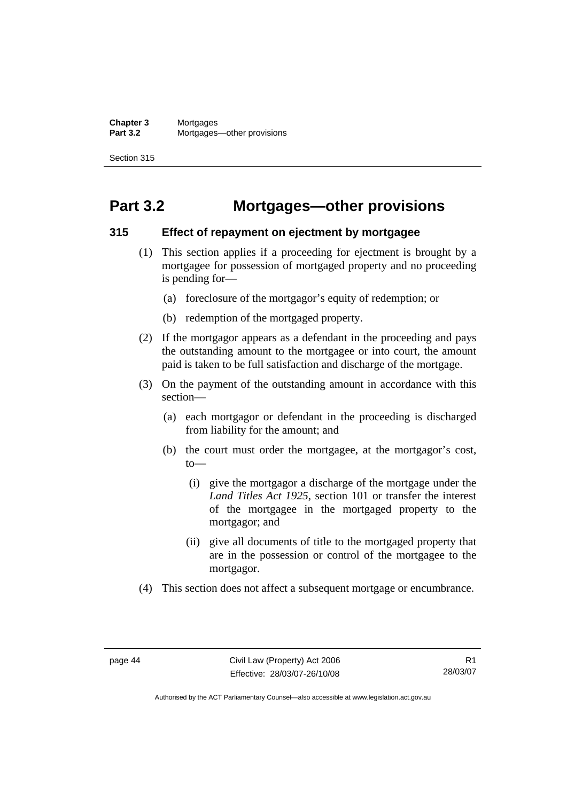**Chapter 3** Mortgages<br>**Part 3.2** Mortgages **Part 3.2** Mortgages—other provisions

Section 315

## **Part 3.2 Mortgages—other provisions**

### **315 Effect of repayment on ejectment by mortgagee**

- (1) This section applies if a proceeding for ejectment is brought by a mortgagee for possession of mortgaged property and no proceeding is pending for—
	- (a) foreclosure of the mortgagor's equity of redemption; or
	- (b) redemption of the mortgaged property.
- (2) If the mortgagor appears as a defendant in the proceeding and pays the outstanding amount to the mortgagee or into court, the amount paid is taken to be full satisfaction and discharge of the mortgage.
- (3) On the payment of the outstanding amount in accordance with this section—
	- (a) each mortgagor or defendant in the proceeding is discharged from liability for the amount; and
	- (b) the court must order the mortgagee, at the mortgagor's cost, to—
		- (i) give the mortgagor a discharge of the mortgage under the *Land Titles Act 1925*, section 101 or transfer the interest of the mortgagee in the mortgaged property to the mortgagor; and
		- (ii) give all documents of title to the mortgaged property that are in the possession or control of the mortgagee to the mortgagor.
- (4) This section does not affect a subsequent mortgage or encumbrance.

R1 28/03/07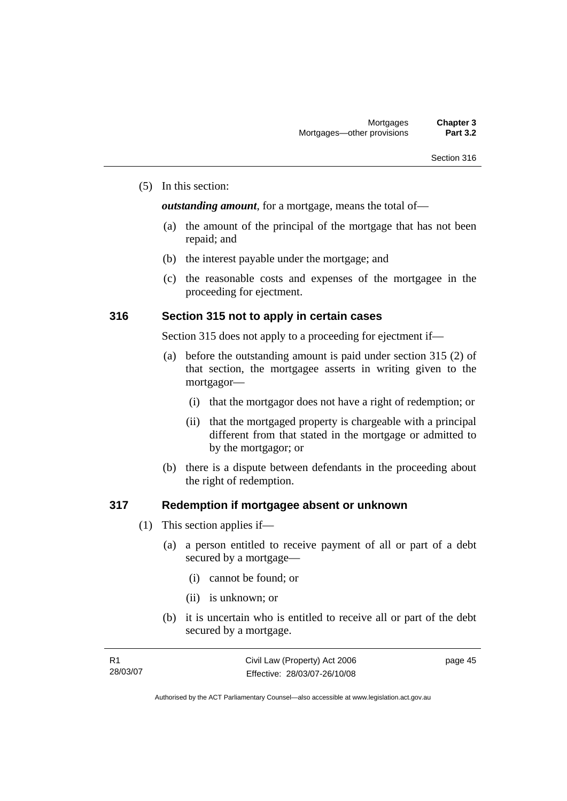#### (5) In this section:

*outstanding amount*, for a mortgage, means the total of—

- (a) the amount of the principal of the mortgage that has not been repaid; and
- (b) the interest payable under the mortgage; and
- (c) the reasonable costs and expenses of the mortgagee in the proceeding for ejectment.

### **316 Section 315 not to apply in certain cases**

Section 315 does not apply to a proceeding for ejectment if—

- (a) before the outstanding amount is paid under section 315 (2) of that section, the mortgagee asserts in writing given to the mortgagor—
	- (i) that the mortgagor does not have a right of redemption; or
	- (ii) that the mortgaged property is chargeable with a principal different from that stated in the mortgage or admitted to by the mortgagor; or
- (b) there is a dispute between defendants in the proceeding about the right of redemption.

### **317 Redemption if mortgagee absent or unknown**

- (1) This section applies if—
	- (a) a person entitled to receive payment of all or part of a debt secured by a mortgage—
		- (i) cannot be found; or
		- (ii) is unknown; or
	- (b) it is uncertain who is entitled to receive all or part of the debt secured by a mortgage.

| - R1     | Civil Law (Property) Act 2006 | page 45 |
|----------|-------------------------------|---------|
| 28/03/07 | Effective: 28/03/07-26/10/08  |         |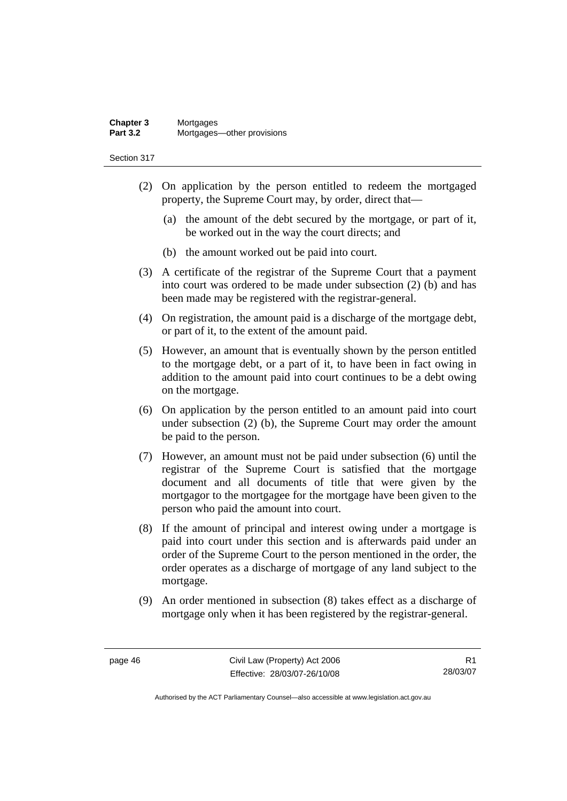#### **Chapter 3** Mortgages<br>**Part 3.2** Mortgages **Part 3.2** Mortgages—other provisions

Section 317

- (2) On application by the person entitled to redeem the mortgaged property, the Supreme Court may, by order, direct that—
	- (a) the amount of the debt secured by the mortgage, or part of it, be worked out in the way the court directs; and
	- (b) the amount worked out be paid into court.
- (3) A certificate of the registrar of the Supreme Court that a payment into court was ordered to be made under subsection (2) (b) and has been made may be registered with the registrar-general.
- (4) On registration, the amount paid is a discharge of the mortgage debt, or part of it, to the extent of the amount paid.
- (5) However, an amount that is eventually shown by the person entitled to the mortgage debt, or a part of it, to have been in fact owing in addition to the amount paid into court continues to be a debt owing on the mortgage.
- (6) On application by the person entitled to an amount paid into court under subsection (2) (b), the Supreme Court may order the amount be paid to the person.
- (7) However, an amount must not be paid under subsection (6) until the registrar of the Supreme Court is satisfied that the mortgage document and all documents of title that were given by the mortgagor to the mortgagee for the mortgage have been given to the person who paid the amount into court.
- (8) If the amount of principal and interest owing under a mortgage is paid into court under this section and is afterwards paid under an order of the Supreme Court to the person mentioned in the order, the order operates as a discharge of mortgage of any land subject to the mortgage.
- (9) An order mentioned in subsection (8) takes effect as a discharge of mortgage only when it has been registered by the registrar-general.

R1 28/03/07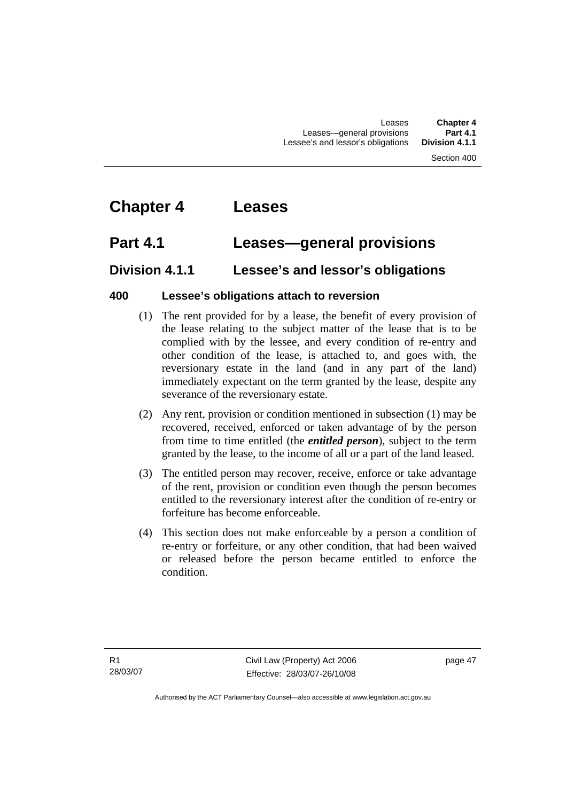## **Chapter 4 Leases**

## **Part 4.1 Leases—general provisions**

## **Division 4.1.1 Lessee's and lessor's obligations**

### **400 Lessee's obligations attach to reversion**

- (1) The rent provided for by a lease, the benefit of every provision of the lease relating to the subject matter of the lease that is to be complied with by the lessee, and every condition of re-entry and other condition of the lease, is attached to, and goes with, the reversionary estate in the land (and in any part of the land) immediately expectant on the term granted by the lease, despite any severance of the reversionary estate.
- (2) Any rent, provision or condition mentioned in subsection (1) may be recovered, received, enforced or taken advantage of by the person from time to time entitled (the *entitled person*), subject to the term granted by the lease, to the income of all or a part of the land leased.
- (3) The entitled person may recover, receive, enforce or take advantage of the rent, provision or condition even though the person becomes entitled to the reversionary interest after the condition of re-entry or forfeiture has become enforceable.
- (4) This section does not make enforceable by a person a condition of re-entry or forfeiture, or any other condition, that had been waived or released before the person became entitled to enforce the condition.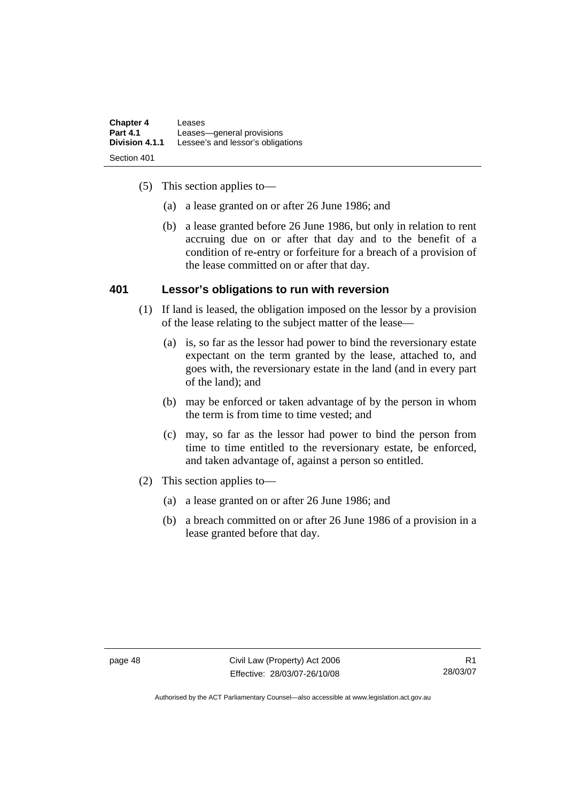| <b>Chapter 4</b>              | Leases                            |
|-------------------------------|-----------------------------------|
| <b>Part 4.1</b>               | Leases-general provisions         |
| Division 4.1.1<br>Section 401 | Lessee's and lessor's obligations |

- (5) This section applies to—
	- (a) a lease granted on or after 26 June 1986; and
	- (b) a lease granted before 26 June 1986, but only in relation to rent accruing due on or after that day and to the benefit of a condition of re-entry or forfeiture for a breach of a provision of the lease committed on or after that day.

### **401 Lessor's obligations to run with reversion**

- (1) If land is leased, the obligation imposed on the lessor by a provision of the lease relating to the subject matter of the lease—
	- (a) is, so far as the lessor had power to bind the reversionary estate expectant on the term granted by the lease, attached to, and goes with, the reversionary estate in the land (and in every part of the land); and
	- (b) may be enforced or taken advantage of by the person in whom the term is from time to time vested; and
	- (c) may, so far as the lessor had power to bind the person from time to time entitled to the reversionary estate, be enforced, and taken advantage of, against a person so entitled.
- (2) This section applies to—
	- (a) a lease granted on or after 26 June 1986; and
	- (b) a breach committed on or after 26 June 1986 of a provision in a lease granted before that day.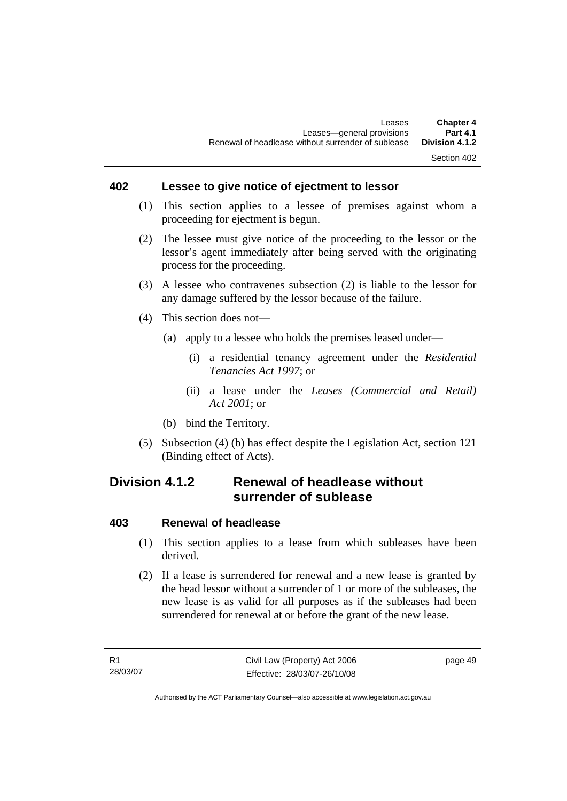### **402 Lessee to give notice of ejectment to lessor**

- (1) This section applies to a lessee of premises against whom a proceeding for ejectment is begun.
- (2) The lessee must give notice of the proceeding to the lessor or the lessor's agent immediately after being served with the originating process for the proceeding.
- (3) A lessee who contravenes subsection (2) is liable to the lessor for any damage suffered by the lessor because of the failure.
- (4) This section does not—
	- (a) apply to a lessee who holds the premises leased under—
		- (i) a residential tenancy agreement under the *Residential Tenancies Act 1997*; or
		- (ii) a lease under the *Leases (Commercial and Retail) Act 2001*; or
	- (b) bind the Territory.
- (5) Subsection (4) (b) has effect despite the Legislation Act, section 121 (Binding effect of Acts).

## **Division 4.1.2 Renewal of headlease without surrender of sublease**

### **403 Renewal of headlease**

- (1) This section applies to a lease from which subleases have been derived.
- (2) If a lease is surrendered for renewal and a new lease is granted by the head lessor without a surrender of 1 or more of the subleases, the new lease is as valid for all purposes as if the subleases had been surrendered for renewal at or before the grant of the new lease.

page 49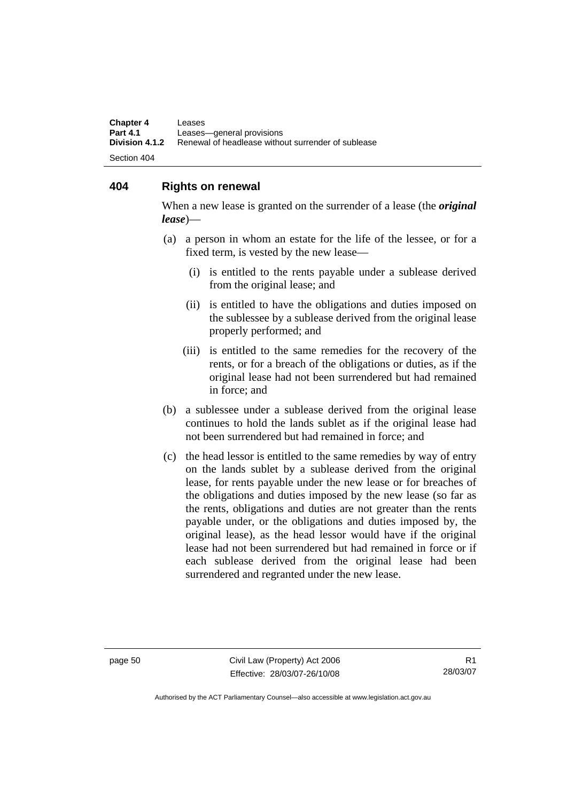**Chapter 4 Leases**<br>**Part 4.1 Leases Part 4.1 Leases—general provisions**<br>**Division 4.1.2** Renewal of headlease witho **Division 4.1.2** Renewal of headlease without surrender of sublease Section 404

### **404 Rights on renewal**

When a new lease is granted on the surrender of a lease (the *original lease*)—

- (a) a person in whom an estate for the life of the lessee, or for a fixed term, is vested by the new lease—
	- (i) is entitled to the rents payable under a sublease derived from the original lease; and
	- (ii) is entitled to have the obligations and duties imposed on the sublessee by a sublease derived from the original lease properly performed; and
	- (iii) is entitled to the same remedies for the recovery of the rents, or for a breach of the obligations or duties, as if the original lease had not been surrendered but had remained in force; and
- (b) a sublessee under a sublease derived from the original lease continues to hold the lands sublet as if the original lease had not been surrendered but had remained in force; and
- (c) the head lessor is entitled to the same remedies by way of entry on the lands sublet by a sublease derived from the original lease, for rents payable under the new lease or for breaches of the obligations and duties imposed by the new lease (so far as the rents, obligations and duties are not greater than the rents payable under, or the obligations and duties imposed by, the original lease), as the head lessor would have if the original lease had not been surrendered but had remained in force or if each sublease derived from the original lease had been surrendered and regranted under the new lease.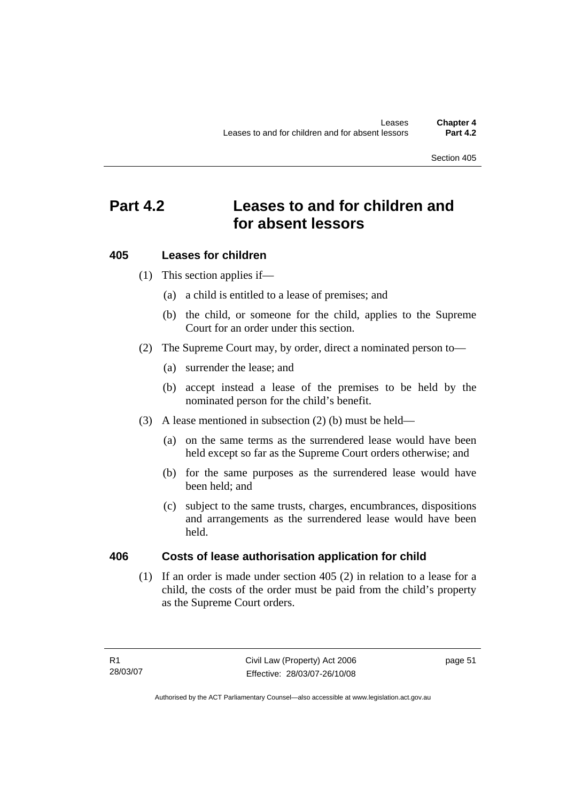## **Part 4.2 Leases to and for children and for absent lessors**

### **405 Leases for children**

- (1) This section applies if—
	- (a) a child is entitled to a lease of premises; and
	- (b) the child, or someone for the child, applies to the Supreme Court for an order under this section.
- (2) The Supreme Court may, by order, direct a nominated person to—
	- (a) surrender the lease; and
	- (b) accept instead a lease of the premises to be held by the nominated person for the child's benefit.
- (3) A lease mentioned in subsection (2) (b) must be held—
	- (a) on the same terms as the surrendered lease would have been held except so far as the Supreme Court orders otherwise; and
	- (b) for the same purposes as the surrendered lease would have been held; and
	- (c) subject to the same trusts, charges, encumbrances, dispositions and arrangements as the surrendered lease would have been held.

## **406 Costs of lease authorisation application for child**

 (1) If an order is made under section 405 (2) in relation to a lease for a child, the costs of the order must be paid from the child's property as the Supreme Court orders.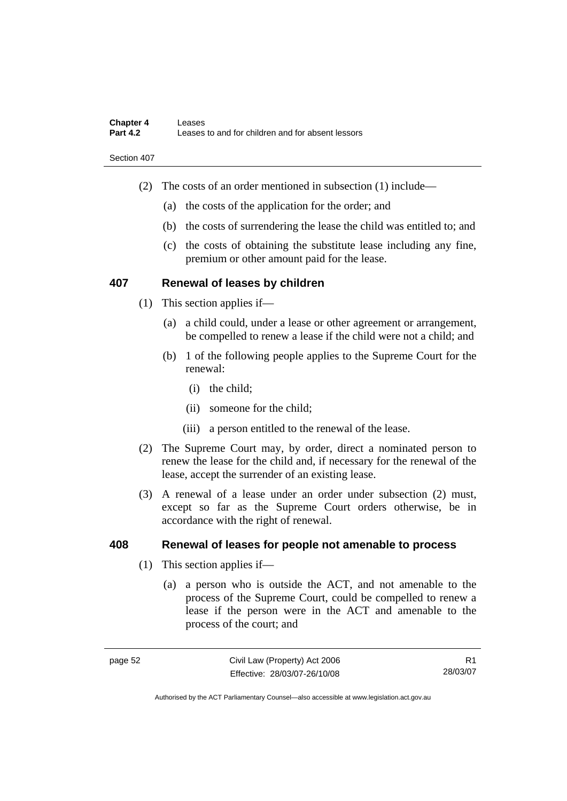- (2) The costs of an order mentioned in subsection (1) include—
	- (a) the costs of the application for the order; and
	- (b) the costs of surrendering the lease the child was entitled to; and
	- (c) the costs of obtaining the substitute lease including any fine, premium or other amount paid for the lease.

### **407 Renewal of leases by children**

- (1) This section applies if—
	- (a) a child could, under a lease or other agreement or arrangement, be compelled to renew a lease if the child were not a child; and
	- (b) 1 of the following people applies to the Supreme Court for the renewal:
		- (i) the child;
		- (ii) someone for the child;
		- (iii) a person entitled to the renewal of the lease.
- (2) The Supreme Court may, by order, direct a nominated person to renew the lease for the child and, if necessary for the renewal of the lease, accept the surrender of an existing lease.
- (3) A renewal of a lease under an order under subsection (2) must, except so far as the Supreme Court orders otherwise, be in accordance with the right of renewal.

### **408 Renewal of leases for people not amenable to process**

- (1) This section applies if—
	- (a) a person who is outside the ACT, and not amenable to the process of the Supreme Court, could be compelled to renew a lease if the person were in the ACT and amenable to the process of the court; and

R1 28/03/07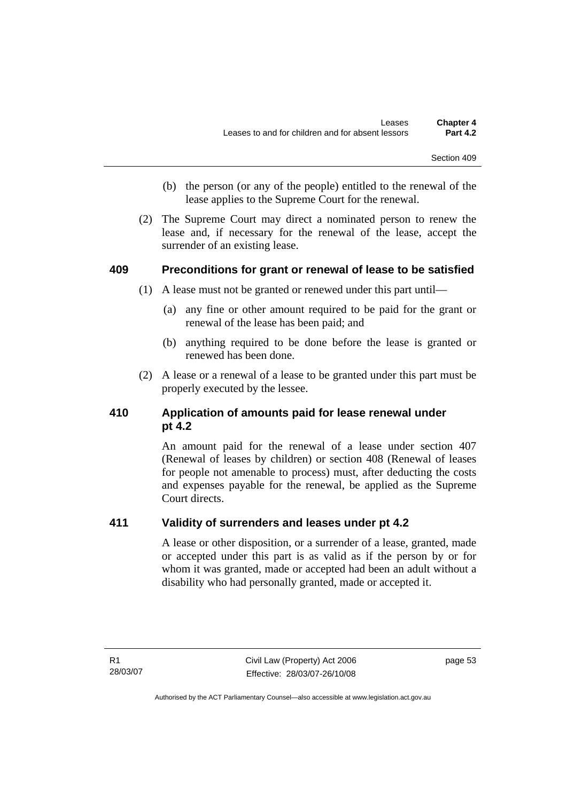- (b) the person (or any of the people) entitled to the renewal of the lease applies to the Supreme Court for the renewal.
- (2) The Supreme Court may direct a nominated person to renew the lease and, if necessary for the renewal of the lease, accept the surrender of an existing lease.

### **409 Preconditions for grant or renewal of lease to be satisfied**

- (1) A lease must not be granted or renewed under this part until—
	- (a) any fine or other amount required to be paid for the grant or renewal of the lease has been paid; and
	- (b) anything required to be done before the lease is granted or renewed has been done.
- (2) A lease or a renewal of a lease to be granted under this part must be properly executed by the lessee.

## **410 Application of amounts paid for lease renewal under pt 4.2**

An amount paid for the renewal of a lease under section 407 (Renewal of leases by children) or section 408 (Renewal of leases for people not amenable to process) must, after deducting the costs and expenses payable for the renewal, be applied as the Supreme Court directs.

## **411 Validity of surrenders and leases under pt 4.2**

A lease or other disposition, or a surrender of a lease, granted, made or accepted under this part is as valid as if the person by or for whom it was granted, made or accepted had been an adult without a disability who had personally granted, made or accepted it.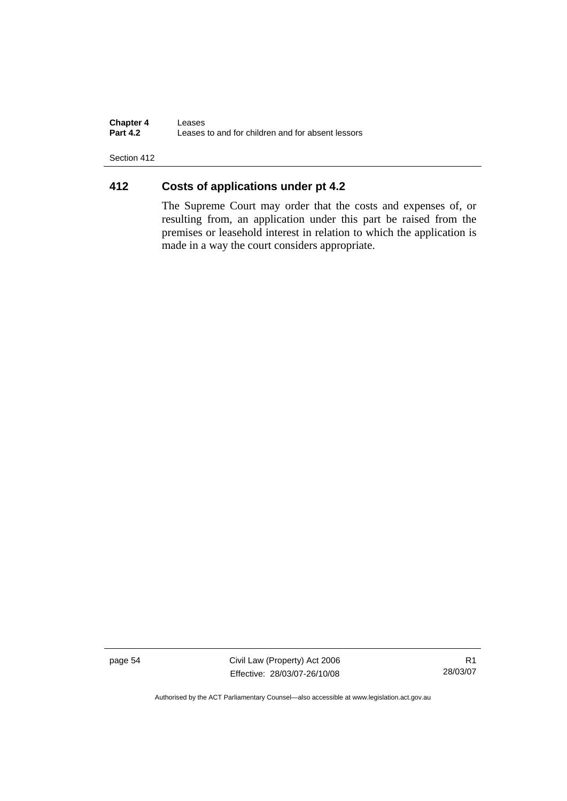**Chapter 4 Leases**<br>**Part 4.2 Leases Part 4.2** Leases to and for children and for absent lessors

Section 412

## **412 Costs of applications under pt 4.2**

The Supreme Court may order that the costs and expenses of, or resulting from, an application under this part be raised from the premises or leasehold interest in relation to which the application is made in a way the court considers appropriate.

page 54 Civil Law (Property) Act 2006 Effective: 28/03/07-26/10/08

R1 28/03/07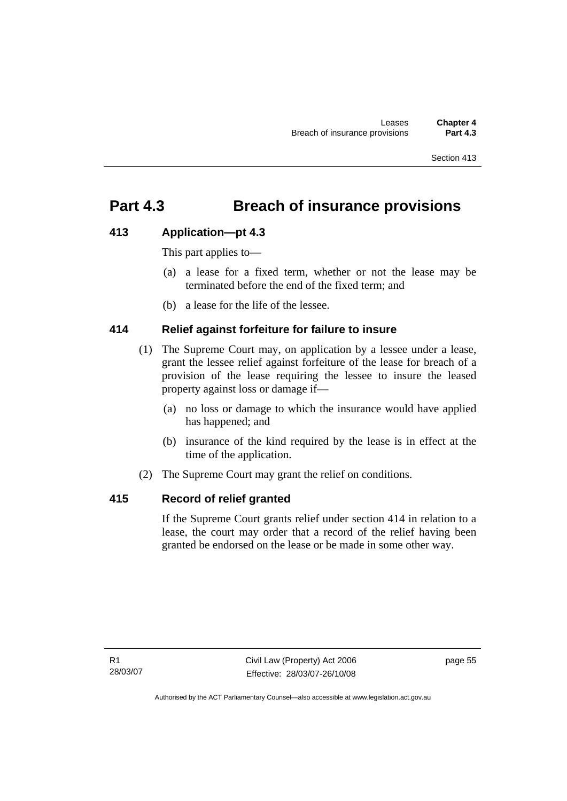## **Part 4.3 Breach of insurance provisions**

### **413 Application—pt 4.3**

This part applies to—

- (a) a lease for a fixed term, whether or not the lease may be terminated before the end of the fixed term; and
- (b) a lease for the life of the lessee.

## **414 Relief against forfeiture for failure to insure**

- (1) The Supreme Court may, on application by a lessee under a lease, grant the lessee relief against forfeiture of the lease for breach of a provision of the lease requiring the lessee to insure the leased property against loss or damage if—
	- (a) no loss or damage to which the insurance would have applied has happened; and
	- (b) insurance of the kind required by the lease is in effect at the time of the application.
- (2) The Supreme Court may grant the relief on conditions.

## **415 Record of relief granted**

If the Supreme Court grants relief under section 414 in relation to a lease, the court may order that a record of the relief having been granted be endorsed on the lease or be made in some other way.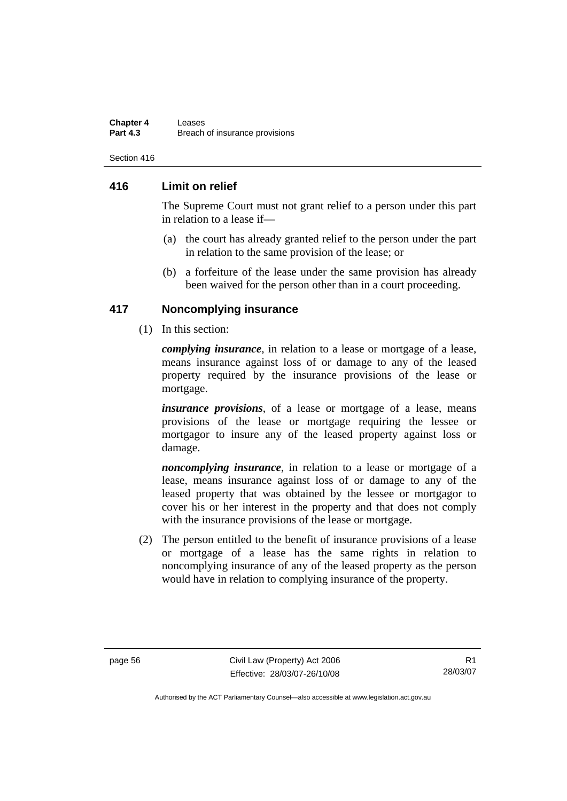#### **Chapter 4 Leases**<br>**Part 4.3 Rreach Breach of insurance provisions**

Section 416

### **416 Limit on relief**

The Supreme Court must not grant relief to a person under this part in relation to a lease if—

- (a) the court has already granted relief to the person under the part in relation to the same provision of the lease; or
- (b) a forfeiture of the lease under the same provision has already been waived for the person other than in a court proceeding.

### **417 Noncomplying insurance**

(1) In this section:

*complying insurance*, in relation to a lease or mortgage of a lease, means insurance against loss of or damage to any of the leased property required by the insurance provisions of the lease or mortgage.

*insurance provisions*, of a lease or mortgage of a lease, means provisions of the lease or mortgage requiring the lessee or mortgagor to insure any of the leased property against loss or damage.

*noncomplying insurance*, in relation to a lease or mortgage of a lease, means insurance against loss of or damage to any of the leased property that was obtained by the lessee or mortgagor to cover his or her interest in the property and that does not comply with the insurance provisions of the lease or mortgage.

 (2) The person entitled to the benefit of insurance provisions of a lease or mortgage of a lease has the same rights in relation to noncomplying insurance of any of the leased property as the person would have in relation to complying insurance of the property.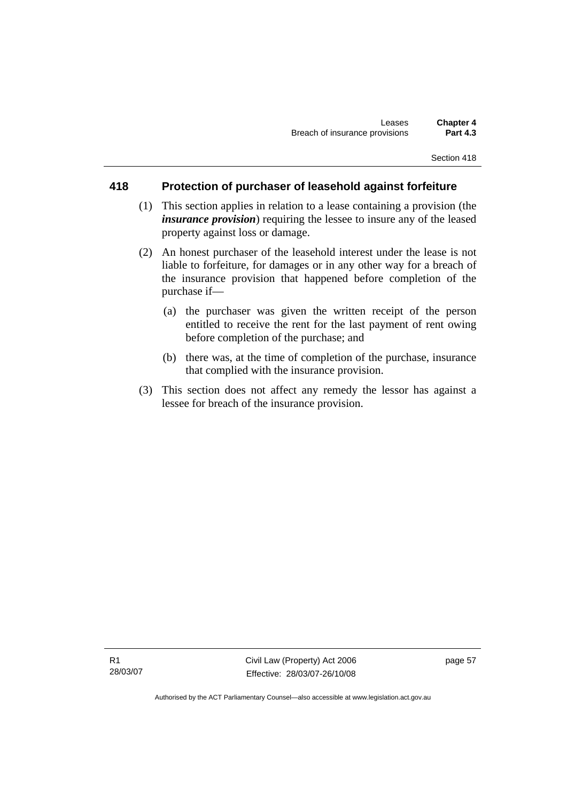### **418 Protection of purchaser of leasehold against forfeiture**

- (1) This section applies in relation to a lease containing a provision (the *insurance provision*) requiring the lessee to insure any of the leased property against loss or damage.
- (2) An honest purchaser of the leasehold interest under the lease is not liable to forfeiture, for damages or in any other way for a breach of the insurance provision that happened before completion of the purchase if—
	- (a) the purchaser was given the written receipt of the person entitled to receive the rent for the last payment of rent owing before completion of the purchase; and
	- (b) there was, at the time of completion of the purchase, insurance that complied with the insurance provision.
- (3) This section does not affect any remedy the lessor has against a lessee for breach of the insurance provision.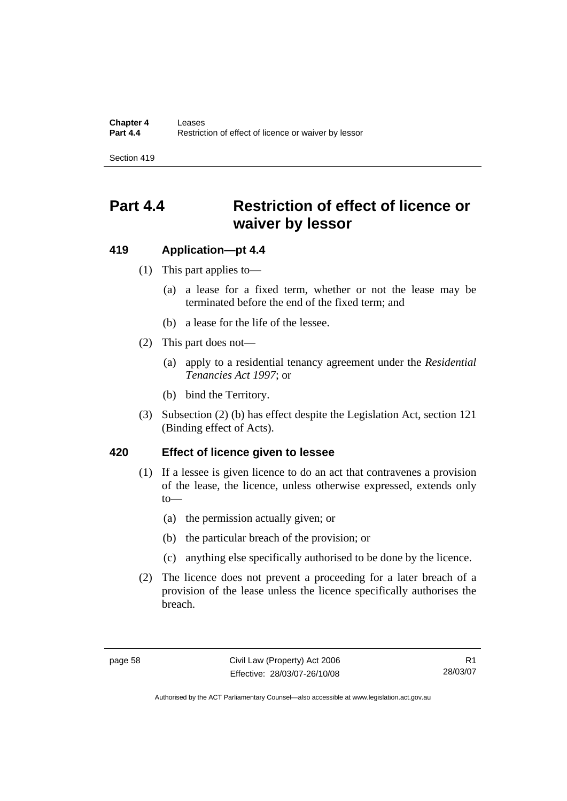# **Part 4.4 Restriction of effect of licence or waiver by lessor**

### **419 Application—pt 4.4**

- (1) This part applies to—
	- (a) a lease for a fixed term, whether or not the lease may be terminated before the end of the fixed term; and
	- (b) a lease for the life of the lessee.
- (2) This part does not—
	- (a) apply to a residential tenancy agreement under the *Residential Tenancies Act 1997*; or
	- (b) bind the Territory.
- (3) Subsection (2) (b) has effect despite the Legislation Act, section 121 (Binding effect of Acts).

### **420 Effect of licence given to lessee**

- (1) If a lessee is given licence to do an act that contravenes a provision of the lease, the licence, unless otherwise expressed, extends only to—
	- (a) the permission actually given; or
	- (b) the particular breach of the provision; or
	- (c) anything else specifically authorised to be done by the licence.
- (2) The licence does not prevent a proceeding for a later breach of a provision of the lease unless the licence specifically authorises the breach.

R1 28/03/07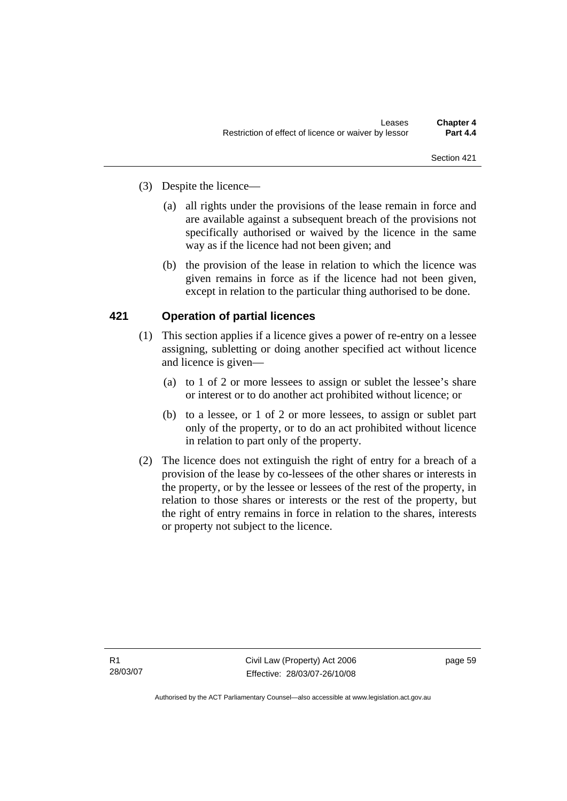- (3) Despite the licence—
	- (a) all rights under the provisions of the lease remain in force and are available against a subsequent breach of the provisions not specifically authorised or waived by the licence in the same way as if the licence had not been given; and
	- (b) the provision of the lease in relation to which the licence was given remains in force as if the licence had not been given, except in relation to the particular thing authorised to be done.

## **421 Operation of partial licences**

- (1) This section applies if a licence gives a power of re-entry on a lessee assigning, subletting or doing another specified act without licence and licence is given—
	- (a) to 1 of 2 or more lessees to assign or sublet the lessee's share or interest or to do another act prohibited without licence; or
	- (b) to a lessee, or 1 of 2 or more lessees, to assign or sublet part only of the property, or to do an act prohibited without licence in relation to part only of the property.
- (2) The licence does not extinguish the right of entry for a breach of a provision of the lease by co-lessees of the other shares or interests in the property, or by the lessee or lessees of the rest of the property, in relation to those shares or interests or the rest of the property, but the right of entry remains in force in relation to the shares, interests or property not subject to the licence.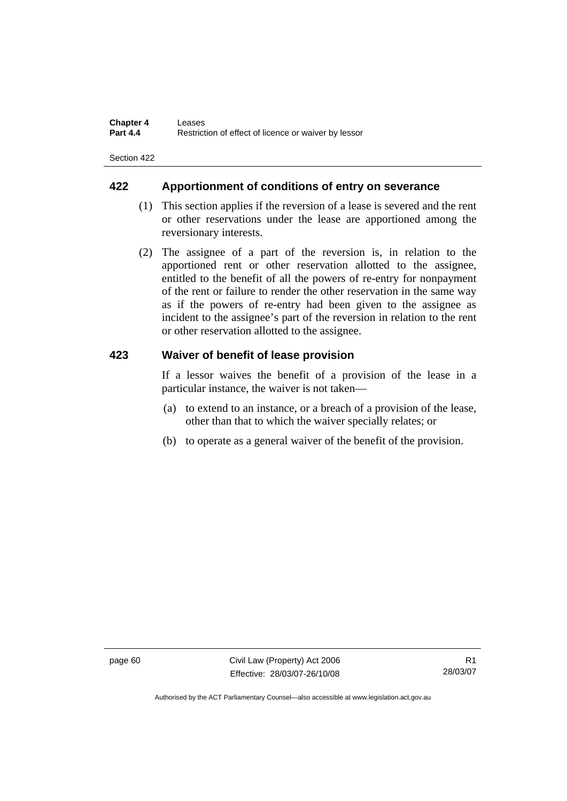### **422 Apportionment of conditions of entry on severance**

- (1) This section applies if the reversion of a lease is severed and the rent or other reservations under the lease are apportioned among the reversionary interests.
- (2) The assignee of a part of the reversion is, in relation to the apportioned rent or other reservation allotted to the assignee, entitled to the benefit of all the powers of re-entry for nonpayment of the rent or failure to render the other reservation in the same way as if the powers of re-entry had been given to the assignee as incident to the assignee's part of the reversion in relation to the rent or other reservation allotted to the assignee.

### **423 Waiver of benefit of lease provision**

If a lessor waives the benefit of a provision of the lease in a particular instance, the waiver is not taken—

- (a) to extend to an instance, or a breach of a provision of the lease, other than that to which the waiver specially relates; or
- (b) to operate as a general waiver of the benefit of the provision.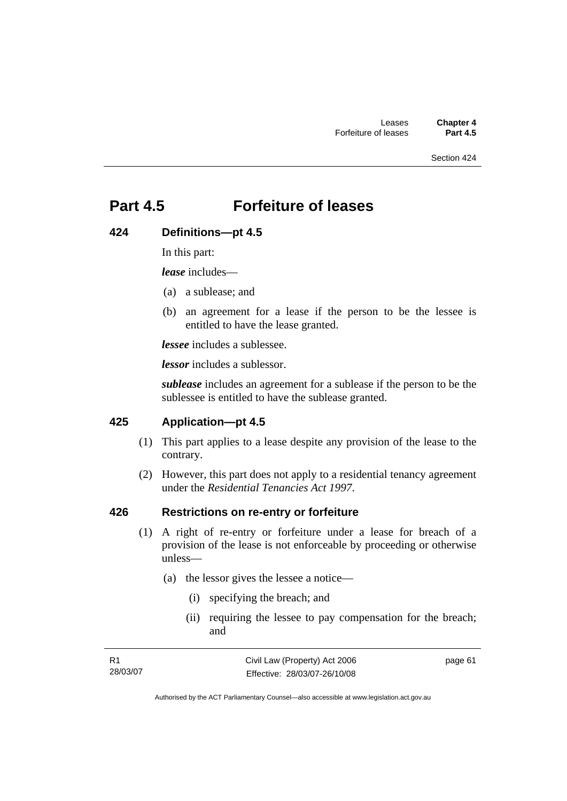## **Part 4.5 Forfeiture of leases**

### **424 Definitions—pt 4.5**

In this part:

*lease* includes—

- (a) a sublease; and
- (b) an agreement for a lease if the person to be the lessee is entitled to have the lease granted.

*lessee* includes a sublessee.

*lessor* includes a sublessor.

*sublease* includes an agreement for a sublease if the person to be the sublessee is entitled to have the sublease granted.

### **425 Application—pt 4.5**

- (1) This part applies to a lease despite any provision of the lease to the contrary.
- (2) However, this part does not apply to a residential tenancy agreement under the *Residential Tenancies Act 1997*.

### **426 Restrictions on re-entry or forfeiture**

- (1) A right of re-entry or forfeiture under a lease for breach of a provision of the lease is not enforceable by proceeding or otherwise unless—
	- (a) the lessor gives the lessee a notice—
		- (i) specifying the breach; and
		- (ii) requiring the lessee to pay compensation for the breach; and

| -R1      | Civil Law (Property) Act 2006 | page 61 |
|----------|-------------------------------|---------|
| 28/03/07 | Effective: 28/03/07-26/10/08  |         |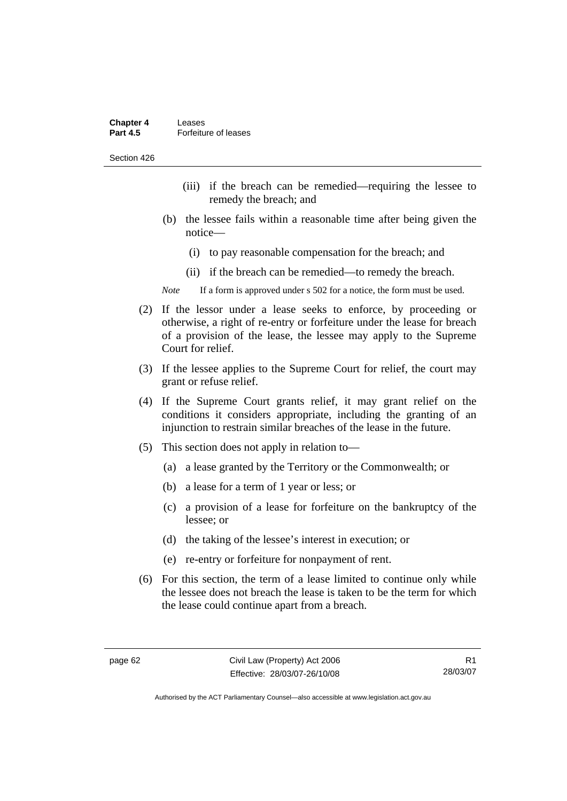| <b>Chapter 4</b> | Leases               |
|------------------|----------------------|
| <b>Part 4.5</b>  | Forfeiture of leases |

- (iii) if the breach can be remedied—requiring the lessee to remedy the breach; and
- (b) the lessee fails within a reasonable time after being given the notice—
	- (i) to pay reasonable compensation for the breach; and
	- (ii) if the breach can be remedied—to remedy the breach.

*Note* If a form is approved under s 502 for a notice, the form must be used.

- (2) If the lessor under a lease seeks to enforce, by proceeding or otherwise, a right of re-entry or forfeiture under the lease for breach of a provision of the lease, the lessee may apply to the Supreme Court for relief.
- (3) If the lessee applies to the Supreme Court for relief, the court may grant or refuse relief.
- (4) If the Supreme Court grants relief, it may grant relief on the conditions it considers appropriate, including the granting of an injunction to restrain similar breaches of the lease in the future.
- (5) This section does not apply in relation to—
	- (a) a lease granted by the Territory or the Commonwealth; or
	- (b) a lease for a term of 1 year or less; or
	- (c) a provision of a lease for forfeiture on the bankruptcy of the lessee; or
	- (d) the taking of the lessee's interest in execution; or
	- (e) re-entry or forfeiture for nonpayment of rent.
- (6) For this section, the term of a lease limited to continue only while the lessee does not breach the lease is taken to be the term for which the lease could continue apart from a breach.

R1 28/03/07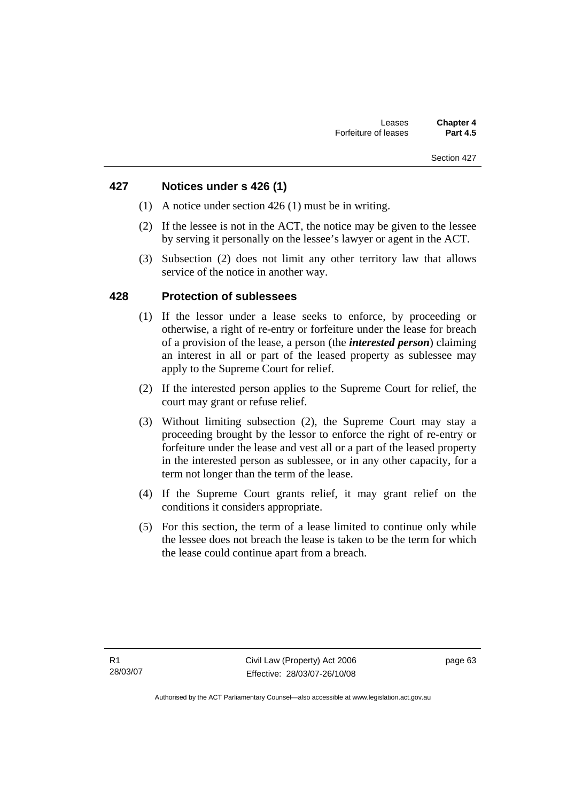## **427 Notices under s 426 (1)**

- (1) A notice under section 426 (1) must be in writing.
- (2) If the lessee is not in the ACT, the notice may be given to the lessee by serving it personally on the lessee's lawyer or agent in the ACT.
- (3) Subsection (2) does not limit any other territory law that allows service of the notice in another way.

## **428 Protection of sublessees**

- (1) If the lessor under a lease seeks to enforce, by proceeding or otherwise, a right of re-entry or forfeiture under the lease for breach of a provision of the lease, a person (the *interested person*) claiming an interest in all or part of the leased property as sublessee may apply to the Supreme Court for relief.
- (2) If the interested person applies to the Supreme Court for relief, the court may grant or refuse relief.
- (3) Without limiting subsection (2), the Supreme Court may stay a proceeding brought by the lessor to enforce the right of re-entry or forfeiture under the lease and vest all or a part of the leased property in the interested person as sublessee, or in any other capacity, for a term not longer than the term of the lease.
- (4) If the Supreme Court grants relief, it may grant relief on the conditions it considers appropriate.
- (5) For this section, the term of a lease limited to continue only while the lessee does not breach the lease is taken to be the term for which the lease could continue apart from a breach.

page 63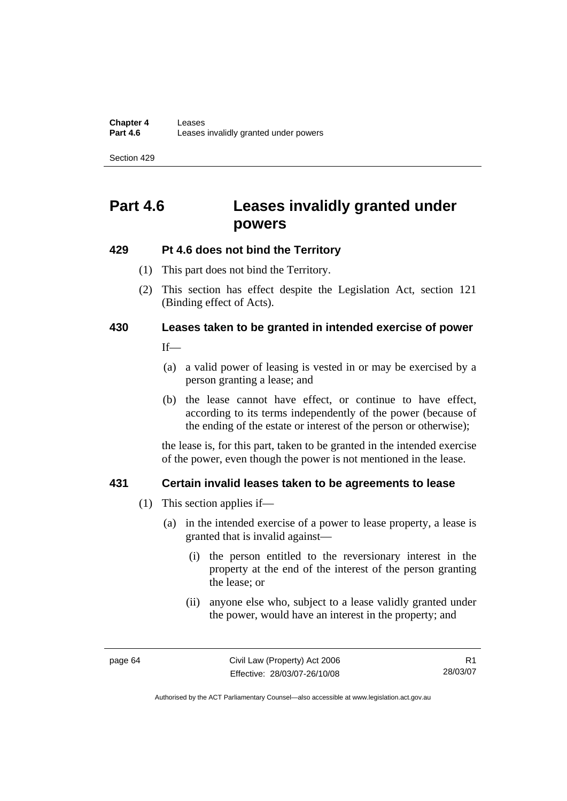# **Part 4.6 Leases invalidly granted under powers**

## **429 Pt 4.6 does not bind the Territory**

- (1) This part does not bind the Territory.
- (2) This section has effect despite the Legislation Act*,* section 121 (Binding effect of Acts).

## **430 Leases taken to be granted in intended exercise of power**

If—

- (a) a valid power of leasing is vested in or may be exercised by a person granting a lease; and
- (b) the lease cannot have effect, or continue to have effect, according to its terms independently of the power (because of the ending of the estate or interest of the person or otherwise);

the lease is, for this part, taken to be granted in the intended exercise of the power, even though the power is not mentioned in the lease.

## **431 Certain invalid leases taken to be agreements to lease**

- (1) This section applies if—
	- (a) in the intended exercise of a power to lease property, a lease is granted that is invalid against—
		- (i) the person entitled to the reversionary interest in the property at the end of the interest of the person granting the lease; or
		- (ii) anyone else who, subject to a lease validly granted under the power, would have an interest in the property; and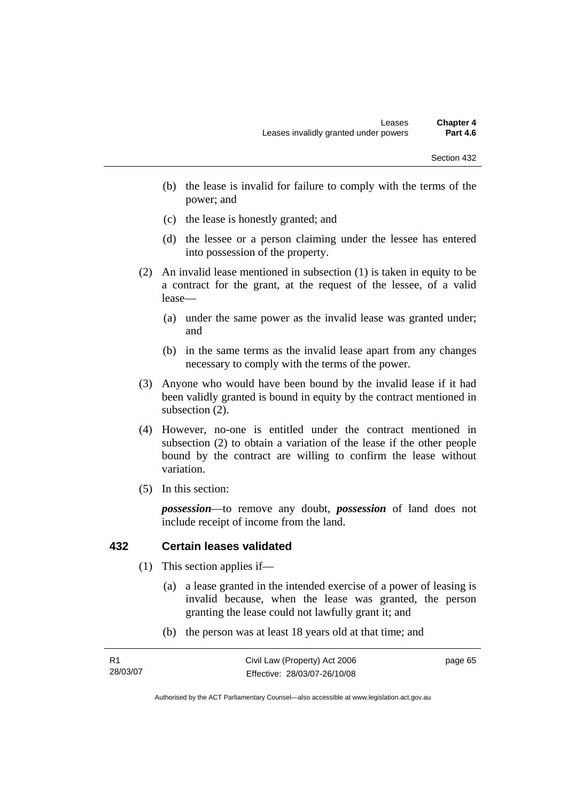- (b) the lease is invalid for failure to comply with the terms of the power; and
- (c) the lease is honestly granted; and
- (d) the lessee or a person claiming under the lessee has entered into possession of the property.
- (2) An invalid lease mentioned in subsection (1) is taken in equity to be a contract for the grant, at the request of the lessee, of a valid lease—
	- (a) under the same power as the invalid lease was granted under; and
	- (b) in the same terms as the invalid lease apart from any changes necessary to comply with the terms of the power.
- (3) Anyone who would have been bound by the invalid lease if it had been validly granted is bound in equity by the contract mentioned in subsection (2).
- (4) However, no-one is entitled under the contract mentioned in subsection (2) to obtain a variation of the lease if the other people bound by the contract are willing to confirm the lease without variation.
- (5) In this section:

*possession*—to remove any doubt, *possession* of land does not include receipt of income from the land.

#### **432 Certain leases validated**

- (1) This section applies if—
	- (a) a lease granted in the intended exercise of a power of leasing is invalid because, when the lease was granted, the person granting the lease could not lawfully grant it; and
	- (b) the person was at least 18 years old at that time; and

| R1       |  |
|----------|--|
| 28/03/07 |  |

page 65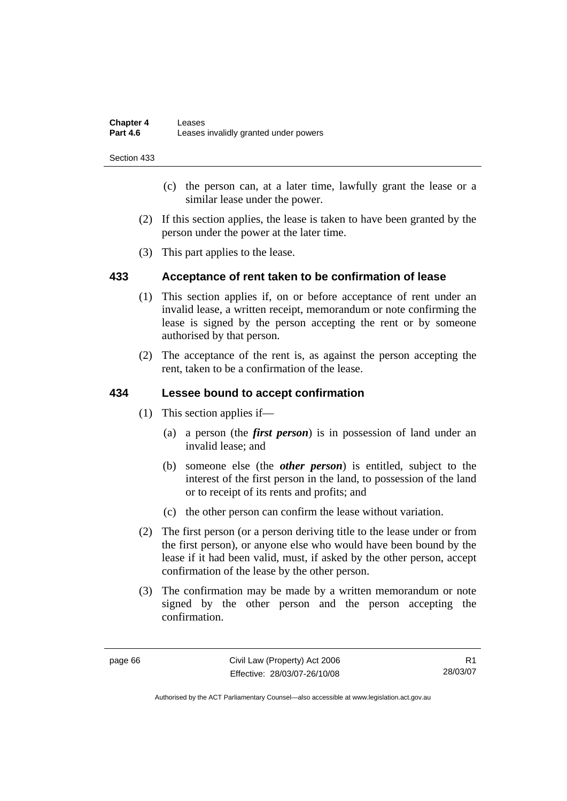- (c) the person can, at a later time, lawfully grant the lease or a similar lease under the power.
- (2) If this section applies, the lease is taken to have been granted by the person under the power at the later time.
- (3) This part applies to the lease.

## **433 Acceptance of rent taken to be confirmation of lease**

- (1) This section applies if, on or before acceptance of rent under an invalid lease, a written receipt, memorandum or note confirming the lease is signed by the person accepting the rent or by someone authorised by that person.
- (2) The acceptance of the rent is, as against the person accepting the rent, taken to be a confirmation of the lease.

## **434 Lessee bound to accept confirmation**

- (1) This section applies if—
	- (a) a person (the *first person*) is in possession of land under an invalid lease; and
	- (b) someone else (the *other person*) is entitled, subject to the interest of the first person in the land, to possession of the land or to receipt of its rents and profits; and
	- (c) the other person can confirm the lease without variation.
- (2) The first person (or a person deriving title to the lease under or from the first person), or anyone else who would have been bound by the lease if it had been valid, must, if asked by the other person, accept confirmation of the lease by the other person.
- (3) The confirmation may be made by a written memorandum or note signed by the other person and the person accepting the confirmation.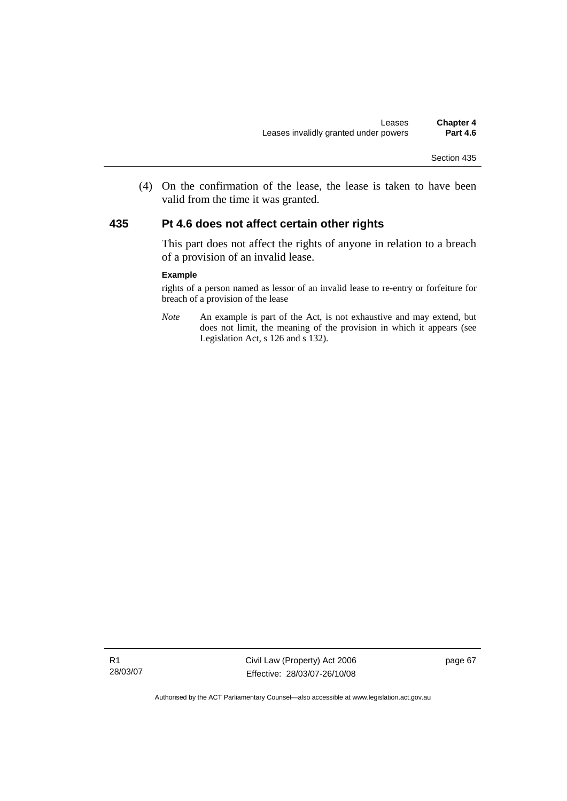(4) On the confirmation of the lease, the lease is taken to have been valid from the time it was granted.

#### **435 Pt 4.6 does not affect certain other rights**

This part does not affect the rights of anyone in relation to a breach of a provision of an invalid lease.

#### **Example**

rights of a person named as lessor of an invalid lease to re-entry or forfeiture for breach of a provision of the lease

*Note* An example is part of the Act, is not exhaustive and may extend, but does not limit, the meaning of the provision in which it appears (see Legislation Act, s 126 and s 132).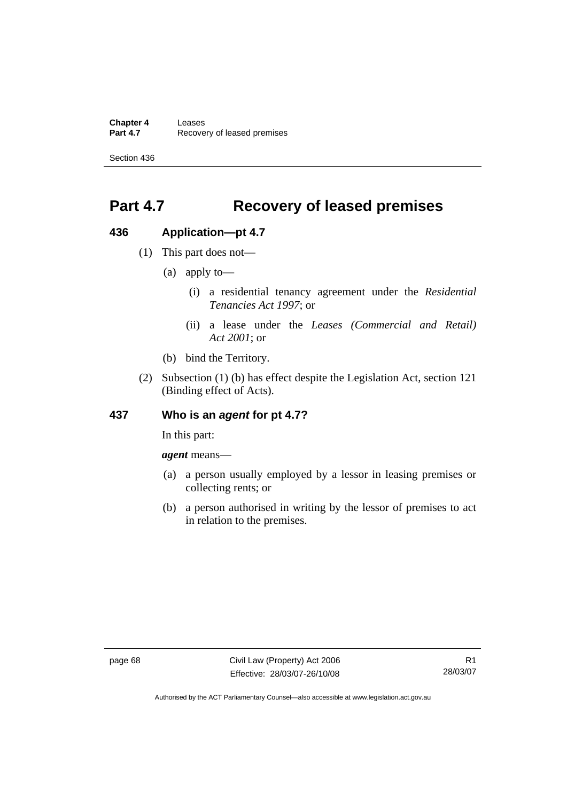**Chapter 4 Leases**<br>**Part 4.7 Recove Recovery of leased premises** 

Section 436

# **Part 4.7 Recovery of leased premises**

#### **436 Application—pt 4.7**

- (1) This part does not—
	- (a) apply to—
		- (i) a residential tenancy agreement under the *Residential Tenancies Act 1997*; or
		- (ii) a lease under the *Leases (Commercial and Retail) Act 2001*; or
	- (b) bind the Territory.
- (2) Subsection (1) (b) has effect despite the Legislation Act, section 121 (Binding effect of Acts).

#### **437 Who is an** *agent* **for pt 4.7?**

In this part:

*agent* means—

- (a) a person usually employed by a lessor in leasing premises or collecting rents; or
- (b) a person authorised in writing by the lessor of premises to act in relation to the premises.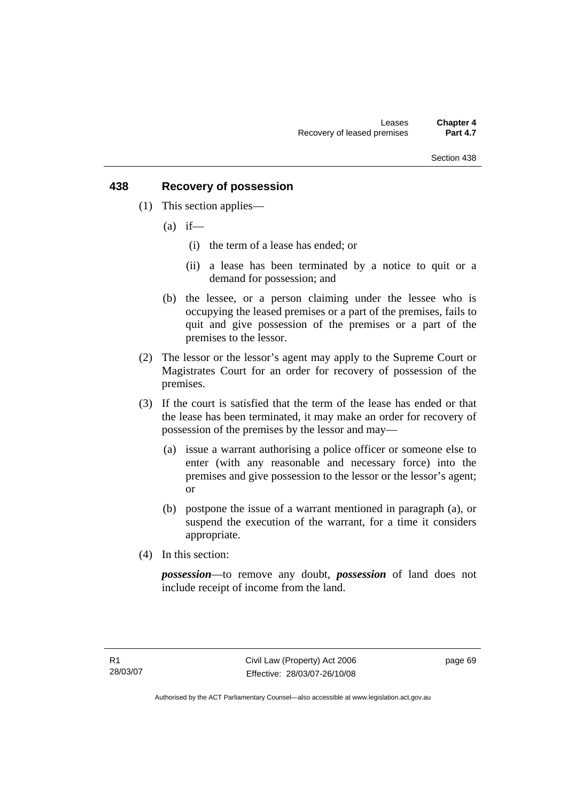## **438 Recovery of possession**

- (1) This section applies—
	- $(a)$  if—
		- (i) the term of a lease has ended; or
		- (ii) a lease has been terminated by a notice to quit or a demand for possession; and
	- (b) the lessee, or a person claiming under the lessee who is occupying the leased premises or a part of the premises, fails to quit and give possession of the premises or a part of the premises to the lessor.
- (2) The lessor or the lessor's agent may apply to the Supreme Court or Magistrates Court for an order for recovery of possession of the premises.
- (3) If the court is satisfied that the term of the lease has ended or that the lease has been terminated, it may make an order for recovery of possession of the premises by the lessor and may—
	- (a) issue a warrant authorising a police officer or someone else to enter (with any reasonable and necessary force) into the premises and give possession to the lessor or the lessor's agent; or
	- (b) postpone the issue of a warrant mentioned in paragraph (a), or suspend the execution of the warrant, for a time it considers appropriate.
- (4) In this section:

*possession*—to remove any doubt, *possession* of land does not include receipt of income from the land.

page 69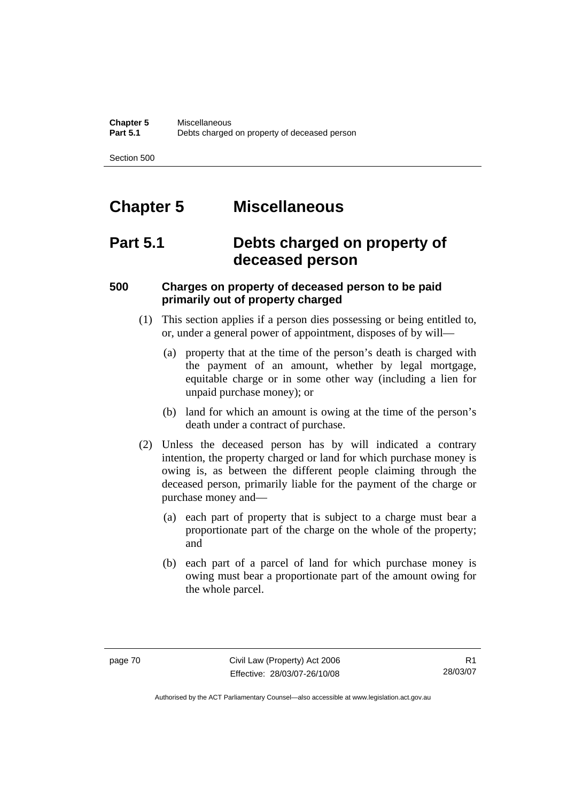# **Chapter 5 Miscellaneous**

# **Part 5.1 Debts charged on property of deceased person**

# **500 Charges on property of deceased person to be paid primarily out of property charged**

- (1) This section applies if a person dies possessing or being entitled to, or, under a general power of appointment, disposes of by will—
	- (a) property that at the time of the person's death is charged with the payment of an amount, whether by legal mortgage, equitable charge or in some other way (including a lien for unpaid purchase money); or
	- (b) land for which an amount is owing at the time of the person's death under a contract of purchase.
- (2) Unless the deceased person has by will indicated a contrary intention, the property charged or land for which purchase money is owing is, as between the different people claiming through the deceased person, primarily liable for the payment of the charge or purchase money and—
	- (a) each part of property that is subject to a charge must bear a proportionate part of the charge on the whole of the property; and
	- (b) each part of a parcel of land for which purchase money is owing must bear a proportionate part of the amount owing for the whole parcel.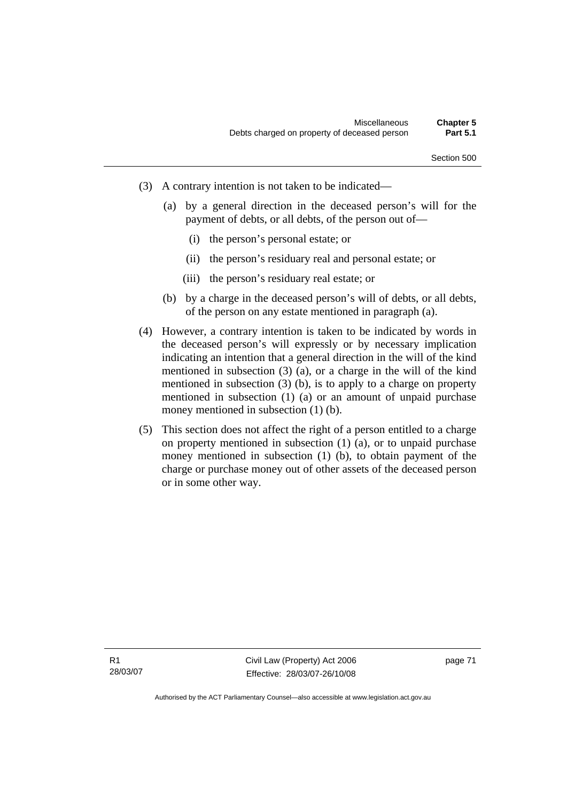- (3) A contrary intention is not taken to be indicated—
	- (a) by a general direction in the deceased person's will for the payment of debts, or all debts, of the person out of—
		- (i) the person's personal estate; or
		- (ii) the person's residuary real and personal estate; or
		- (iii) the person's residuary real estate; or
	- (b) by a charge in the deceased person's will of debts, or all debts, of the person on any estate mentioned in paragraph (a).
- (4) However, a contrary intention is taken to be indicated by words in the deceased person's will expressly or by necessary implication indicating an intention that a general direction in the will of the kind mentioned in subsection (3) (a), or a charge in the will of the kind mentioned in subsection (3) (b), is to apply to a charge on property mentioned in subsection (1) (a) or an amount of unpaid purchase money mentioned in subsection (1) (b).
- (5) This section does not affect the right of a person entitled to a charge on property mentioned in subsection (1) (a), or to unpaid purchase money mentioned in subsection (1) (b), to obtain payment of the charge or purchase money out of other assets of the deceased person or in some other way.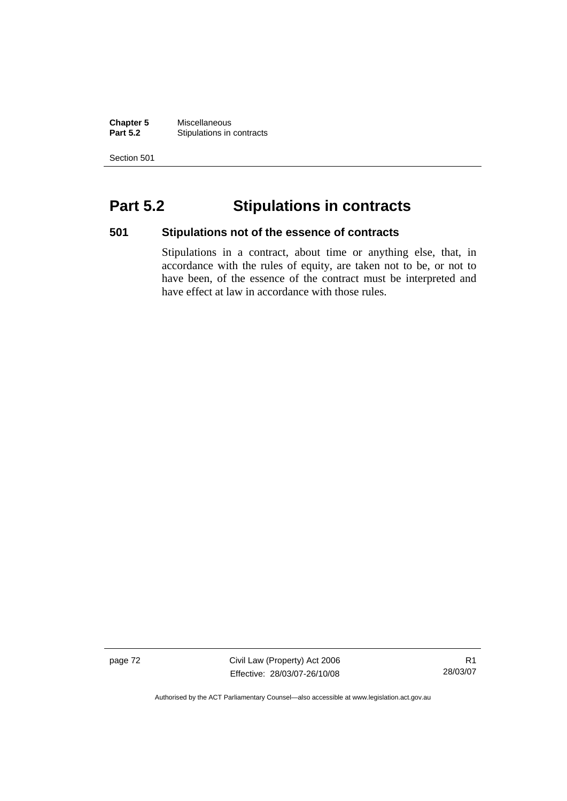**Chapter 5** Miscellaneous<br>**Part 5.2** Stipulations in **Stipulations in contracts** 

Section 501

# **Part 5.2 Stipulations in contracts**

**501 Stipulations not of the essence of contracts** 

Stipulations in a contract, about time or anything else, that, in accordance with the rules of equity, are taken not to be, or not to have been, of the essence of the contract must be interpreted and have effect at law in accordance with those rules.

page 72 Civil Law (Property) Act 2006 Effective: 28/03/07-26/10/08

R1 28/03/07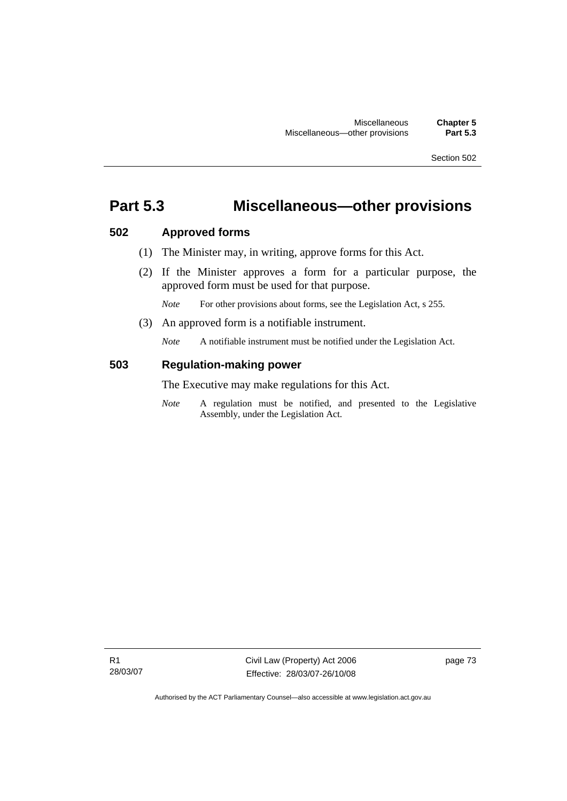# **Part 5.3 Miscellaneous—other provisions**

## **502 Approved forms**

- (1) The Minister may, in writing, approve forms for this Act.
- (2) If the Minister approves a form for a particular purpose, the approved form must be used for that purpose.

*Note* For other provisions about forms, see the Legislation Act, s 255.

(3) An approved form is a notifiable instrument.

*Note* A notifiable instrument must be notified under the Legislation Act.

#### **503 Regulation-making power**

The Executive may make regulations for this Act.

*Note* A regulation must be notified, and presented to the Legislative Assembly, under the Legislation Act.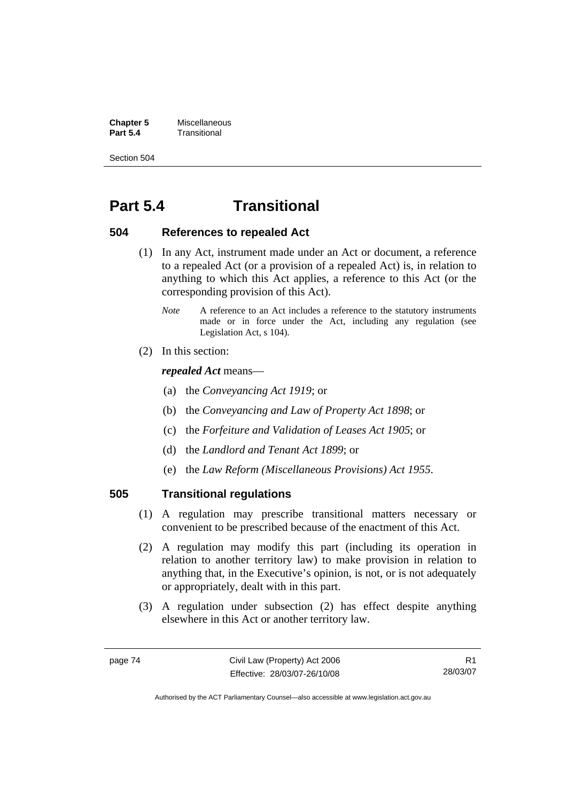**Chapter 5** Miscellaneous<br>**Part 5.4** Transitional **Part 5.4** Transitional

Section 504

# **Part 5.4 Transitional**

#### **504 References to repealed Act**

- (1) In any Act, instrument made under an Act or document, a reference to a repealed Act (or a provision of a repealed Act) is, in relation to anything to which this Act applies, a reference to this Act (or the corresponding provision of this Act).
	- *Note* A reference to an Act includes a reference to the statutory instruments made or in force under the Act, including any regulation (see Legislation Act, s 104).
- (2) In this section:

#### *repealed Act* means—

- (a) the *Conveyancing Act 1919*; or
- (b) the *Conveyancing and Law of Property Act 1898*; or
- (c) the *Forfeiture and Validation of Leases Act 1905*; or
- (d) the *Landlord and Tenant Act 1899*; or
- (e) the *Law Reform (Miscellaneous Provisions) Act 1955*.

## **505 Transitional regulations**

- (1) A regulation may prescribe transitional matters necessary or convenient to be prescribed because of the enactment of this Act.
- (2) A regulation may modify this part (including its operation in relation to another territory law) to make provision in relation to anything that, in the Executive's opinion, is not, or is not adequately or appropriately, dealt with in this part.
- (3) A regulation under subsection (2) has effect despite anything elsewhere in this Act or another territory law.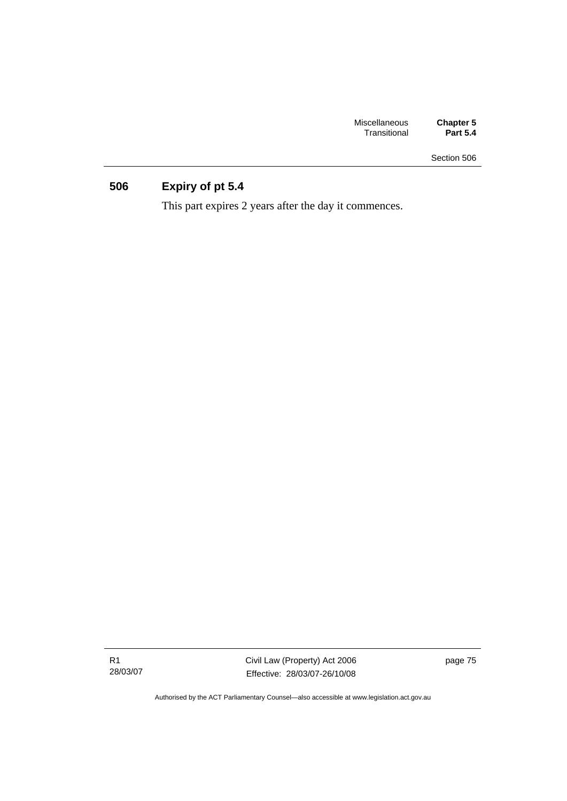| <b>Miscellaneous</b> | <b>Chapter 5</b> |
|----------------------|------------------|
| Transitional         | <b>Part 5.4</b>  |

# **506 Expiry of pt 5.4**

This part expires 2 years after the day it commences.

R1 28/03/07 Civil Law (Property) Act 2006 Effective: 28/03/07-26/10/08 page 75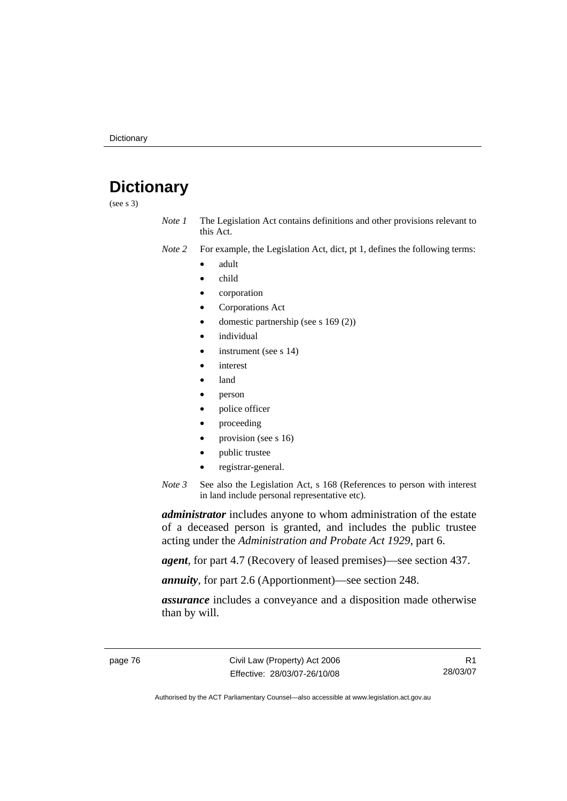# **Dictionary**

(see s 3)

*Note 1* The Legislation Act contains definitions and other provisions relevant to this Act.

*Note 2* For example, the Legislation Act, dict, pt 1, defines the following terms:

- adult
- child
- corporation
- Corporations Act
- domestic partnership (see s 169 (2))
- *individual*
- instrument (see s 14)
- interest
- land
- person
- police officer
- proceeding
- provision (see s 16)
- public trustee
- registrar-general.
- *Note 3* See also the Legislation Act, s 168 (References to person with interest in land include personal representative etc).

*administrator* includes anyone to whom administration of the estate of a deceased person is granted, and includes the public trustee acting under the *Administration and Probate Act 1929*, part 6.

*agent*, for part 4.7 (Recovery of leased premises)—see section 437.

*annuity*, for part 2.6 (Apportionment)—see section 248.

*assurance* includes a conveyance and a disposition made otherwise than by will.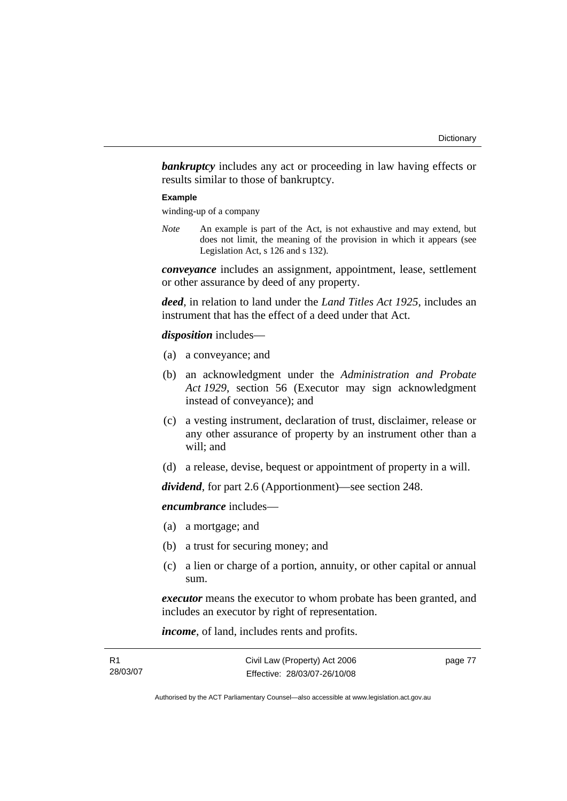**bankruptcy** includes any act or proceeding in law having effects or results similar to those of bankruptcy.

#### **Example**

winding-up of a company

*Note* An example is part of the Act, is not exhaustive and may extend, but does not limit, the meaning of the provision in which it appears (see Legislation Act, s 126 and s 132).

*conveyance* includes an assignment, appointment, lease, settlement or other assurance by deed of any property.

*deed*, in relation to land under the *Land Titles Act 1925*, includes an instrument that has the effect of a deed under that Act.

#### *disposition* includes—

- (a) a conveyance; and
- (b) an acknowledgment under the *Administration and Probate Act 1929*, section 56 (Executor may sign acknowledgment instead of conveyance); and
- (c) a vesting instrument, declaration of trust, disclaimer, release or any other assurance of property by an instrument other than a will; and
- (d) a release, devise, bequest or appointment of property in a will.

*dividend*, for part 2.6 (Apportionment)—see section 248.

*encumbrance* includes—

- (a) a mortgage; and
- (b) a trust for securing money; and
- (c) a lien or charge of a portion, annuity, or other capital or annual sum.

*executor* means the executor to whom probate has been granted, and includes an executor by right of representation.

*income*, of land, includes rents and profits.

| R1       | Civil Law (Property) Act 2006 | page 77 |
|----------|-------------------------------|---------|
| 28/03/07 | Effective: 28/03/07-26/10/08  |         |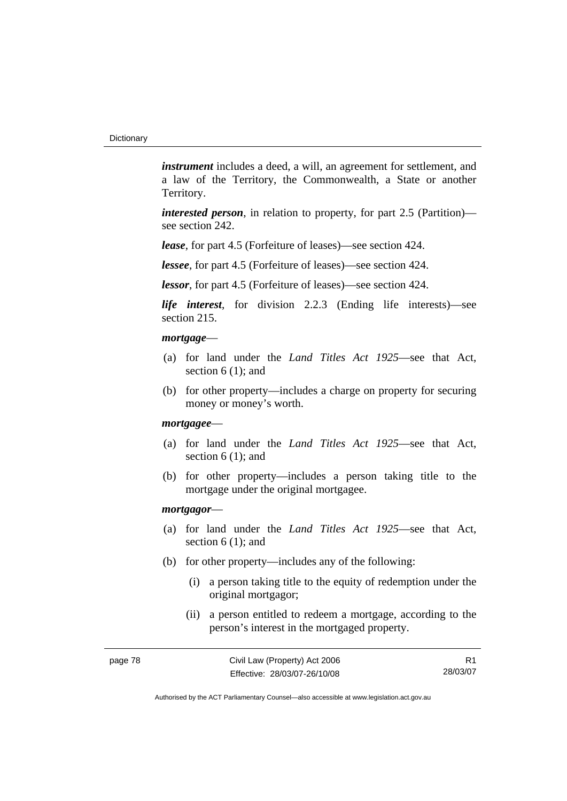*instrument* includes a deed, a will, an agreement for settlement, and a law of the Territory, the Commonwealth, a State or another Territory.

*interested person*, in relation to property, for part 2.5 (Partition) see section 242.

*lease*, for part 4.5 (Forfeiture of leases)—see section 424.

*lessee*, for part 4.5 (Forfeiture of leases)—see section 424.

*lessor*, for part 4.5 (Forfeiture of leases)—see section 424.

*life interest*, for division 2.2.3 (Ending life interests)—see section 215.

#### *mortgage*—

- (a) for land under the *Land Titles Act 1925*—see that Act, section 6 (1); and
- (b) for other property—includes a charge on property for securing money or money's worth.

#### *mortgagee*—

- (a) for land under the *Land Titles Act 1925*—see that Act, section 6 (1); and
- (b) for other property—includes a person taking title to the mortgage under the original mortgagee.

#### *mortgagor*—

- (a) for land under the *Land Titles Act 1925*—see that Act, section 6 (1); and
- (b) for other property—includes any of the following:
	- (i) a person taking title to the equity of redemption under the original mortgagor;
	- (ii) a person entitled to redeem a mortgage, according to the person's interest in the mortgaged property.

R1 28/03/07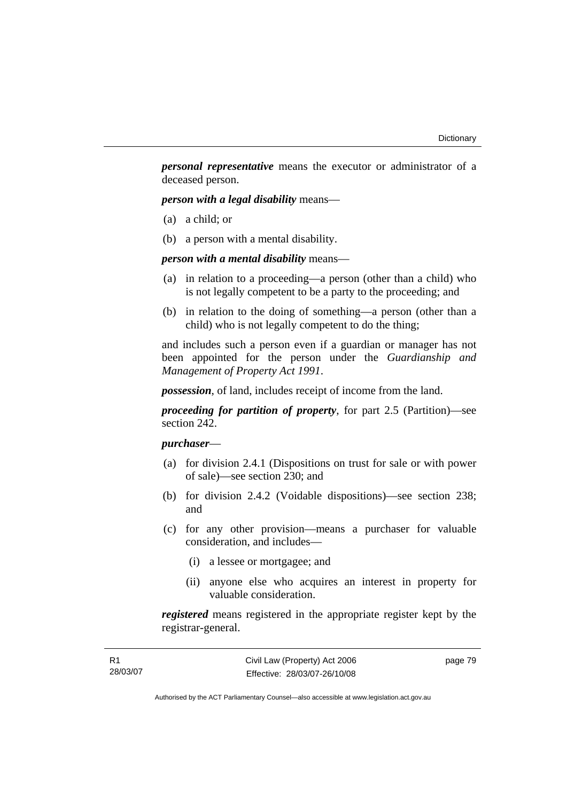*personal representative* means the executor or administrator of a deceased person.

*person with a legal disability* means—

- (a) a child; or
- (b) a person with a mental disability.

*person with a mental disability* means—

- (a) in relation to a proceeding—a person (other than a child) who is not legally competent to be a party to the proceeding; and
- (b) in relation to the doing of something—a person (other than a child) who is not legally competent to do the thing;

and includes such a person even if a guardian or manager has not been appointed for the person under the *Guardianship and Management of Property Act 1991*.

*possession*, of land, includes receipt of income from the land.

*proceeding for partition of property*, for part 2.5 (Partition)—see section 242.

## *purchaser*—

- (a) for division 2.4.1 (Dispositions on trust for sale or with power of sale)—see section 230; and
- (b) for division 2.4.2 (Voidable dispositions)—see section 238; and
- (c) for any other provision—means a purchaser for valuable consideration, and includes—
	- (i) a lessee or mortgagee; and
	- (ii) anyone else who acquires an interest in property for valuable consideration.

*registered* means registered in the appropriate register kept by the registrar-general.

| – R1     | Civil Law (Property) Act 2006 | page 79 |
|----------|-------------------------------|---------|
| 28/03/07 | Effective: 28/03/07-26/10/08  |         |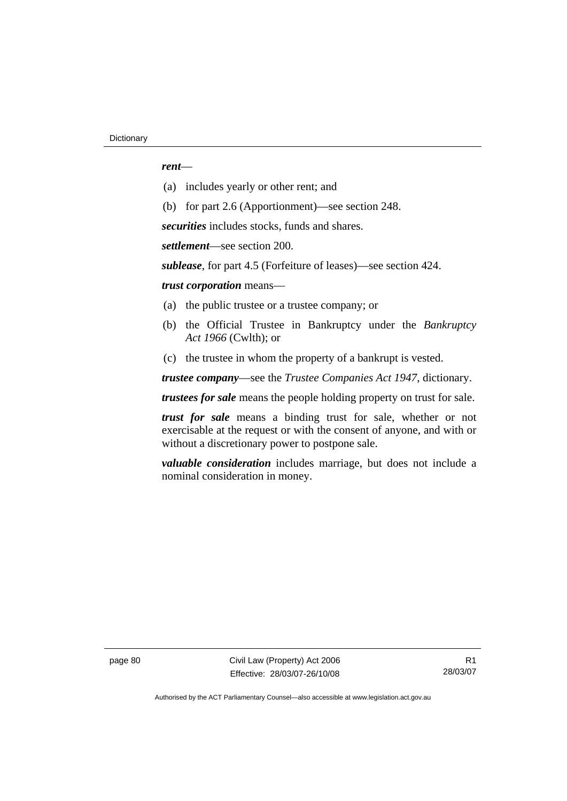#### *rent*—

- (a) includes yearly or other rent; and
- (b) for part 2.6 (Apportionment)—see section 248.

*securities* includes stocks, funds and shares.

*settlement*—see section 200.

*sublease*, for part 4.5 (Forfeiture of leases)—see section 424.

*trust corporation* means—

- (a) the public trustee or a trustee company; or
- (b) the Official Trustee in Bankruptcy under the *Bankruptcy Act 1966* (Cwlth); or
- (c) the trustee in whom the property of a bankrupt is vested.

*trustee company*—see the *Trustee Companies Act 1947*, dictionary.

*trustees for sale* means the people holding property on trust for sale.

*trust for sale* means a binding trust for sale, whether or not exercisable at the request or with the consent of anyone, and with or without a discretionary power to postpone sale.

*valuable consideration* includes marriage, but does not include a nominal consideration in money.

page 80 Civil Law (Property) Act 2006 Effective: 28/03/07-26/10/08

R1 28/03/07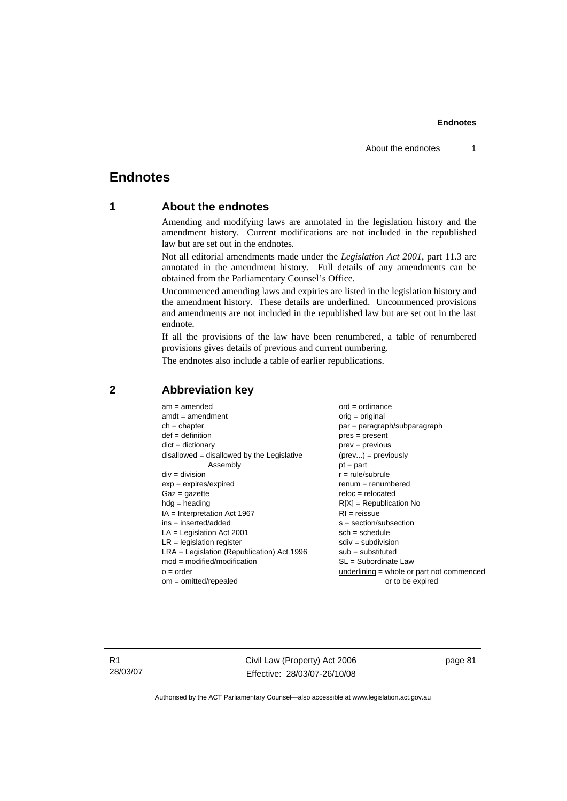#### **Endnotes**

# **Endnotes**

## **1 About the endnotes**

Amending and modifying laws are annotated in the legislation history and the amendment history. Current modifications are not included in the republished law but are set out in the endnotes.

Not all editorial amendments made under the *Legislation Act 2001*, part 11.3 are annotated in the amendment history. Full details of any amendments can be obtained from the Parliamentary Counsel's Office.

Uncommenced amending laws and expiries are listed in the legislation history and the amendment history. These details are underlined. Uncommenced provisions and amendments are not included in the republished law but are set out in the last endnote.

If all the provisions of the law have been renumbered, a table of renumbered provisions gives details of previous and current numbering.

The endnotes also include a table of earlier republications.

| $am = amended$                               | $ord = ordinance$                         |
|----------------------------------------------|-------------------------------------------|
| $amdt = amendment$                           | orig = original                           |
| $ch = chapter$                               | par = paragraph/subparagraph              |
| $def = definition$                           | $pres = present$                          |
| $dict = dictionary$                          | $prev = previous$                         |
| $disallowed = disallowed by the Legislative$ | $(\text{prev}) = \text{previously}$       |
| Assembly                                     | $pt = part$                               |
| $div = division$                             | $r = rule/subrule$                        |
| $exp = expires/expired$                      | $renum = renumbered$                      |
| $Gaz = gazette$                              | $reloc = relocated$                       |
| $hda =$ heading                              | $R[X]$ = Republication No                 |
| $IA = Interpretation Act 1967$               | $RI = reissue$                            |
| $ins = inserted/added$                       | $s = section/subsection$                  |
| $LA =$ Legislation Act 2001                  | $sch = schedule$                          |
| $LR =$ legislation register                  | $sdiv = subdivision$                      |
| $LRA =$ Legislation (Republication) Act 1996 | $sub =$ substituted                       |
| $mod = modified/modification$                | SL = Subordinate Law                      |
| $o = order$                                  | underlining = whole or part not commenced |
| $om = omitted/repealed$                      | or to be expired                          |
|                                              |                                           |

#### **2 Abbreviation key**

R1 28/03/07 Civil Law (Property) Act 2006 Effective: 28/03/07-26/10/08 page 81